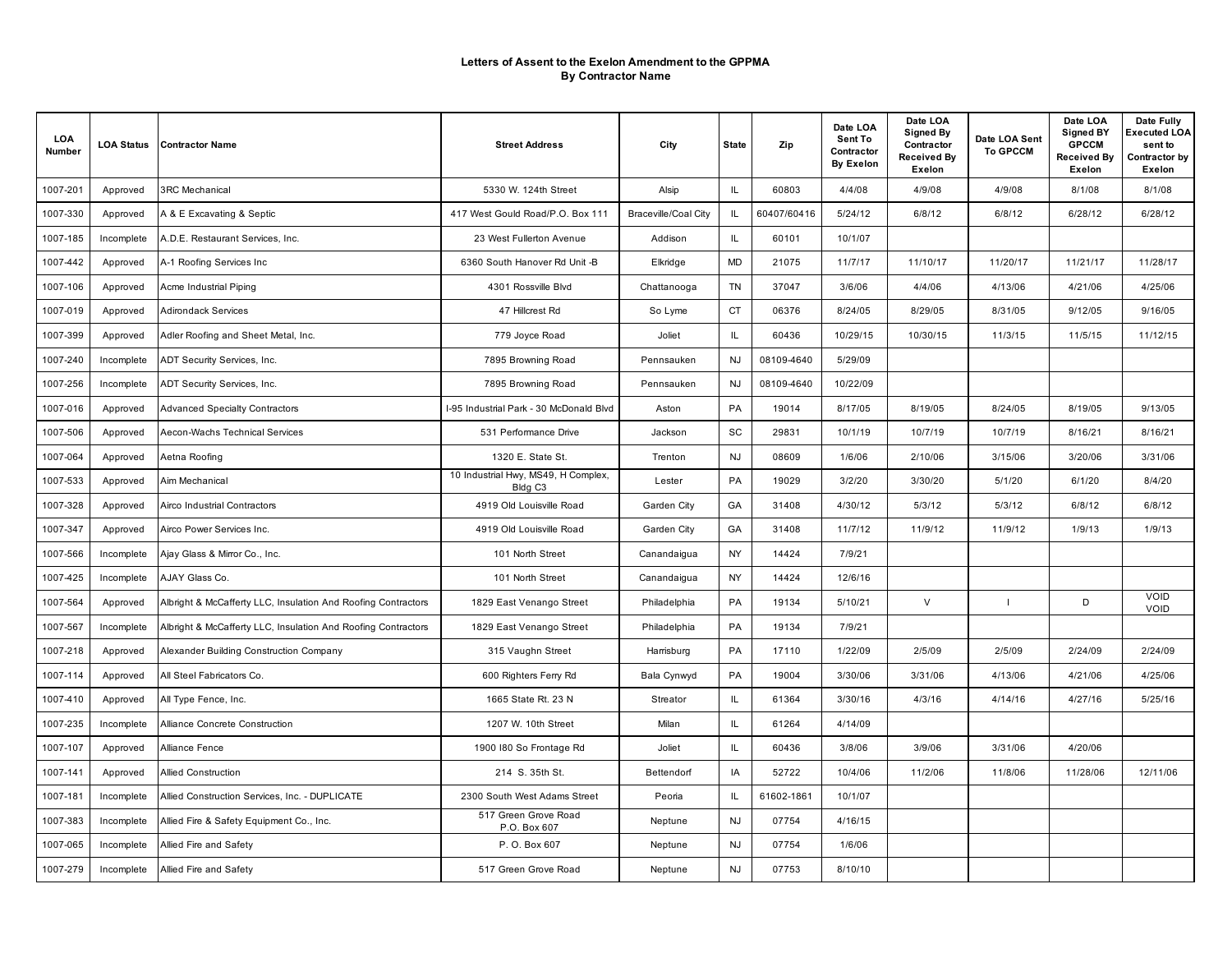| LOA<br>Number | <b>LOA Status</b> | <b>Contractor Name</b>                                        | <b>Street Address</b>                                      | City                        | <b>State</b> | Zip         | Date LOA<br>Sent To<br>Contractor<br><b>By Exelon</b> | Date LOA<br><b>Signed By</b><br>Contractor<br><b>Received By</b><br>Exelon | Date LOA Sent<br><b>To GPCCM</b> | Date LOA<br><b>Signed BY</b><br><b>GPCCM</b><br>Received By<br>Exelon | Date Fully<br>Executed LOA<br>sent to<br>Contractor by<br>Exelon |
|---------------|-------------------|---------------------------------------------------------------|------------------------------------------------------------|-----------------------------|--------------|-------------|-------------------------------------------------------|----------------------------------------------------------------------------|----------------------------------|-----------------------------------------------------------------------|------------------------------------------------------------------|
| 1007-201      | Approved          | <b>3RC</b> Mechanical                                         | 5330 W. 124th Street                                       | Alsip                       | IL.          | 60803       | 4/4/08                                                | 4/9/08                                                                     | 4/9/08                           | 8/1/08                                                                | 8/1/08                                                           |
| 1007-330      | Approved          | A & E Excavating & Septic                                     | 417 West Gould Road/P.O. Box 111                           | <b>Braceville/Coal City</b> | IL.          | 60407/60416 | 5/24/12                                               | 6/8/12                                                                     | 6/8/12                           | 6/28/12                                                               | 6/28/12                                                          |
| 1007-185      | Incomplete        | A.D.E. Restaurant Services, Inc.                              | 23 West Fullerton Avenue                                   | Addison                     | IL.          | 60101       | 10/1/07                                               |                                                                            |                                  |                                                                       |                                                                  |
| 1007-442      | Approved          | A-1 Roofing Services Inc                                      | 6360 South Hanover Rd Unit -B                              | Elkridge                    | <b>MD</b>    | 21075       | 11/7/17                                               | 11/10/17                                                                   | 11/20/17                         | 11/21/17                                                              | 11/28/17                                                         |
| 1007-106      | Approved          | Acme Industrial Piping                                        | 4301 Rossville Blvd                                        | Chattanooga                 | <b>TN</b>    | 37047       | 3/6/06                                                | 4/4/06                                                                     | 4/13/06                          | 4/21/06                                                               | 4/25/06                                                          |
| 1007-019      | Approved          | <b>Adirondack Services</b>                                    | 47 Hillcrest Rd                                            | So Lyme                     | <b>CT</b>    | 06376       | 8/24/05                                               | 8/29/05                                                                    | 8/31/05                          | 9/12/05                                                               | 9/16/05                                                          |
| 1007-399      | Approved          | Adler Roofing and Sheet Metal, Inc.                           | 779 Joyce Road                                             | Joliet                      | IL.          | 60436       | 10/29/15                                              | 10/30/15                                                                   | 11/3/15                          | 11/5/15                                                               | 11/12/15                                                         |
| 1007-240      | Incomplete        | ADT Security Services, Inc.                                   | 7895 Browning Road                                         | Pennsauken                  | NJ           | 08109-4640  | 5/29/09                                               |                                                                            |                                  |                                                                       |                                                                  |
| 1007-256      | Incomplete        | ADT Security Services, Inc.                                   | 7895 Browning Road                                         | Pennsauken                  | <b>NJ</b>    | 08109-4640  | 10/22/09                                              |                                                                            |                                  |                                                                       |                                                                  |
| 1007-016      | Approved          | <b>Advanced Specialty Contractors</b>                         | I-95 Industrial Park - 30 McDonald Blvd                    | Aston                       | PA           | 19014       | 8/17/05                                               | 8/19/05                                                                    | 8/24/05                          | 8/19/05                                                               | 9/13/05                                                          |
| 1007-506      | Approved          | Aecon-Wachs Technical Services                                | 531 Performance Drive                                      | Jackson                     | SC           | 29831       | 10/1/19                                               | 10/7/19                                                                    | 10/7/19                          | 8/16/21                                                               | 8/16/21                                                          |
| 1007-064      | Approved          | Aetna Roofing                                                 | 1320 E. State St.                                          | Trenton                     | NJ           | 08609       | 1/6/06                                                | 2/10/06                                                                    | 3/15/06                          | 3/20/06                                                               | 3/31/06                                                          |
| 1007-533      | Approved          | Aim Mechanical                                                | 10 Industrial Hwy, MS49, H Complex,<br>Bldg C <sub>3</sub> | Lester                      | PA           | 19029       | 3/2/20                                                | 3/30/20                                                                    | 5/1/20                           | 6/1/20                                                                | 8/4/20                                                           |
| 1007-328      | Approved          | Airco Industrial Contractors                                  | 4919 Old Louisville Road                                   | Garden City                 | GA           | 31408       | 4/30/12                                               | 5/3/12                                                                     | 5/3/12                           | 6/8/12                                                                | 6/8/12                                                           |
| 1007-347      | Approved          | Airco Power Services Inc.                                     | 4919 Old Louisville Road                                   | Garden City                 | GA           | 31408       | 11/7/12                                               | 11/9/12                                                                    | 11/9/12                          | 1/9/13                                                                | 1/9/13                                                           |
| 1007-566      | Incomplete        | Ajay Glass & Mirror Co., Inc.                                 | 101 North Street                                           | Canandaigua                 | NY           | 14424       | 7/9/21                                                |                                                                            |                                  |                                                                       |                                                                  |
| 1007-425      | Incomplete        | AJAY Glass Co.                                                | 101 North Street                                           | Canandaigua                 | NY           | 14424       | 12/6/16                                               |                                                                            |                                  |                                                                       |                                                                  |
| 1007-564      | Approved          | Albright & McCafferty LLC, Insulation And Roofing Contractors | 1829 East Venango Street                                   | Philadelphia                | PA           | 19134       | 5/10/21                                               | $\vee$                                                                     | $\mathbf{I}$                     | D                                                                     | VOID<br>VOID                                                     |
| 1007-567      | Incomplete        | Albright & McCafferty LLC, Insulation And Roofing Contractors | 1829 East Venango Street                                   | Philadelphia                | PA           | 19134       | 7/9/21                                                |                                                                            |                                  |                                                                       |                                                                  |
| 1007-218      | Approved          | Alexander Building Construction Company                       | 315 Vaughn Street                                          | Harrisburg                  | PA           | 17110       | 1/22/09                                               | 2/5/09                                                                     | 2/5/09                           | 2/24/09                                                               | 2/24/09                                                          |
| 1007-114      | Approved          | All Steel Fabricators Co.                                     | 600 Righters Ferry Rd                                      | Bala Cynwyd                 | PA           | 19004       | 3/30/06                                               | 3/31/06                                                                    | 4/13/06                          | 4/21/06                                                               | 4/25/06                                                          |
| 1007-410      | Approved          | All Type Fence, Inc.                                          | 1665 State Rt. 23 N                                        | Streator                    | IL           | 61364       | 3/30/16                                               | 4/3/16                                                                     | 4/14/16                          | 4/27/16                                                               | 5/25/16                                                          |
| 1007-235      | Incomplete        | Alliance Concrete Construction                                | 1207 W. 10th Street                                        | Milan                       | IL.          | 61264       | 4/14/09                                               |                                                                            |                                  |                                                                       |                                                                  |
| 1007-107      | Approved          | <b>Alliance Fence</b>                                         | 1900 I80 So Frontage Rd                                    | Joliet                      | IL.          | 60436       | 3/8/06                                                | 3/9/06                                                                     | 3/31/06                          | 4/20/06                                                               |                                                                  |
| 1007-141      | Approved          | Allied Construction                                           | 214 S. 35th St.                                            | Bettendorf                  | IA           | 52722       | 10/4/06                                               | 11/2/06                                                                    | 11/8/06                          | 11/28/06                                                              | 12/11/06                                                         |
| 1007-181      | Incomplete        | Allied Construction Services, Inc. - DUPLICATE                | 2300 South West Adams Street                               | Peoria                      | IL.          | 61602-1861  | 10/1/07                                               |                                                                            |                                  |                                                                       |                                                                  |
| 1007-383      | Incomplete        | Allied Fire & Safety Equipment Co., Inc.                      | 517 Green Grove Road<br>P.O. Box 607                       | Neptune                     | <b>NJ</b>    | 07754       | 4/16/15                                               |                                                                            |                                  |                                                                       |                                                                  |
| 1007-065      | Incomplete        | Allied Fire and Safety                                        | P. O. Box 607                                              | Neptune                     | <b>NJ</b>    | 07754       | 1/6/06                                                |                                                                            |                                  |                                                                       |                                                                  |
| 1007-279      | Incomplete        | Allied Fire and Safety                                        | 517 Green Grove Road                                       | Neptune                     | NJ           | 07753       | 8/10/10                                               |                                                                            |                                  |                                                                       |                                                                  |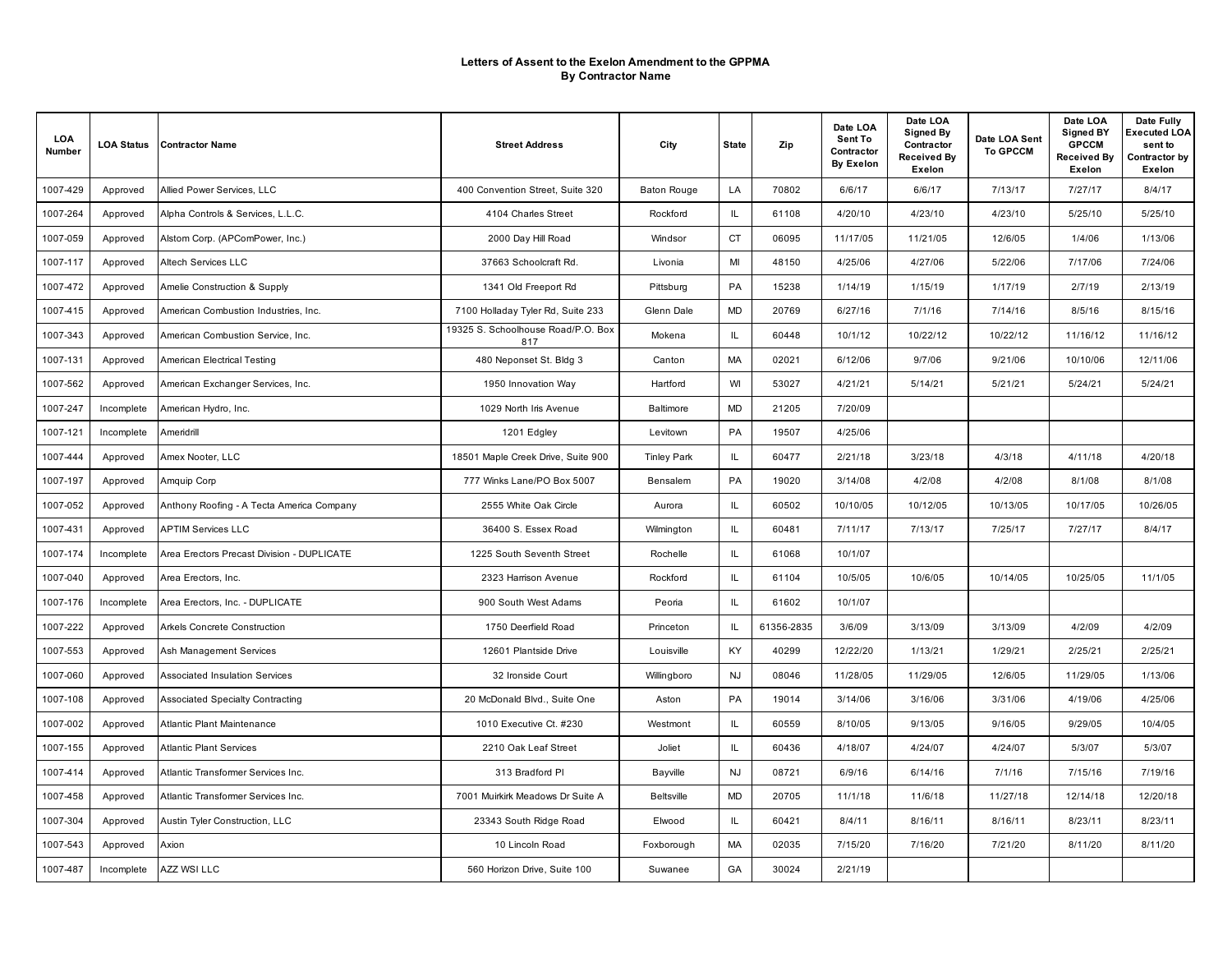| LOA<br>Number | <b>LOA Status</b> | <b>Contractor Name</b>                     | <b>Street Address</b>                     | City               | State     | Zip        | Date LOA<br>Sent To<br>Contractor<br><b>By Exelon</b> | Date LOA<br><b>Signed By</b><br>Contractor<br>Received By<br>Exelon | Date LOA Sent<br><b>To GPCCM</b> | Date LOA<br><b>Signed BY</b><br><b>GPCCM</b><br><b>Received By</b><br>Exelon | Date Fully<br>Executed LOA<br>sent to<br>Contractor by<br>Exelon |
|---------------|-------------------|--------------------------------------------|-------------------------------------------|--------------------|-----------|------------|-------------------------------------------------------|---------------------------------------------------------------------|----------------------------------|------------------------------------------------------------------------------|------------------------------------------------------------------|
| 1007-429      | Approved          | Allied Power Services, LLC                 | 400 Convention Street, Suite 320          | <b>Baton Rouge</b> | LA        | 70802      | 6/6/17                                                | 6/6/17                                                              | 7/13/17                          | 7/27/17                                                                      | 8/4/17                                                           |
| 1007-264      | Approved          | Alpha Controls & Services, L.L.C.          | 4104 Charles Street                       | Rockford           | IL        | 61108      | 4/20/10                                               | 4/23/10                                                             | 4/23/10                          | 5/25/10                                                                      | 5/25/10                                                          |
| 1007-059      | Approved          | Alstom Corp. (APComPower, Inc.)            | 2000 Day Hill Road                        | Windsor            | <b>CT</b> | 06095      | 11/17/05                                              | 11/21/05                                                            | 12/6/05                          | 1/4/06                                                                       | 1/13/06                                                          |
| 1007-117      | Approved          | Altech Services LLC                        | 37663 Schoolcraft Rd.                     | Livonia            | MI        | 48150      | 4/25/06                                               | 4/27/06                                                             | 5/22/06                          | 7/17/06                                                                      | 7/24/06                                                          |
| 1007-472      | Approved          | Amelie Construction & Supply               | 1341 Old Freeport Rd                      | Pittsburg          | PA        | 15238      | 1/14/19                                               | 1/15/19                                                             | 1/17/19                          | 2/7/19                                                                       | 2/13/19                                                          |
| 1007-415      | Approved          | American Combustion Industries, Inc.       | 7100 Holladay Tyler Rd, Suite 233         | Glenn Dale         | <b>MD</b> | 20769      | 6/27/16                                               | 7/1/16                                                              | 7/14/16                          | 8/5/16                                                                       | 8/15/16                                                          |
| 1007-343      | Approved          | American Combustion Service, Inc.          | 19325 S. Schoolhouse Road/P.O. Box<br>817 | Mokena             | IL.       | 60448      | 10/1/12                                               | 10/22/12                                                            | 10/22/12                         | 11/16/12                                                                     | 11/16/12                                                         |
| 1007-131      | Approved          | American Electrical Testing                | 480 Neponset St. Bldg 3                   | Canton             | MA        | 02021      | 6/12/06                                               | 9/7/06                                                              | 9/21/06                          | 10/10/06                                                                     | 12/11/06                                                         |
| 1007-562      | Approved          | American Exchanger Services, Inc.          | 1950 Innovation Way                       | Hartford           | WI        | 53027      | 4/21/21                                               | 5/14/21                                                             | 5/21/21                          | 5/24/21                                                                      | 5/24/21                                                          |
| 1007-247      | Incomplete        | American Hydro, Inc.                       | 1029 North Iris Avenue                    | Baltimore          | <b>MD</b> | 21205      | 7/20/09                                               |                                                                     |                                  |                                                                              |                                                                  |
| 1007-121      | Incomplete        | Ameridrill                                 | 1201 Edgley                               | Levitown           | PA        | 19507      | 4/25/06                                               |                                                                     |                                  |                                                                              |                                                                  |
| 1007-444      | Approved          | Amex Nooter, LLC                           | 18501 Maple Creek Drive, Suite 900        | <b>Tinley Park</b> | IL.       | 60477      | 2/21/18                                               | 3/23/18                                                             | 4/3/18                           | 4/11/18                                                                      | 4/20/18                                                          |
| 1007-197      | Approved          | Amquip Corp                                | 777 Winks Lane/PO Box 5007                | Bensalem           | PA        | 19020      | 3/14/08                                               | 4/2/08                                                              | 4/2/08                           | 8/1/08                                                                       | 8/1/08                                                           |
| 1007-052      | Approved          | Anthony Roofing - A Tecta America Company  | 2555 White Oak Circle                     | Aurora             | IL.       | 60502      | 10/10/05                                              | 10/12/05                                                            | 10/13/05                         | 10/17/05                                                                     | 10/26/05                                                         |
| 1007-431      | Approved          | <b>APTIM Services LLC</b>                  | 36400 S. Essex Road                       | Wilmington         | IL        | 60481      | 7/11/17                                               | 7/13/17                                                             | 7/25/17                          | 7/27/17                                                                      | 8/4/17                                                           |
| 1007-174      | Incomplete        | Area Erectors Precast Division - DUPLICATE | 1225 South Seventh Street                 | Rochelle           | IL.       | 61068      | 10/1/07                                               |                                                                     |                                  |                                                                              |                                                                  |
| 1007-040      | Approved          | Area Erectors, Inc.                        | 2323 Harrison Avenue                      | Rockford           | IL.       | 61104      | 10/5/05                                               | 10/6/05                                                             | 10/14/05                         | 10/25/05                                                                     | 11/1/05                                                          |
| 1007-176      | Incomplete        | Area Erectors, Inc. - DUPLICATE            | 900 South West Adams                      | Peoria             | IL.       | 61602      | 10/1/07                                               |                                                                     |                                  |                                                                              |                                                                  |
| 1007-222      | Approved          | Arkels Concrete Construction               | 1750 Deerfield Road                       | Princeton          | IL.       | 61356-2835 | 3/6/09                                                | 3/13/09                                                             | 3/13/09                          | 4/2/09                                                                       | 4/2/09                                                           |
| 1007-553      | Approved          | Ash Management Services                    | 12601 Plantside Drive                     | Louisville         | KY.       | 40299      | 12/22/20                                              | 1/13/21                                                             | 1/29/21                          | 2/25/21                                                                      | 2/25/21                                                          |
| 1007-060      | Approved          | Associated Insulation Services             | 32 Ironside Court                         | Willingboro        | <b>NJ</b> | 08046      | 11/28/05                                              | 11/29/05                                                            | 12/6/05                          | 11/29/05                                                                     | 1/13/06                                                          |
| 1007-108      | Approved          | <b>Associated Specialty Contracting</b>    | 20 McDonald Blvd., Suite One              | Aston              | PA        | 19014      | 3/14/06                                               | 3/16/06                                                             | 3/31/06                          | 4/19/06                                                                      | 4/25/06                                                          |
| 1007-002      | Approved          | Atlantic Plant Maintenance                 | 1010 Executive Ct. #230                   | Westmont           | IL.       | 60559      | 8/10/05                                               | 9/13/05                                                             | 9/16/05                          | 9/29/05                                                                      | 10/4/05                                                          |
| 1007-155      | Approved          | <b>Atlantic Plant Services</b>             | 2210 Oak Leaf Street                      | Joliet             | IL        | 60436      | 4/18/07                                               | 4/24/07                                                             | 4/24/07                          | 5/3/07                                                                       | 5/3/07                                                           |
| 1007-414      | Approved          | Atlantic Transformer Services Inc.         | 313 Bradford PI                           | Bayville           | <b>NJ</b> | 08721      | 6/9/16                                                | 6/14/16                                                             | 7/1/16                           | 7/15/16                                                                      | 7/19/16                                                          |
| 1007-458      | Approved          | Atlantic Transformer Services Inc.         | 7001 Muirkirk Meadows Dr Suite A          | <b>Beltsville</b>  | <b>MD</b> | 20705      | 11/1/18                                               | 11/6/18                                                             | 11/27/18                         | 12/14/18                                                                     | 12/20/18                                                         |
| 1007-304      | Approved          | Austin Tyler Construction, LLC             | 23343 South Ridge Road                    | Elwood             | IL.       | 60421      | 8/4/11                                                | 8/16/11                                                             | 8/16/11                          | 8/23/11                                                                      | 8/23/11                                                          |
| 1007-543      | Approved          | Axion                                      | 10 Lincoln Road                           | Foxborough         | MA        | 02035      | 7/15/20                                               | 7/16/20                                                             | 7/21/20                          | 8/11/20                                                                      | 8/11/20                                                          |
| 1007-487      | Incomplete        | <b>AZZ WSI LLC</b>                         | 560 Horizon Drive, Suite 100              | Suwanee            | GA        | 30024      | 2/21/19                                               |                                                                     |                                  |                                                                              |                                                                  |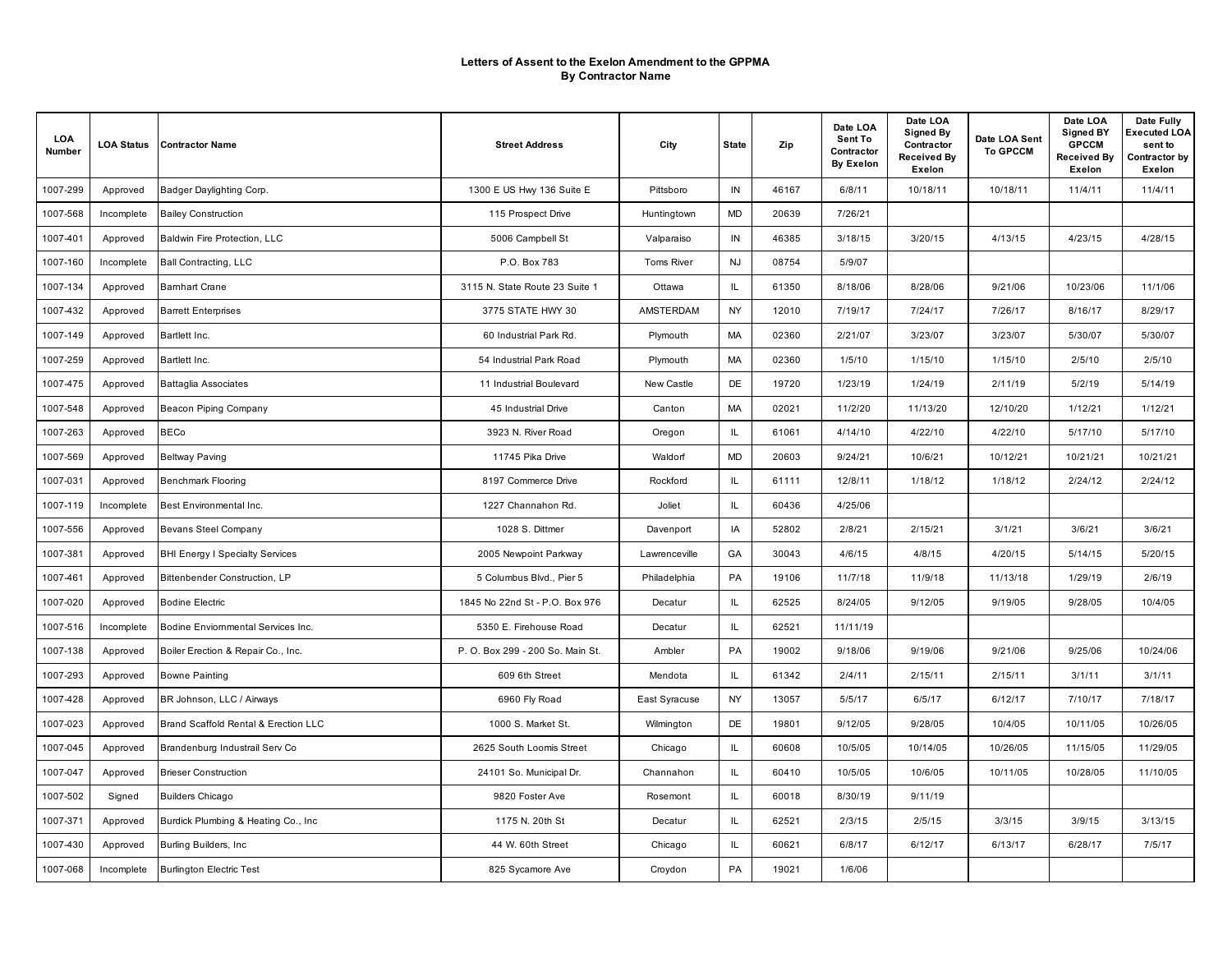| LOA<br>Number | <b>LOA Status</b> | <b>Contractor Name</b>                 | <b>Street Address</b>            | City          | <b>State</b> | Zip   | Date LOA<br>Sent To<br>Contractor<br><b>By Exelon</b> | Date LOA<br><b>Signed By</b><br>Contractor<br><b>Received By</b><br>Exelon | Date LOA Sent<br><b>To GPCCM</b> | Date LOA<br><b>Signed BY</b><br><b>GPCCM</b><br><b>Received By</b><br>Exelon | Date Fully<br>Executed LOA<br>sent to<br>Contractor by<br>Exelon |
|---------------|-------------------|----------------------------------------|----------------------------------|---------------|--------------|-------|-------------------------------------------------------|----------------------------------------------------------------------------|----------------------------------|------------------------------------------------------------------------------|------------------------------------------------------------------|
| 1007-299      | Approved          | Badger Daylighting Corp.               | 1300 E US Hwy 136 Suite E        | Pittsboro     | IN           | 46167 | 6/8/11                                                | 10/18/11                                                                   | 10/18/11                         | 11/4/11                                                                      | 11/4/11                                                          |
| 1007-568      | Incomplete        | <b>Bailey Construction</b>             | 115 Prospect Drive               | Huntingtown   | MD           | 20639 | 7/26/21                                               |                                                                            |                                  |                                                                              |                                                                  |
| 1007-401      | Approved          | Baldwin Fire Protection, LLC           | 5006 Campbell St                 | Valparaiso    | IN           | 46385 | 3/18/15                                               | 3/20/15                                                                    | 4/13/15                          | 4/23/15                                                                      | 4/28/15                                                          |
| 1007-160      | Incomplete        | <b>Ball Contracting, LLC</b>           | P.O. Box 783                     | Toms River    | <b>NJ</b>    | 08754 | 5/9/07                                                |                                                                            |                                  |                                                                              |                                                                  |
| 1007-134      | Approved          | <b>Bamhart Crane</b>                   | 3115 N. State Route 23 Suite 1   | Ottawa        | IL.          | 61350 | 8/18/06                                               | 8/28/06                                                                    | 9/21/06                          | 10/23/06                                                                     | 11/1/06                                                          |
| 1007-432      | Approved          | <b>Barrett Enterprises</b>             | 3775 STATE HWY 30                | AMSTERDAM     | NY.          | 12010 | 7/19/17                                               | 7/24/17                                                                    | 7/26/17                          | 8/16/17                                                                      | 8/29/17                                                          |
| 1007-149      | Approved          | Bartlett Inc.                          | 60 Industrial Park Rd.           | Plymouth      | MA           | 02360 | 2/21/07                                               | 3/23/07                                                                    | 3/23/07                          | 5/30/07                                                                      | 5/30/07                                                          |
| 1007-259      | Approved          | Bartlett Inc.                          | 54 Industrial Park Road          | Plymouth      | МA           | 02360 | 1/5/10                                                | 1/15/10                                                                    | 1/15/10                          | 2/5/10                                                                       | 2/5/10                                                           |
| 1007-475      | Approved          | <b>Battaglia Associates</b>            | 11 Industrial Boulevard          | New Castle    | DE           | 19720 | 1/23/19                                               | 1/24/19                                                                    | 2/11/19                          | 5/2/19                                                                       | 5/14/19                                                          |
| 1007-548      | Approved          | Beacon Piping Company                  | 45 Industrial Drive              | Canton        | MA           | 02021 | 11/2/20                                               | 11/13/20                                                                   | 12/10/20                         | 1/12/21                                                                      | 1/12/21                                                          |
| 1007-263      | Approved          | <b>BECo</b>                            | 3923 N. River Road               | Oregon        | IL.          | 61061 | 4/14/10                                               | 4/22/10                                                                    | 4/22/10                          | 5/17/10                                                                      | 5/17/10                                                          |
| 1007-569      | Approved          | <b>Beltway Paving</b>                  | 11745 Pika Drive                 | Waldorf       | <b>MD</b>    | 20603 | 9/24/21                                               | 10/6/21                                                                    | 10/12/21                         | 10/21/21                                                                     | 10/21/21                                                         |
| 1007-031      | Approved          | <b>Benchmark Flooring</b>              | 8197 Commerce Drive              | Rockford      | IL           | 61111 | 12/8/11                                               | 1/18/12                                                                    | 1/18/12                          | 2/24/12                                                                      | 2/24/12                                                          |
| 1007-119      | Incomplete        | Best Environmental Inc.                | 1227 Channahon Rd.               | Joliet        | IL.          | 60436 | 4/25/06                                               |                                                                            |                                  |                                                                              |                                                                  |
| 1007-556      | Approved          | <b>Bevans Steel Company</b>            | 1028 S. Dittmer                  | Davenport     | IA           | 52802 | 2/8/21                                                | 2/15/21                                                                    | 3/1/21                           | 3/6/21                                                                       | 3/6/21                                                           |
| 1007-381      | Approved          | <b>BHI Energy I Specialty Services</b> | 2005 Newpoint Parkway            | Lawrenceville | GA           | 30043 | 4/6/15                                                | 4/8/15                                                                     | 4/20/15                          | 5/14/15                                                                      | 5/20/15                                                          |
| 1007-461      | Approved          | Bittenbender Construction, LP          | 5 Columbus Blvd., Pier 5         | Philadelphia  | PA           | 19106 | 11/7/18                                               | 11/9/18                                                                    | 11/13/18                         | 1/29/19                                                                      | 2/6/19                                                           |
| 1007-020      | Approved          | <b>Bodine Electric</b>                 | 1845 No 22nd St - P.O. Box 976   | Decatur       | IL.          | 62525 | 8/24/05                                               | 9/12/05                                                                    | 9/19/05                          | 9/28/05                                                                      | 10/4/05                                                          |
| 1007-516      | Incomplete        | Bodine Enviommental Services Inc.      | 5350 E. Firehouse Road           | Decatur       | IL.          | 62521 | 11/11/19                                              |                                                                            |                                  |                                                                              |                                                                  |
| 1007-138      | Approved          | Boiler Erection & Repair Co., Inc.     | P. O. Box 299 - 200 So. Main St. | Ambler        | PA           | 19002 | 9/18/06                                               | 9/19/06                                                                    | 9/21/06                          | 9/25/06                                                                      | 10/24/06                                                         |
| 1007-293      | Approved          | <b>Bowne Painting</b>                  | 609 6th Street                   | Mendota       | IL.          | 61342 | 2/4/11                                                | 2/15/11                                                                    | 2/15/11                          | 3/1/11                                                                       | 3/1/11                                                           |
| 1007-428      | Approved          | BR Johnson, LLC / Airways              | 6960 Fly Road                    | East Syracuse | NY.          | 13057 | 5/5/17                                                | 6/5/17                                                                     | 6/12/17                          | 7/10/17                                                                      | 7/18/17                                                          |
| 1007-023      | Approved          | Brand Scaffold Rental & Erection LLC   | 1000 S. Market St.               | Wilmington    | DE           | 19801 | 9/12/05                                               | 9/28/05                                                                    | 10/4/05                          | 10/11/05                                                                     | 10/26/05                                                         |
| 1007-045      | Approved          | Brandenburg Industrail Serv Co         | 2625 South Loomis Street         | Chicago       | IL.          | 60608 | 10/5/05                                               | 10/14/05                                                                   | 10/26/05                         | 11/15/05                                                                     | 11/29/05                                                         |
| 1007-047      | Approved          | <b>Brieser Construction</b>            | 24101 So. Municipal Dr.          | Channahon     | IL.          | 60410 | 10/5/05                                               | 10/6/05                                                                    | 10/11/05                         | 10/28/05                                                                     | 11/10/05                                                         |
| 1007-502      | Signed            | <b>Builders Chicago</b>                | 9820 Foster Ave                  | Rosemont      | IL.          | 60018 | 8/30/19                                               | 9/11/19                                                                    |                                  |                                                                              |                                                                  |
| 1007-371      | Approved          | Burdick Plumbing & Heating Co., Inc.   | 1175 N. 20th St                  | Decatur       | IL.          | 62521 | 2/3/15                                                | 2/5/15                                                                     | 3/3/15                           | 3/9/15                                                                       | 3/13/15                                                          |
| 1007-430      | Approved          | Burling Builders, Inc.                 | 44 W. 60th Street                | Chicago       | IL.          | 60621 | 6/8/17                                                | 6/12/17                                                                    | 6/13/17                          | 6/28/17                                                                      | 7/5/17                                                           |
| 1007-068      | Incomplete        | <b>Burlington Electric Test</b>        | 825 Sycamore Ave                 | Croydon       | PA           | 19021 | 1/6/06                                                |                                                                            |                                  |                                                                              |                                                                  |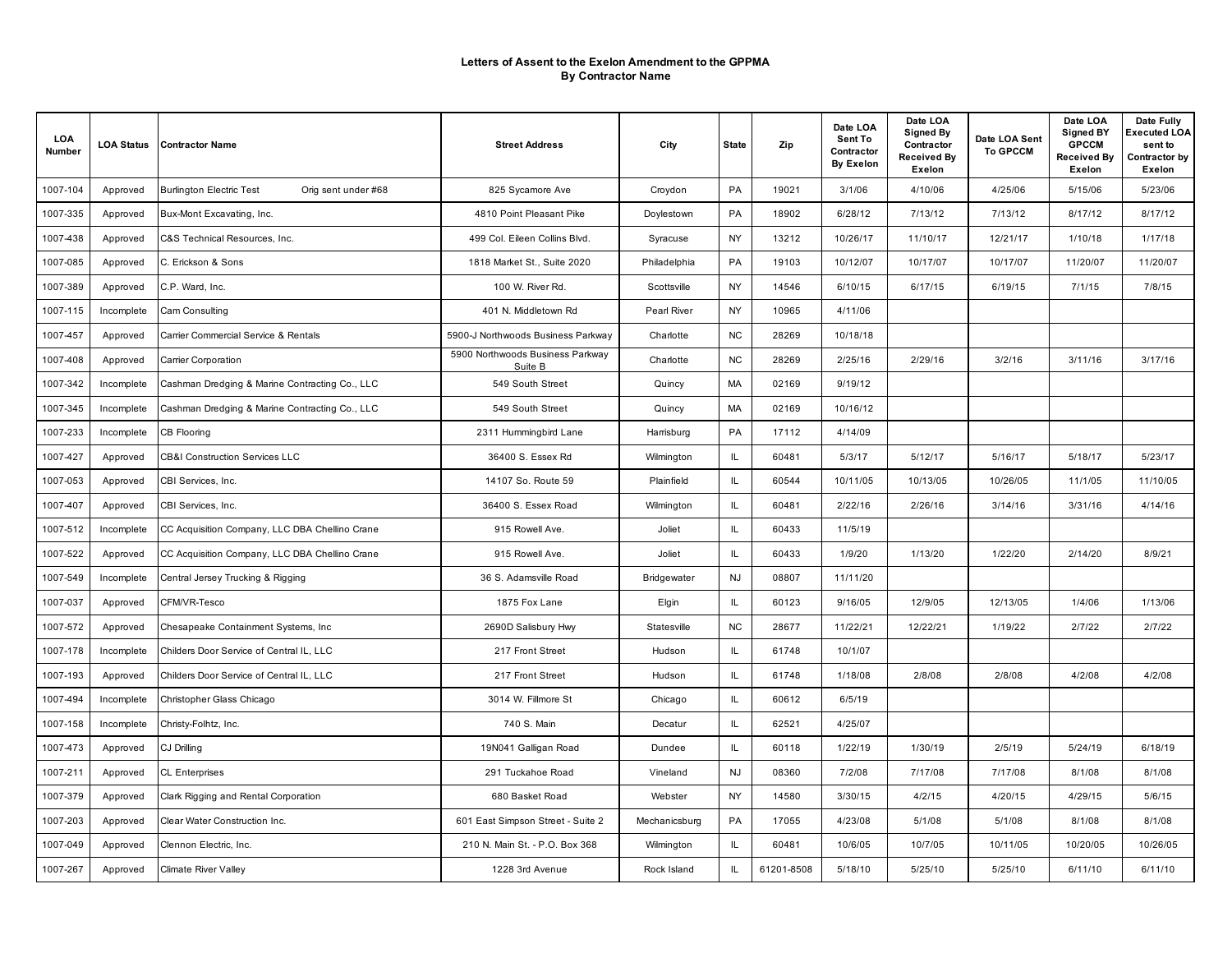| LOA<br>Number | <b>LOA Status</b> | <b>Contractor Name</b>                                 | <b>Street Address</b>                       | City          | <b>State</b> | Zip        | Date LOA<br>Sent To<br>Contractor<br><b>By Exelon</b> | Date LOA<br><b>Signed By</b><br>Contractor<br>Received By<br>Exelon | Date LOA Sent<br><b>To GPCCM</b> | Date LOA<br><b>Signed BY</b><br><b>GPCCM</b><br><b>Received By</b><br>Exelon | Date Fully<br>Executed LOA<br>sent to<br>Contractor by<br>Exelon |
|---------------|-------------------|--------------------------------------------------------|---------------------------------------------|---------------|--------------|------------|-------------------------------------------------------|---------------------------------------------------------------------|----------------------------------|------------------------------------------------------------------------------|------------------------------------------------------------------|
| 1007-104      | Approved          | <b>Burlington Electric Test</b><br>Orig sent under #68 | 825 Sycamore Ave                            | Croydon       | PA           | 19021      | 3/1/06                                                | 4/10/06                                                             | 4/25/06                          | 5/15/06                                                                      | 5/23/06                                                          |
| 1007-335      | Approved          | Bux-Mont Excavating, Inc.                              | 4810 Point Pleasant Pike                    | Doylestown    | PA           | 18902      | 6/28/12                                               | 7/13/12                                                             | 7/13/12                          | 8/17/12                                                                      | 8/17/12                                                          |
| 1007-438      | Approved          | C&S Technical Resources, Inc.                          | 499 Col. Eileen Collins Blvd.               | Syracuse      | <b>NY</b>    | 13212      | 10/26/17                                              | 11/10/17                                                            | 12/21/17                         | 1/10/18                                                                      | 1/17/18                                                          |
| 1007-085      | Approved          | C. Erickson & Sons                                     | 1818 Market St., Suite 2020                 | Philadelphia  | PA           | 19103      | 10/12/07                                              | 10/17/07                                                            | 10/17/07                         | 11/20/07                                                                     | 11/20/07                                                         |
| 1007-389      | Approved          | C.P. Ward, Inc.                                        | 100 W. River Rd.                            | Scottsville   | NY           | 14546      | 6/10/15                                               | 6/17/15                                                             | 6/19/15                          | 7/1/15                                                                       | 7/8/15                                                           |
| 1007-115      | Incomplete        | Cam Consulting                                         | 401 N. Middletown Rd                        | Pearl River   | NY           | 10965      | 4/11/06                                               |                                                                     |                                  |                                                                              |                                                                  |
| 1007-457      | Approved          | Carrier Commercial Service & Rentals                   | 5900-J Northwoods Business Parkway          | Charlotte     | <b>NC</b>    | 28269      | 10/18/18                                              |                                                                     |                                  |                                                                              |                                                                  |
| 1007-408      | Approved          | Carrier Corporation                                    | 5900 Northwoods Business Parkway<br>Suite B | Charlotte     | <b>NC</b>    | 28269      | 2/25/16                                               | 2/29/16                                                             | 3/2/16                           | 3/11/16                                                                      | 3/17/16                                                          |
| 1007-342      | Incomplete        | Cashman Dredging & Marine Contracting Co., LLC         | 549 South Street                            | Quincy        | MA           | 02169      | 9/19/12                                               |                                                                     |                                  |                                                                              |                                                                  |
| 1007-345      | Incomplete        | Cashman Dredging & Marine Contracting Co., LLC         | 549 South Street                            | Quincy        | MA           | 02169      | 10/16/12                                              |                                                                     |                                  |                                                                              |                                                                  |
| 1007-233      | Incomplete        | CB Flooring                                            | 2311 Hummingbird Lane                       | Harrisburg    | PA           | 17112      | 4/14/09                                               |                                                                     |                                  |                                                                              |                                                                  |
| 1007-427      | Approved          | <b>CB&amp;I Construction Services LLC</b>              | 36400 S. Essex Rd                           | Wilmington    | IL.          | 60481      | 5/3/17                                                | 5/12/17                                                             | 5/16/17                          | 5/18/17                                                                      | 5/23/17                                                          |
| 1007-053      | Approved          | CBI Services, Inc.                                     | 14107 So. Route 59                          | Plainfield    | IL.          | 60544      | 10/11/05                                              | 10/13/05                                                            | 10/26/05                         | 11/1/05                                                                      | 11/10/05                                                         |
| 1007-407      | Approved          | CBI Services, Inc.                                     | 36400 S. Essex Road                         | Wilmington    | IL.          | 60481      | 2/22/16                                               | 2/26/16                                                             | 3/14/16                          | 3/31/16                                                                      | 4/14/16                                                          |
| 1007-512      | Incomplete        | CC Acquisition Company, LLC DBA Chellino Crane         | 915 Rowell Ave.                             | Joliet        | IL.          | 60433      | 11/5/19                                               |                                                                     |                                  |                                                                              |                                                                  |
| 1007-522      | Approved          | CC Acquisition Company, LLC DBA Chellino Crane         | 915 Rowell Ave.                             | Joliet        | IL.          | 60433      | 1/9/20                                                | 1/13/20                                                             | 1/22/20                          | 2/14/20                                                                      | 8/9/21                                                           |
| 1007-549      | Incomplete        | Central Jersey Trucking & Rigging                      | 36 S. Adamsville Road                       | Bridgewater   | <b>NJ</b>    | 08807      | 11/11/20                                              |                                                                     |                                  |                                                                              |                                                                  |
| 1007-037      | Approved          | CFM/VR-Tesco                                           | 1875 Fox Lane                               | Elgin         | IL.          | 60123      | 9/16/05                                               | 12/9/05                                                             | 12/13/05                         | 1/4/06                                                                       | 1/13/06                                                          |
| 1007-572      | Approved          | Chesapeake Containment Systems, Inc.                   | 2690D Salisbury Hwy                         | Statesville   | <b>NC</b>    | 28677      | 11/22/21                                              | 12/22/21                                                            | 1/19/22                          | 2/7/22                                                                       | 2/7/22                                                           |
| 1007-178      | Incomplete        | Childers Door Service of Central IL, LLC               | 217 Front Street                            | Hudson        | IL.          | 61748      | 10/1/07                                               |                                                                     |                                  |                                                                              |                                                                  |
| 1007-193      | Approved          | Childers Door Service of Central IL, LLC               | 217 Front Street                            | Hudson        | IL.          | 61748      | 1/18/08                                               | 2/8/08                                                              | 2/8/08                           | 4/2/08                                                                       | 4/2/08                                                           |
| 1007-494      | Incomplete        | Christopher Glass Chicago                              | 3014 W. Fillmore St                         | Chicago       | IL.          | 60612      | 6/5/19                                                |                                                                     |                                  |                                                                              |                                                                  |
| 1007-158      | Incomplete        | Christy-Folhtz, Inc.                                   | 740 S. Main                                 | Decatur       | IL.          | 62521      | 4/25/07                                               |                                                                     |                                  |                                                                              |                                                                  |
| 1007-473      | Approved          | CJ Drilling                                            | 19N041 Galligan Road                        | Dundee        | IL.          | 60118      | 1/22/19                                               | 1/30/19                                                             | 2/5/19                           | 5/24/19                                                                      | 6/18/19                                                          |
| 1007-211      | Approved          | <b>CL Enterprises</b>                                  | 291 Tuckahoe Road                           | Vineland      | <b>NJ</b>    | 08360      | 7/2/08                                                | 7/17/08                                                             | 7/17/08                          | 8/1/08                                                                       | 8/1/08                                                           |
| 1007-379      | Approved          | Clark Rigging and Rental Corporation                   | 680 Basket Road                             | Webster       | <b>NY</b>    | 14580      | 3/30/15                                               | 4/2/15                                                              | 4/20/15                          | 4/29/15                                                                      | 5/6/15                                                           |
| 1007-203      | Approved          | Clear Water Construction Inc.                          | 601 East Simpson Street - Suite 2           | Mechanicsburg | PA           | 17055      | 4/23/08                                               | 5/1/08                                                              | 5/1/08                           | 8/1/08                                                                       | 8/1/08                                                           |
| 1007-049      | Approved          | Clennon Electric, Inc.                                 | 210 N. Main St. - P.O. Box 368              | Wilmington    | IL.          | 60481      | 10/6/05                                               | 10/7/05                                                             | 10/11/05                         | 10/20/05                                                                     | 10/26/05                                                         |
| 1007-267      | Approved          | <b>Climate River Valley</b>                            | 1228 3rd Avenue                             | Rock Island   | IL           | 61201-8508 | 5/18/10                                               | 5/25/10                                                             | 5/25/10                          | 6/11/10                                                                      | 6/11/10                                                          |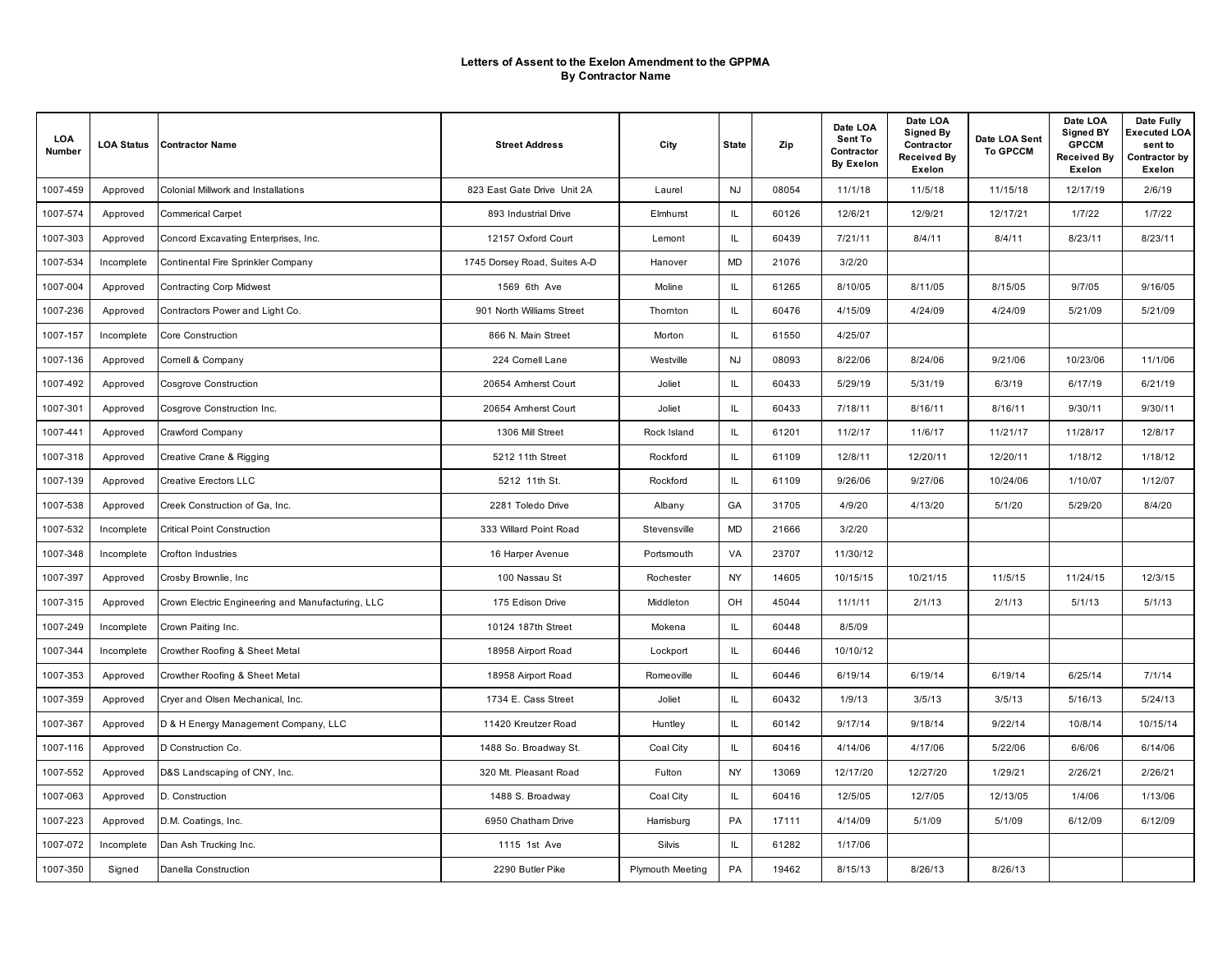| LOA<br>Number | <b>LOA Status</b> | <b>Contractor Name</b>                            | <b>Street Address</b>        | City                    | <b>State</b> | Zip   | Date LOA<br>Sent To<br>Contractor<br><b>By Exelon</b> | Date LOA<br><b>Signed By</b><br>Contractor<br>Received By<br>Exelon | Date LOA Sent<br><b>To GPCCM</b> | Date LOA<br><b>Signed BY</b><br><b>GPCCM</b><br><b>Received By</b><br>Exelon | Date Fully<br><b>Executed LOA</b><br>sent to<br>Contractor by<br>Exelon |
|---------------|-------------------|---------------------------------------------------|------------------------------|-------------------------|--------------|-------|-------------------------------------------------------|---------------------------------------------------------------------|----------------------------------|------------------------------------------------------------------------------|-------------------------------------------------------------------------|
| 1007-459      | Approved          | <b>Colonial Millwork and Installations</b>        | 823 East Gate Drive Unit 2A  | Laurel                  | <b>NJ</b>    | 08054 | 11/1/18                                               | 11/5/18                                                             | 11/15/18                         | 12/17/19                                                                     | 2/6/19                                                                  |
| 1007-574      | Approved          | <b>Commerical Carpet</b>                          | 893 Industrial Drive         | Elmhurst                | IL.          | 60126 | 12/6/21                                               | 12/9/21                                                             | 12/17/21                         | 1/7/22                                                                       | 1/7/22                                                                  |
| 1007-303      | Approved          | Concord Excavating Enterprises, Inc.              | 12157 Oxford Court           | Lemont                  | IL           | 60439 | 7/21/11                                               | 8/4/11                                                              | 8/4/11                           | 8/23/11                                                                      | 8/23/11                                                                 |
| 1007-534      | Incomplete        | Continental Fire Sprinkler Company                | 1745 Dorsey Road, Suites A-D | Hanover                 | <b>MD</b>    | 21076 | 3/2/20                                                |                                                                     |                                  |                                                                              |                                                                         |
| 1007-004      | Approved          | <b>Contracting Corp Midwest</b>                   | 1569 6th Ave                 | Moline                  | IL           | 61265 | 8/10/05                                               | 8/11/05                                                             | 8/15/05                          | 9/7/05                                                                       | 9/16/05                                                                 |
| 1007-236      | Approved          | Contractors Power and Light Co.                   | 901 North Williams Street    | Thomton                 | IL.          | 60476 | 4/15/09                                               | 4/24/09                                                             | 4/24/09                          | 5/21/09                                                                      | 5/21/09                                                                 |
| 1007-157      | Incomplete        | Core Construction                                 | 866 N. Main Street           | Morton                  | IL           | 61550 | 4/25/07                                               |                                                                     |                                  |                                                                              |                                                                         |
| 1007-136      | Approved          | Cornell & Company                                 | 224 Cornell Lane             | Westville               | <b>NJ</b>    | 08093 | 8/22/06                                               | 8/24/06                                                             | 9/21/06                          | 10/23/06                                                                     | 11/1/06                                                                 |
| 1007-492      | Approved          | <b>Cosgrove Construction</b>                      | 20654 Amherst Court          | Joliet                  | IL           | 60433 | 5/29/19                                               | 5/31/19                                                             | 6/3/19                           | 6/17/19                                                                      | 6/21/19                                                                 |
| 1007-301      | Approved          | Cosgrove Construction Inc.                        | 20654 Amherst Court          | Joliet                  | IL           | 60433 | 7/18/11                                               | 8/16/11                                                             | 8/16/11                          | 9/30/11                                                                      | 9/30/11                                                                 |
| 1007-441      | Approved          | Crawford Company                                  | 1306 Mill Street             | Rock Island             | IL.          | 61201 | 11/2/17                                               | 11/6/17                                                             | 11/21/17                         | 11/28/17                                                                     | 12/8/17                                                                 |
| 1007-318      | Approved          | Creative Crane & Rigging                          | 5212 11th Street             | Rockford                | IL           | 61109 | 12/8/11                                               | 12/20/11                                                            | 12/20/11                         | 1/18/12                                                                      | 1/18/12                                                                 |
| 1007-139      | Approved          | <b>Creative Erectors LLC</b>                      | 5212 11th St.                | Rockford                | IL           | 61109 | 9/26/06                                               | 9/27/06                                                             | 10/24/06                         | 1/10/07                                                                      | 1/12/07                                                                 |
| 1007-538      | Approved          | Creek Construction of Ga, Inc.                    | 2281 Toledo Drive            | Albany                  | GA           | 31705 | 4/9/20                                                | 4/13/20                                                             | 5/1/20                           | 5/29/20                                                                      | 8/4/20                                                                  |
| 1007-532      | Incomplete        | <b>Critical Point Construction</b>                | 333 Willard Point Road       | Stevensville            | <b>MD</b>    | 21666 | 3/2/20                                                |                                                                     |                                  |                                                                              |                                                                         |
| 1007-348      | Incomplete        | Crofton Industries                                | 16 Harper Avenue             | Portsmouth              | VA           | 23707 | 11/30/12                                              |                                                                     |                                  |                                                                              |                                                                         |
| 1007-397      | Approved          | Crosby Brownlie, Inc                              | 100 Nassau St                | Rochester               | NY           | 14605 | 10/15/15                                              | 10/21/15                                                            | 11/5/15                          | 11/24/15                                                                     | 12/3/15                                                                 |
| 1007-315      | Approved          | Crown Electric Engineering and Manufacturing, LLC | 175 Edison Drive             | Middleton               | OH           | 45044 | 11/1/11                                               | 2/1/13                                                              | 2/1/13                           | 5/1/13                                                                       | 5/1/13                                                                  |
| 1007-249      | Incomplete        | Crown Paiting Inc.                                | 10124 187th Street           | Mokena                  | IL           | 60448 | 8/5/09                                                |                                                                     |                                  |                                                                              |                                                                         |
| 1007-344      | Incomplete        | Crowther Roofing & Sheet Metal                    | 18958 Airport Road           | Lockport                | IL           | 60446 | 10/10/12                                              |                                                                     |                                  |                                                                              |                                                                         |
| 1007-353      | Approved          | Crowther Roofing & Sheet Metal                    | 18958 Airport Road           | Romeoville              | IL           | 60446 | 6/19/14                                               | 6/19/14                                                             | 6/19/14                          | 6/25/14                                                                      | 7/1/14                                                                  |
| 1007-359      | Approved          | Cryer and Olsen Mechanical, Inc.                  | 1734 E. Cass Street          | Joliet                  | IL           | 60432 | 1/9/13                                                | 3/5/13                                                              | 3/5/13                           | 5/16/13                                                                      | 5/24/13                                                                 |
| 1007-367      | Approved          | D & H Energy Management Company, LLC              | 11420 Kreutzer Road          | Huntley                 | IL           | 60142 | 9/17/14                                               | 9/18/14                                                             | 9/22/14                          | 10/8/14                                                                      | 10/15/14                                                                |
| 1007-116      | Approved          | D Construction Co.                                | 1488 So. Broadway St.        | Coal City               | IL           | 60416 | 4/14/06                                               | 4/17/06                                                             | 5/22/06                          | 6/6/06                                                                       | 6/14/06                                                                 |
| 1007-552      | Approved          | D&S Landscaping of CNY, Inc.                      | 320 Mt. Pleasant Road        | Fulton                  | NY           | 13069 | 12/17/20                                              | 12/27/20                                                            | 1/29/21                          | 2/26/21                                                                      | 2/26/21                                                                 |
| 1007-063      | Approved          | D. Construction                                   | 1488 S. Broadway             | Coal City               | IL           | 60416 | 12/5/05                                               | 12/7/05                                                             | 12/13/05                         | 1/4/06                                                                       | 1/13/06                                                                 |
| 1007-223      | Approved          | D.M. Coatings, Inc.                               | 6950 Chatham Drive           | Harrisburg              | PA           | 17111 | 4/14/09                                               | 5/1/09                                                              | 5/1/09                           | 6/12/09                                                                      | 6/12/09                                                                 |
| 1007-072      | Incomplete        | Dan Ash Trucking Inc.                             | 1115 1st Ave                 | Silvis                  | IL.          | 61282 | 1/17/06                                               |                                                                     |                                  |                                                                              |                                                                         |
| 1007-350      | Signed            | Danella Construction                              | 2290 Butler Pike             | <b>Plymouth Meeting</b> | PA           | 19462 | 8/15/13                                               | 8/26/13                                                             | 8/26/13                          |                                                                              |                                                                         |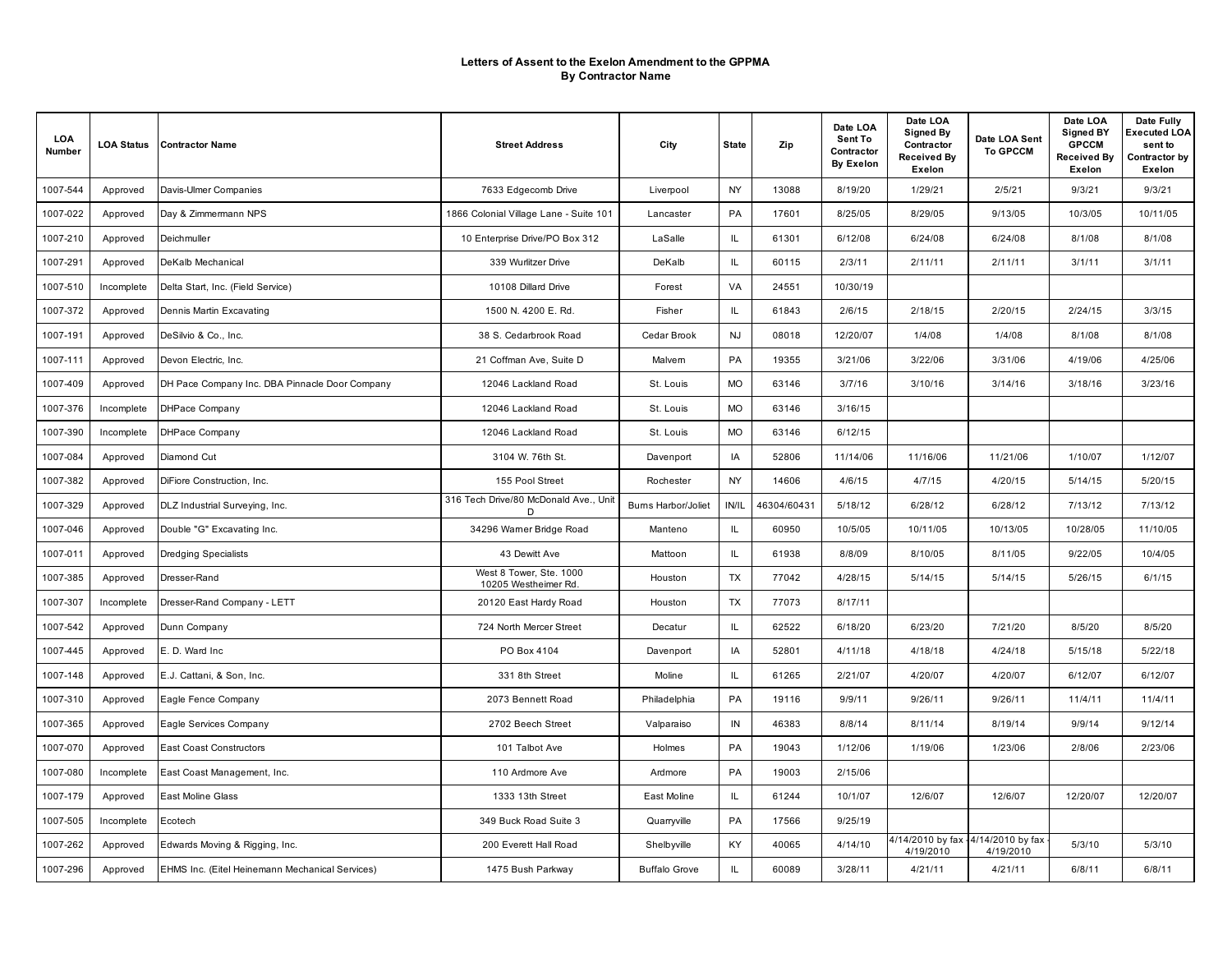| LOA<br>Number | <b>LOA Status</b> | <b>Contractor Name</b>                          | <b>Street Address</b>                           | City                 | <b>State</b> | Zip         | Date LOA<br>Sent To<br>Contractor<br><b>By Exelon</b> | Date LOA<br><b>Signed By</b><br>Contractor<br>Received By<br>Exelon | Date LOA Sent<br><b>To GPCCM</b> | Date LOA<br><b>Signed BY</b><br><b>GPCCM</b><br><b>Received By</b><br>Exelon | Date Fully<br>Executed LOA<br>sent to<br>Contractor by<br>Exelon |
|---------------|-------------------|-------------------------------------------------|-------------------------------------------------|----------------------|--------------|-------------|-------------------------------------------------------|---------------------------------------------------------------------|----------------------------------|------------------------------------------------------------------------------|------------------------------------------------------------------|
| 1007-544      | Approved          | Davis-Ulmer Companies                           | 7633 Edgecomb Drive                             | Liverpool            | <b>NY</b>    | 13088       | 8/19/20                                               | 1/29/21                                                             | 2/5/21                           | 9/3/21                                                                       | 9/3/21                                                           |
| 1007-022      | Approved          | Day & Zimmermann NPS                            | 1866 Colonial Village Lane - Suite 101          | Lancaster            | PA           | 17601       | 8/25/05                                               | 8/29/05                                                             | 9/13/05                          | 10/3/05                                                                      | 10/11/05                                                         |
| 1007-210      | Approved          | Deichmuller                                     | 10 Enterprise Drive/PO Box 312                  | LaSalle              | IL.          | 61301       | 6/12/08                                               | 6/24/08                                                             | 6/24/08                          | 8/1/08                                                                       | 8/1/08                                                           |
| 1007-291      | Approved          | DeKalb Mechanical                               | 339 Wurlitzer Drive                             | DeKalb               | IL.          | 60115       | 2/3/11                                                | 2/11/11                                                             | 2/11/11                          | 3/1/11                                                                       | 3/1/11                                                           |
| 1007-510      | Incomplete        | Delta Start, Inc. (Field Service)               | 10108 Dillard Drive                             | Forest               | VA           | 24551       | 10/30/19                                              |                                                                     |                                  |                                                                              |                                                                  |
| 1007-372      | Approved          | Dennis Martin Excavating                        | 1500 N. 4200 E. Rd.                             | Fisher               | IL.          | 61843       | 2/6/15                                                | 2/18/15                                                             | 2/20/15                          | 2/24/15                                                                      | 3/3/15                                                           |
| 1007-191      | Approved          | DeSilvio & Co., Inc.                            | 38 S. Cedarbrook Road                           | Cedar Brook          | <b>NJ</b>    | 08018       | 12/20/07                                              | 1/4/08                                                              | 1/4/08                           | 8/1/08                                                                       | 8/1/08                                                           |
| 1007-111      | Approved          | Devon Electric, Inc.                            | 21 Coffman Ave, Suite D                         | Malvern              | PA           | 19355       | 3/21/06                                               | 3/22/06                                                             | 3/31/06                          | 4/19/06                                                                      | 4/25/06                                                          |
| 1007-409      | Approved          | DH Pace Company Inc. DBA Pinnacle Door Company  | 12046 Lackland Road                             | St. Louis            | <b>MO</b>    | 63146       | 3/7/16                                                | 3/10/16                                                             | 3/14/16                          | 3/18/16                                                                      | 3/23/16                                                          |
| 1007-376      | Incomplete        | <b>DHPace Company</b>                           | 12046 Lackland Road                             | St. Louis            | <b>MO</b>    | 63146       | 3/16/15                                               |                                                                     |                                  |                                                                              |                                                                  |
| 1007-390      | Incomplete        | <b>DHPace Company</b>                           | 12046 Lackland Road                             | St. Louis            | <b>MO</b>    | 63146       | 6/12/15                                               |                                                                     |                                  |                                                                              |                                                                  |
| 1007-084      | Approved          | Diamond Cut                                     | 3104 W. 76th St.                                | Davenport            | IA           | 52806       | 11/14/06                                              | 11/16/06                                                            | 11/21/06                         | 1/10/07                                                                      | 1/12/07                                                          |
| 1007-382      | Approved          | DiFiore Construction, Inc.                      | 155 Pool Street                                 | Rochester            | <b>NY</b>    | 14606       | 4/6/15                                                | 4/7/15                                                              | 4/20/15                          | 5/14/15                                                                      | 5/20/15                                                          |
| 1007-329      | Approved          | DLZ Industrial Surveying, Inc.                  | 316 Tech Drive/80 McDonald Ave., Unit<br>D      | Burns Harbor/Joliet  | IN/IL        | 46304/60431 | 5/18/12                                               | 6/28/12                                                             | 6/28/12                          | 7/13/12                                                                      | 7/13/12                                                          |
| 1007-046      | Approved          | Double "G" Excavating Inc.                      | 34296 Warner Bridge Road                        | Manteno              | IL           | 60950       | 10/5/05                                               | 10/11/05                                                            | 10/13/05                         | 10/28/05                                                                     | 11/10/05                                                         |
| 1007-011      | Approved          | <b>Dredging Specialists</b>                     | 43 Dewitt Ave                                   | Mattoon              | IL           | 61938       | 8/8/09                                                | 8/10/05                                                             | 8/11/05                          | 9/22/05                                                                      | 10/4/05                                                          |
| 1007-385      | Approved          | Dresser-Rand                                    | West 8 Tower, Ste. 1000<br>10205 Westheimer Rd. | Houston              | TX           | 77042       | 4/28/15                                               | 5/14/15                                                             | 5/14/15                          | 5/26/15                                                                      | 6/1/15                                                           |
| 1007-307      | Incomplete        | Dresser-Rand Company - LETT                     | 20120 East Hardy Road                           | Houston              | TX           | 77073       | 8/17/11                                               |                                                                     |                                  |                                                                              |                                                                  |
| 1007-542      | Approved          | Dunn Company                                    | 724 North Mercer Street                         | Decatur              | IL.          | 62522       | 6/18/20                                               | 6/23/20                                                             | 7/21/20                          | 8/5/20                                                                       | 8/5/20                                                           |
| 1007-445      | Approved          | E. D. Ward Inc.                                 | PO Box 4104                                     | Davenport            | IA           | 52801       | 4/11/18                                               | 4/18/18                                                             | 4/24/18                          | 5/15/18                                                                      | 5/22/18                                                          |
| 1007-148      | Approved          | E.J. Cattani, & Son, Inc.                       | 331 8th Street                                  | Moline               | IL.          | 61265       | 2/21/07                                               | 4/20/07                                                             | 4/20/07                          | 6/12/07                                                                      | 6/12/07                                                          |
| 1007-310      | Approved          | Eagle Fence Company                             | 2073 Bennett Road                               | Philadelphia         | PA           | 19116       | 9/9/11                                                | 9/26/11                                                             | 9/26/11                          | 11/4/11                                                                      | 11/4/11                                                          |
| 1007-365      | Approved          | Eagle Services Company                          | 2702 Beech Street                               | Valparaiso           | IN           | 46383       | 8/8/14                                                | 8/11/14                                                             | 8/19/14                          | 9/9/14                                                                       | 9/12/14                                                          |
| 1007-070      | Approved          | <b>East Coast Constructors</b>                  | 101 Talbot Ave                                  | Holmes               | PA           | 19043       | 1/12/06                                               | 1/19/06                                                             | 1/23/06                          | 2/8/06                                                                       | 2/23/06                                                          |
| 1007-080      | Incomplete        | East Coast Management, Inc.                     | 110 Ardmore Ave                                 | Ardmore              | PA           | 19003       | 2/15/06                                               |                                                                     |                                  |                                                                              |                                                                  |
| 1007-179      | Approved          | East Moline Glass                               | 1333 13th Street                                | East Moline          | IL           | 61244       | 10/1/07                                               | 12/6/07                                                             | 12/6/07                          | 12/20/07                                                                     | 12/20/07                                                         |
| 1007-505      | Incomplete        | Ecotech                                         | 349 Buck Road Suite 3                           | Quarryville          | PA           | 17566       | 9/25/19                                               |                                                                     |                                  |                                                                              |                                                                  |
| 1007-262      | Approved          | Edwards Moving & Rigging, Inc.                  | 200 Everett Hall Road                           | Shelbyville          | KY           | 40065       | 4/14/10                                               | 4/14/2010 by fax - 4/14/2010 by fax<br>4/19/2010                    | 4/19/2010                        | 5/3/10                                                                       | 5/3/10                                                           |
| 1007-296      | Approved          | EHMS Inc. (Eitel Heinemann Mechanical Services) | 1475 Bush Parkway                               | <b>Buffalo Grove</b> | IL.          | 60089       | 3/28/11                                               | 4/21/11                                                             | 4/21/11                          | 6/8/11                                                                       | 6/8/11                                                           |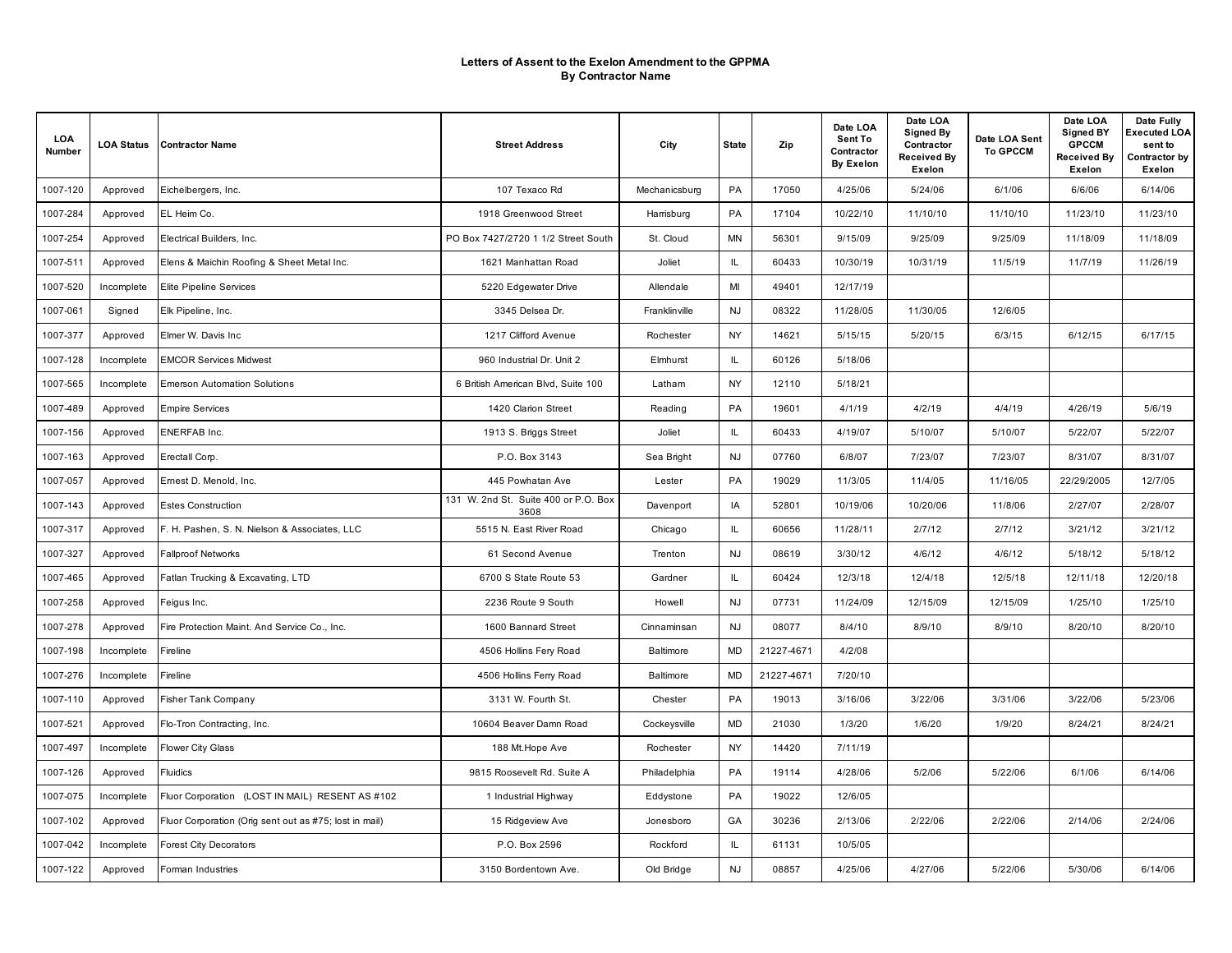| LOA<br>Number | <b>LOA Status</b> | <b>Contractor Name</b>                                 | <b>Street Address</b>                        | City          | <b>State</b> | Zip        | Date LOA<br>Sent To<br>Contractor<br><b>By Exelon</b> | Date LOA<br><b>Signed By</b><br>Contractor<br>Received By<br>Exelon | Date LOA Sent<br><b>To GPCCM</b> | Date LOA<br><b>Signed BY</b><br><b>GPCCM</b><br><b>Received By</b><br>Exelon | Date Fully<br><b>Executed LOA</b><br>sent to<br>Contractor by<br>Exelon |
|---------------|-------------------|--------------------------------------------------------|----------------------------------------------|---------------|--------------|------------|-------------------------------------------------------|---------------------------------------------------------------------|----------------------------------|------------------------------------------------------------------------------|-------------------------------------------------------------------------|
| 1007-120      | Approved          | Eichelbergers, Inc.                                    | 107 Texaco Rd                                | Mechanicsburg | PA           | 17050      | 4/25/06                                               | 5/24/06                                                             | 6/1/06                           | 6/6/06                                                                       | 6/14/06                                                                 |
| 1007-284      | Approved          | EL Heim Co.                                            | 1918 Greenwood Street                        | Harrisburg    | PA           | 17104      | 10/22/10                                              | 11/10/10                                                            | 11/10/10                         | 11/23/10                                                                     | 11/23/10                                                                |
| 1007-254      | Approved          | Electrical Builders, Inc.                              | PO Box 7427/2720 1 1/2 Street South          | St. Cloud     | <b>MN</b>    | 56301      | 9/15/09                                               | 9/25/09                                                             | 9/25/09                          | 11/18/09                                                                     | 11/18/09                                                                |
| 1007-511      | Approved          | Elens & Maichin Roofing & Sheet Metal Inc.             | 1621 Manhattan Road                          | Joliet        | IL.          | 60433      | 10/30/19                                              | 10/31/19                                                            | 11/5/19                          | 11/7/19                                                                      | 11/26/19                                                                |
| 1007-520      | Incomplete        | <b>Elite Pipeline Services</b>                         | 5220 Edgewater Drive                         | Allendale     | MI           | 49401      | 12/17/19                                              |                                                                     |                                  |                                                                              |                                                                         |
| 1007-061      | Signed            | Elk Pipeline, Inc.                                     | 3345 Delsea Dr.                              | Franklinville | <b>NJ</b>    | 08322      | 11/28/05                                              | 11/30/05                                                            | 12/6/05                          |                                                                              |                                                                         |
| 1007-377      | Approved          | Elmer W. Davis Inc                                     | 1217 Clifford Avenue                         | Rochester     | <b>NY</b>    | 14621      | 5/15/15                                               | 5/20/15                                                             | 6/3/15                           | 6/12/15                                                                      | 6/17/15                                                                 |
| 1007-128      | Incomplete        | <b>EMCOR Services Midwest</b>                          | 960 Industrial Dr. Unit 2                    | Elmhurst      | IL.          | 60126      | 5/18/06                                               |                                                                     |                                  |                                                                              |                                                                         |
| 1007-565      | Incomplete        | <b>Emerson Automation Solutions</b>                    | 6 British American Blvd, Suite 100           | Latham        | NY           | 12110      | 5/18/21                                               |                                                                     |                                  |                                                                              |                                                                         |
| 1007-489      | Approved          | <b>Empire Services</b>                                 | 1420 Clarion Street                          | Reading       | PA           | 19601      | 4/1/19                                                | 4/2/19                                                              | 4/4/19                           | 4/26/19                                                                      | 5/6/19                                                                  |
| 1007-156      | Approved          | <b>ENERFAB Inc.</b>                                    | 1913 S. Briggs Street                        | Joliet        | IL.          | 60433      | 4/19/07                                               | 5/10/07                                                             | 5/10/07                          | 5/22/07                                                                      | 5/22/07                                                                 |
| 1007-163      | Approved          | Erectall Corp.                                         | P.O. Box 3143                                | Sea Bright    | <b>NJ</b>    | 07760      | 6/8/07                                                | 7/23/07                                                             | 7/23/07                          | 8/31/07                                                                      | 8/31/07                                                                 |
| 1007-057      | Approved          | Emest D. Menold, Inc.                                  | 445 Powhatan Ave                             | Lester        | PA           | 19029      | 11/3/05                                               | 11/4/05                                                             | 11/16/05                         | 22/29/2005                                                                   | 12/7/05                                                                 |
| 1007-143      | Approved          | <b>Estes Construction</b>                              | 131 W. 2nd St. Suite 400 or P.O. Box<br>3608 | Davenport     | IA           | 52801      | 10/19/06                                              | 10/20/06                                                            | 11/8/06                          | 2/27/07                                                                      | 2/28/07                                                                 |
| 1007-317      | Approved          | F. H. Pashen, S. N. Nielson & Associates, LLC          | 5515 N. East River Road                      | Chicago       | IL           | 60656      | 11/28/11                                              | 2/7/12                                                              | 2/7/12                           | 3/21/12                                                                      | 3/21/12                                                                 |
| 1007-327      | Approved          | <b>Fallproof Networks</b>                              | 61 Second Avenue                             | Trenton       | <b>NJ</b>    | 08619      | 3/30/12                                               | 4/6/12                                                              | 4/6/12                           | 5/18/12                                                                      | 5/18/12                                                                 |
| 1007-465      | Approved          | Fatlan Trucking & Excavating, LTD                      | 6700 S State Route 53                        | Gardner       | IL           | 60424      | 12/3/18                                               | 12/4/18                                                             | 12/5/18                          | 12/11/18                                                                     | 12/20/18                                                                |
| 1007-258      | Approved          | Feigus Inc.                                            | 2236 Route 9 South                           | Howell        | <b>NJ</b>    | 07731      | 11/24/09                                              | 12/15/09                                                            | 12/15/09                         | 1/25/10                                                                      | 1/25/10                                                                 |
| 1007-278      | Approved          | Fire Protection Maint. And Service Co., Inc.           | 1600 Bannard Street                          | Cinnaminsan   | <b>NJ</b>    | 08077      | 8/4/10                                                | 8/9/10                                                              | 8/9/10                           | 8/20/10                                                                      | 8/20/10                                                                 |
| 1007-198      | Incomplete        | Fireline                                               | 4506 Hollins Fery Road                       | Baltimore     | <b>MD</b>    | 21227-4671 | 4/2/08                                                |                                                                     |                                  |                                                                              |                                                                         |
| 1007-276      | Incomplete        | Fireline                                               | 4506 Hollins Ferry Road                      | Baltimore     | MD           | 21227-4671 | 7/20/10                                               |                                                                     |                                  |                                                                              |                                                                         |
| 1007-110      | Approved          | <b>Fisher Tank Company</b>                             | 3131 W. Fourth St.                           | Chester       | PA           | 19013      | 3/16/06                                               | 3/22/06                                                             | 3/31/06                          | 3/22/06                                                                      | 5/23/06                                                                 |
| 1007-521      | Approved          | Flo-Tron Contracting, Inc.                             | 10604 Beaver Damn Road                       | Cockeysville  | <b>MD</b>    | 21030      | 1/3/20                                                | 1/6/20                                                              | 1/9/20                           | 8/24/21                                                                      | 8/24/21                                                                 |
| 1007-497      | Incomplete        | <b>Flower City Glass</b>                               | 188 Mt. Hope Ave                             | Rochester     | <b>NY</b>    | 14420      | 7/11/19                                               |                                                                     |                                  |                                                                              |                                                                         |
| 1007-126      | Approved          | Fluidics                                               | 9815 Roosevelt Rd. Suite A                   | Philadelphia  | PA           | 19114      | 4/28/06                                               | 5/2/06                                                              | 5/22/06                          | 6/1/06                                                                       | 6/14/06                                                                 |
| 1007-075      | Incomplete        | Fluor Corporation (LOST IN MAIL) RESENT AS #102        | 1 Industrial Highway                         | Eddystone     | PA           | 19022      | 12/6/05                                               |                                                                     |                                  |                                                                              |                                                                         |
| 1007-102      | Approved          | Fluor Corporation (Orig sent out as #75; lost in mail) | 15 Ridgeview Ave                             | Jonesboro     | GA           | 30236      | 2/13/06                                               | 2/22/06                                                             | 2/22/06                          | 2/14/06                                                                      | 2/24/06                                                                 |
| 1007-042      | Incomplete        | <b>Forest City Decorators</b>                          | P.O. Box 2596                                | Rockford      | IL.          | 61131      | 10/5/05                                               |                                                                     |                                  |                                                                              |                                                                         |
| 1007-122      | Approved          | Forman Industries                                      | 3150 Bordentown Ave.                         | Old Bridge    | <b>NJ</b>    | 08857      | 4/25/06                                               | 4/27/06                                                             | 5/22/06                          | 5/30/06                                                                      | 6/14/06                                                                 |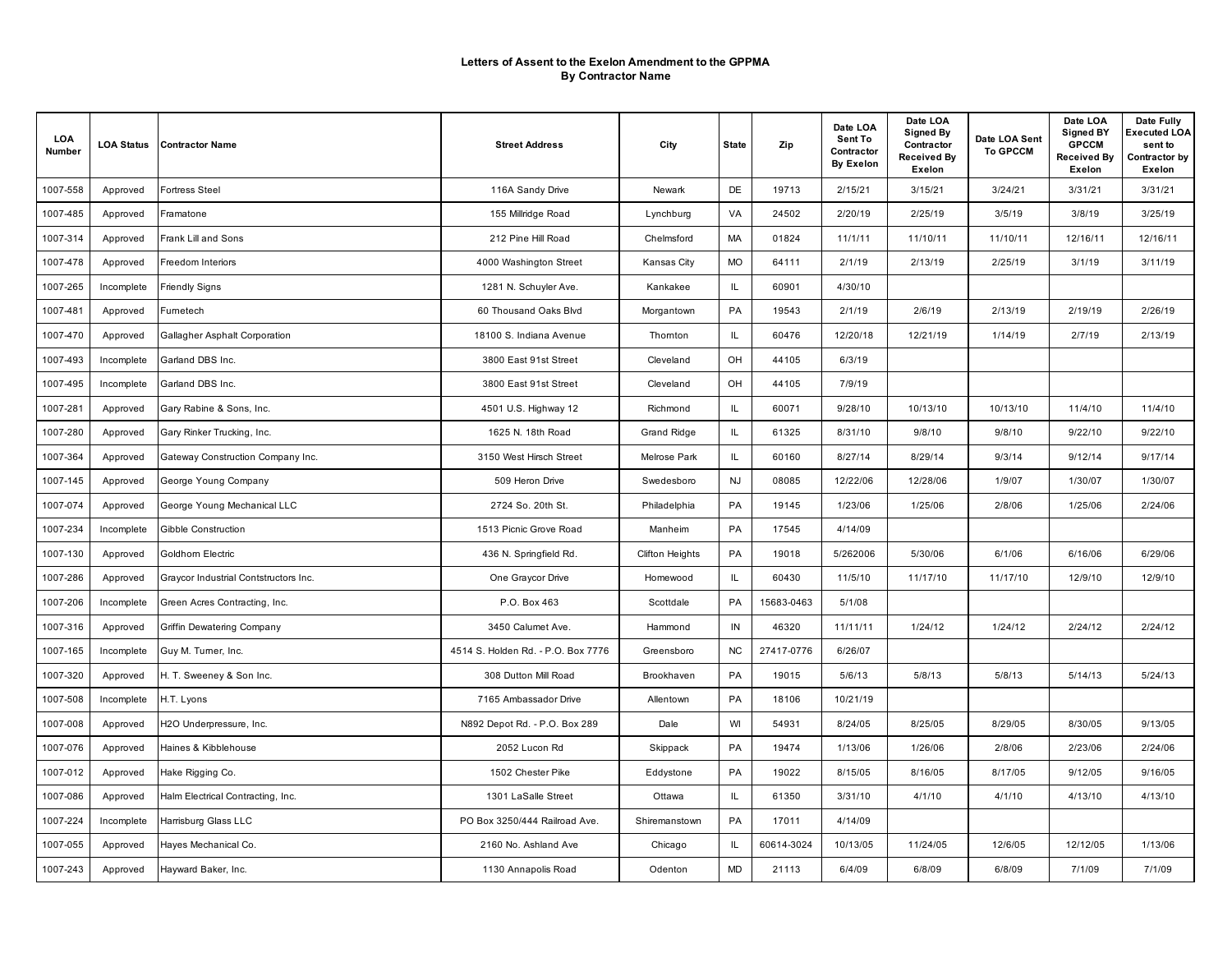| LOA<br>Number | <b>LOA Status</b> | <b>Contractor Name</b>                | <b>Street Address</b>              | City                   | <b>State</b> | Zip        | Date LOA<br>Sent To<br>Contractor<br><b>By Exelon</b> | Date LOA<br><b>Signed By</b><br>Contractor<br>Received By<br>Exelon | Date LOA Sent<br><b>To GPCCM</b> | Date LOA<br><b>Signed BY</b><br><b>GPCCM</b><br><b>Received By</b><br>Exelon | Date Fully<br>Executed LOA<br>sent to<br>Contractor by<br>Exelon |
|---------------|-------------------|---------------------------------------|------------------------------------|------------------------|--------------|------------|-------------------------------------------------------|---------------------------------------------------------------------|----------------------------------|------------------------------------------------------------------------------|------------------------------------------------------------------|
| 1007-558      | Approved          | <b>Fortress Steel</b>                 | 116A Sandy Drive                   | Newark                 | DE           | 19713      | 2/15/21                                               | 3/15/21                                                             | 3/24/21                          | 3/31/21                                                                      | 3/31/21                                                          |
| 1007-485      | Approved          | Framatone                             | 155 Millridge Road                 | Lynchburg              | VA           | 24502      | 2/20/19                                               | 2/25/19                                                             | 3/5/19                           | 3/8/19                                                                       | 3/25/19                                                          |
| 1007-314      | Approved          | Frank Lill and Sons                   | 212 Pine Hill Road                 | Chelmsford             | <b>MA</b>    | 01824      | 11/1/11                                               | 11/10/11                                                            | 11/10/11                         | 12/16/11                                                                     | 12/16/11                                                         |
| 1007-478      | Approved          | <b>Freedom Interiors</b>              | 4000 Washington Street             | Kansas City            | <b>MO</b>    | 64111      | 2/1/19                                                | 2/13/19                                                             | 2/25/19                          | 3/1/19                                                                       | 3/11/19                                                          |
| 1007-265      | Incomplete        | <b>Friendly Signs</b>                 | 1281 N. Schuyler Ave.              | Kankakee               | IL.          | 60901      | 4/30/10                                               |                                                                     |                                  |                                                                              |                                                                  |
| 1007-481      | Approved          | Fumetech                              | 60 Thousand Oaks Blvd              | Morgantown             | PA           | 19543      | 2/1/19                                                | 2/6/19                                                              | 2/13/19                          | 2/19/19                                                                      | 2/26/19                                                          |
| 1007-470      | Approved          | Gallagher Asphalt Corporation         | 18100 S. Indiana Avenue            | Thomton                | IL           | 60476      | 12/20/18                                              | 12/21/19                                                            | 1/14/19                          | 2/7/19                                                                       | 2/13/19                                                          |
| 1007-493      | Incomplete        | Garland DBS Inc.                      | 3800 East 91st Street              | Cleveland              | OH           | 44105      | 6/3/19                                                |                                                                     |                                  |                                                                              |                                                                  |
| 1007-495      | Incomplete        | Garland DBS Inc.                      | 3800 East 91st Street              | Cleveland              | OH           | 44105      | 7/9/19                                                |                                                                     |                                  |                                                                              |                                                                  |
| 1007-281      | Approved          | Gary Rabine & Sons, Inc.              | 4501 U.S. Highway 12               | Richmond               | IL.          | 60071      | 9/28/10                                               | 10/13/10                                                            | 10/13/10                         | 11/4/10                                                                      | 11/4/10                                                          |
| 1007-280      | Approved          | Gary Rinker Trucking, Inc.            | 1625 N. 18th Road                  | Grand Ridge            | IL.          | 61325      | 8/31/10                                               | 9/8/10                                                              | 9/8/10                           | 9/22/10                                                                      | 9/22/10                                                          |
| 1007-364      | Approved          | Gateway Construction Company Inc.     | 3150 West Hirsch Street            | Melrose Park           | IL.          | 60160      | 8/27/14                                               | 8/29/14                                                             | 9/3/14                           | 9/12/14                                                                      | 9/17/14                                                          |
| 1007-145      | Approved          | George Young Company                  | 509 Heron Drive                    | Swedesboro             | <b>NJ</b>    | 08085      | 12/22/06                                              | 12/28/06                                                            | 1/9/07                           | 1/30/07                                                                      | 1/30/07                                                          |
| 1007-074      | Approved          | George Young Mechanical LLC           | 2724 So. 20th St.                  | Philadelphia           | PA           | 19145      | 1/23/06                                               | 1/25/06                                                             | 2/8/06                           | 1/25/06                                                                      | 2/24/06                                                          |
| 1007-234      | Incomplete        | Gibble Construction                   | 1513 Picnic Grove Road             | Manheim                | PA           | 17545      | 4/14/09                                               |                                                                     |                                  |                                                                              |                                                                  |
| 1007-130      | Approved          | Goldhorn Electric                     | 436 N. Springfield Rd.             | <b>Clifton Heights</b> | PA           | 19018      | 5/262006                                              | 5/30/06                                                             | 6/1/06                           | 6/16/06                                                                      | 6/29/06                                                          |
| 1007-286      | Approved          | Graycor Industrial Contstructors Inc. | One Graycor Drive                  | Homewood               | IL.          | 60430      | 11/5/10                                               | 11/17/10                                                            | 11/17/10                         | 12/9/10                                                                      | 12/9/10                                                          |
| 1007-206      | Incomplete        | Green Acres Contracting, Inc.         | P.O. Box 463                       | Scottdale              | PA           | 15683-0463 | 5/1/08                                                |                                                                     |                                  |                                                                              |                                                                  |
| 1007-316      | Approved          | Griffin Dewatering Company            | 3450 Calumet Ave.                  | Hammond                | IN           | 46320      | 11/11/11                                              | 1/24/12                                                             | 1/24/12                          | 2/24/12                                                                      | 2/24/12                                                          |
| 1007-165      | Incomplete        | Guy M. Turner, Inc.                   | 4514 S. Holden Rd. - P.O. Box 7776 | Greensboro             | <b>NC</b>    | 27417-0776 | 6/26/07                                               |                                                                     |                                  |                                                                              |                                                                  |
| 1007-320      | Approved          | H. T. Sweeney & Son Inc.              | 308 Dutton Mill Road               | Brookhaven             | PA           | 19015      | 5/6/13                                                | 5/8/13                                                              | 5/8/13                           | 5/14/13                                                                      | 5/24/13                                                          |
| 1007-508      | Incomplete        | H.T. Lyons                            | 7165 Ambassador Drive              | Allentown              | PA           | 18106      | 10/21/19                                              |                                                                     |                                  |                                                                              |                                                                  |
| 1007-008      | Approved          | H2O Underpressure, Inc.               | N892 Depot Rd. - P.O. Box 289      | Dale                   | WI           | 54931      | 8/24/05                                               | 8/25/05                                                             | 8/29/05                          | 8/30/05                                                                      | 9/13/05                                                          |
| 1007-076      | Approved          | Haines & Kibblehouse                  | 2052 Lucon Rd                      | Skippack               | PA           | 19474      | 1/13/06                                               | 1/26/06                                                             | 2/8/06                           | 2/23/06                                                                      | 2/24/06                                                          |
| 1007-012      | Approved          | Hake Rigging Co.                      | 1502 Chester Pike                  | Eddystone              | PA           | 19022      | 8/15/05                                               | 8/16/05                                                             | 8/17/05                          | 9/12/05                                                                      | 9/16/05                                                          |
| 1007-086      | Approved          | Halm Electrical Contracting, Inc.     | 1301 LaSalle Street                | Ottawa                 | IL.          | 61350      | 3/31/10                                               | 4/1/10                                                              | 4/1/10                           | 4/13/10                                                                      | 4/13/10                                                          |
| 1007-224      | Incomplete        | Harrisburg Glass LLC                  | PO Box 3250/444 Railroad Ave.      | Shiremanstown          | PA           | 17011      | 4/14/09                                               |                                                                     |                                  |                                                                              |                                                                  |
| 1007-055      | Approved          | Hayes Mechanical Co.                  | 2160 No. Ashland Ave               | Chicago                | IL.          | 60614-3024 | 10/13/05                                              | 11/24/05                                                            | 12/6/05                          | 12/12/05                                                                     | 1/13/06                                                          |
| 1007-243      | Approved          | Hayward Baker, Inc.                   | 1130 Annapolis Road                | Odenton                | <b>MD</b>    | 21113      | 6/4/09                                                | 6/8/09                                                              | 6/8/09                           | 7/1/09                                                                       | 7/1/09                                                           |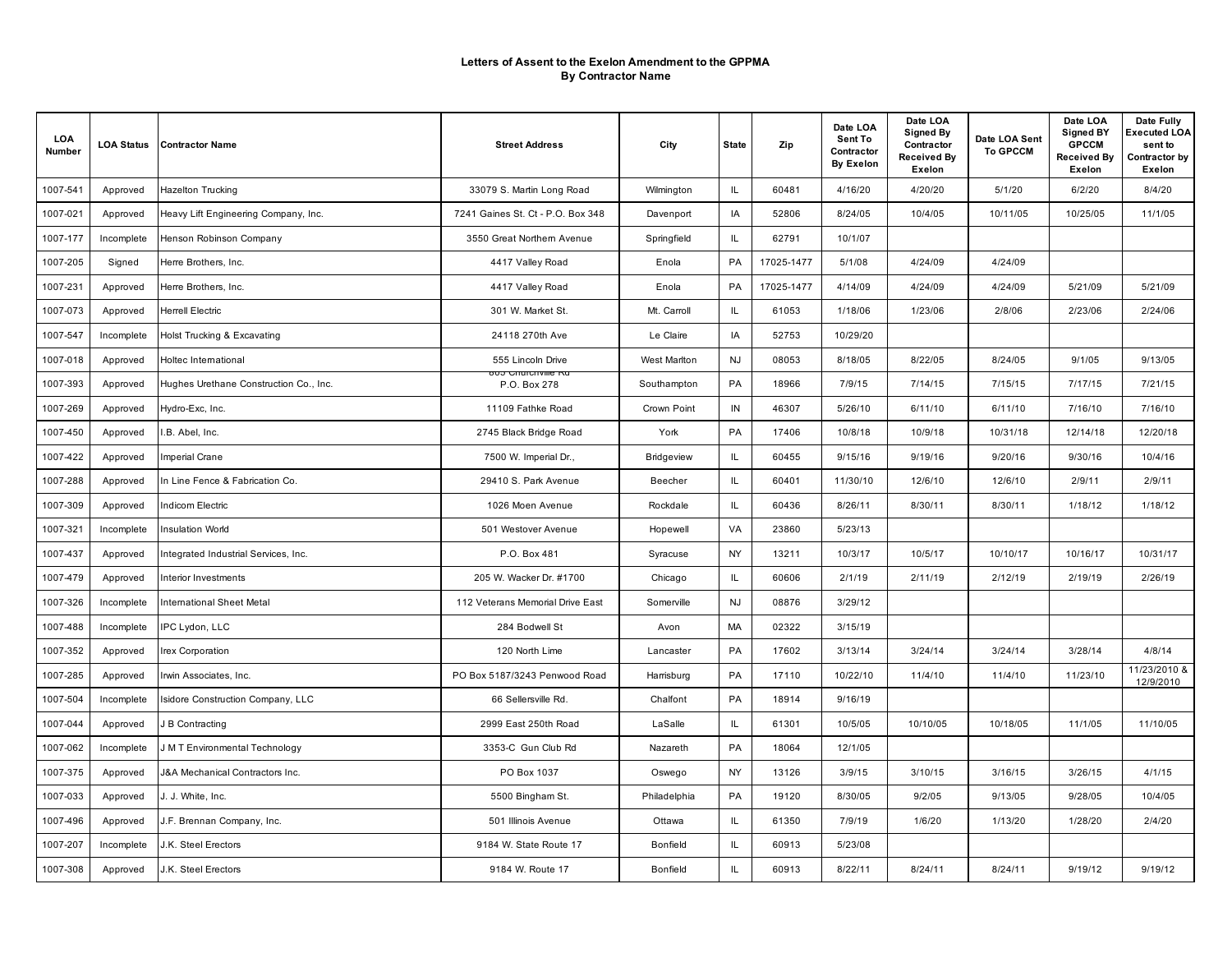| LOA<br>Number | <b>LOA Status</b> | <b>Contractor Name</b>                 | <b>Street Address</b>                | City            | <b>State</b> | Zip        | Date LOA<br>Sent To<br>Contractor<br><b>By Exelon</b> | Date LOA<br><b>Signed By</b><br>Contractor<br>Received By<br>Exelon | Date LOA Sent<br><b>To GPCCM</b> | Date LOA<br><b>Signed BY</b><br><b>GPCCM</b><br><b>Received By</b><br>Exelon | Date Fully<br>Executed LOA<br>sent to<br>Contractor by<br>Exelon |
|---------------|-------------------|----------------------------------------|--------------------------------------|-----------------|--------------|------------|-------------------------------------------------------|---------------------------------------------------------------------|----------------------------------|------------------------------------------------------------------------------|------------------------------------------------------------------|
| 1007-541      | Approved          | <b>Hazelton Trucking</b>               | 33079 S. Martin Long Road            | Wilmington      | IL.          | 60481      | 4/16/20                                               | 4/20/20                                                             | 5/1/20                           | 6/2/20                                                                       | 8/4/20                                                           |
| 1007-021      | Approved          | Heavy Lift Engineering Company, Inc.   | 7241 Gaines St. Ct - P.O. Box 348    | Davenport       | IA           | 52806      | 8/24/05                                               | 10/4/05                                                             | 10/11/05                         | 10/25/05                                                                     | 11/1/05                                                          |
| 1007-177      | Incomplete        | Henson Robinson Company                | 3550 Great Northern Avenue           | Springfield     | IL.          | 62791      | 10/1/07                                               |                                                                     |                                  |                                                                              |                                                                  |
| 1007-205      | Signed            | Herre Brothers, Inc.                   | 4417 Valley Road                     | Enola           | PA           | 17025-1477 | 5/1/08                                                | 4/24/09                                                             | 4/24/09                          |                                                                              |                                                                  |
| 1007-231      | Approved          | Herre Brothers, Inc.                   | 4417 Valley Road                     | Enola           | PA           | 17025-1477 | 4/14/09                                               | 4/24/09                                                             | 4/24/09                          | 5/21/09                                                                      | 5/21/09                                                          |
| 1007-073      | Approved          | <b>Herrell Electric</b>                | 301 W. Market St.                    | Mt. Carroll     | IL.          | 61053      | 1/18/06                                               | 1/23/06                                                             | 2/8/06                           | 2/23/06                                                                      | 2/24/06                                                          |
| 1007-547      | Incomplete        | Holst Trucking & Excavating            | 24118 270th Ave                      | Le Claire       | IA           | 52753      | 10/29/20                                              |                                                                     |                                  |                                                                              |                                                                  |
| 1007-018      | Approved          | Holtec International                   | 555 Lincoln Drive                    | West Marlton    | <b>NJ</b>    | 08053      | 8/18/05                                               | 8/22/05                                                             | 8/24/05                          | 9/1/05                                                                       | 9/13/05                                                          |
| 1007-393      | Approved          | Hughes Urethane Construction Co., Inc. | ovo Citutativille Nu<br>P.O. Box 278 | Southampton     | PA           | 18966      | 7/9/15                                                | 7/14/15                                                             | 7/15/15                          | 7/17/15                                                                      | 7/21/15                                                          |
| 1007-269      | Approved          | Hydro-Exc, Inc.                        | 11109 Fathke Road                    | Crown Point     | IN           | 46307      | 5/26/10                                               | 6/11/10                                                             | 6/11/10                          | 7/16/10                                                                      | 7/16/10                                                          |
| 1007-450      | Approved          | I.B. Abel, Inc.                        | 2745 Black Bridge Road               | York            | PA           | 17406      | 10/8/18                                               | 10/9/18                                                             | 10/31/18                         | 12/14/18                                                                     | 12/20/18                                                         |
| 1007-422      | Approved          | Imperial Crane                         | 7500 W. Imperial Dr.,                | Bridgeview      | IL.          | 60455      | 9/15/16                                               | 9/19/16                                                             | 9/20/16                          | 9/30/16                                                                      | 10/4/16                                                          |
| 1007-288      | Approved          | In Line Fence & Fabrication Co.        | 29410 S. Park Avenue                 | Beecher         | IL.          | 60401      | 11/30/10                                              | 12/6/10                                                             | 12/6/10                          | 2/9/11                                                                       | 2/9/11                                                           |
| 1007-309      | Approved          | Indicom Electric                       | 1026 Moen Avenue                     | Rockdale        | IL.          | 60436      | 8/26/11                                               | 8/30/11                                                             | 8/30/11                          | 1/18/12                                                                      | 1/18/12                                                          |
| 1007-321      | Incomplete        | <b>Insulation World</b>                | 501 Westover Avenue                  | Hopewell        | VA           | 23860      | 5/23/13                                               |                                                                     |                                  |                                                                              |                                                                  |
| 1007-437      | Approved          | Integrated Industrial Services, Inc.   | P.O. Box 481                         | Syracuse        | <b>NY</b>    | 13211      | 10/3/17                                               | 10/5/17                                                             | 10/10/17                         | 10/16/17                                                                     | 10/31/17                                                         |
| 1007-479      | Approved          | Interior Investments                   | 205 W. Wacker Dr. #1700              | Chicago         | IL.          | 60606      | 2/1/19                                                | 2/11/19                                                             | 2/12/19                          | 2/19/19                                                                      | 2/26/19                                                          |
| 1007-326      | Incomplete        | International Sheet Metal              | 112 Veterans Memorial Drive East     | Somerville      | <b>NJ</b>    | 08876      | 3/29/12                                               |                                                                     |                                  |                                                                              |                                                                  |
| 1007-488      | Incomplete        | IPC Lydon, LLC                         | 284 Bodwell St                       | Avon            | <b>MA</b>    | 02322      | 3/15/19                                               |                                                                     |                                  |                                                                              |                                                                  |
| 1007-352      | Approved          | Irex Corporation                       | 120 North Lime                       | Lancaster       | PA           | 17602      | 3/13/14                                               | 3/24/14                                                             | 3/24/14                          | 3/28/14                                                                      | 4/8/14                                                           |
| 1007-285      | Approved          | Irwin Associates, Inc.                 | PO Box 5187/3243 Penwood Road        | Harrisburg      | PA           | 17110      | 10/22/10                                              | 11/4/10                                                             | 11/4/10                          | 11/23/10                                                                     | 11/23/2010 &<br>12/9/2010                                        |
| 1007-504      | Incomplete        | Isidore Construction Company, LLC      | 66 Sellersville Rd.                  | Chalfont        | PA           | 18914      | 9/16/19                                               |                                                                     |                                  |                                                                              |                                                                  |
| 1007-044      | Approved          | J B Contracting                        | 2999 East 250th Road                 | LaSalle         | IL.          | 61301      | 10/5/05                                               | 10/10/05                                                            | 10/18/05                         | 11/1/05                                                                      | 11/10/05                                                         |
| 1007-062      | Incomplete        | J M T Environmental Technology         | 3353-C Gun Club Rd                   | Nazareth        | PA           | 18064      | 12/1/05                                               |                                                                     |                                  |                                                                              |                                                                  |
| 1007-375      | Approved          | J&A Mechanical Contractors Inc.        | PO Box 1037                          | Oswego          | <b>NY</b>    | 13126      | 3/9/15                                                | 3/10/15                                                             | 3/16/15                          | 3/26/15                                                                      | 4/1/15                                                           |
| 1007-033      | Approved          | J. J. White, Inc.                      | 5500 Bingham St.                     | Philadelphia    | PA           | 19120      | 8/30/05                                               | 9/2/05                                                              | 9/13/05                          | 9/28/05                                                                      | 10/4/05                                                          |
| 1007-496      | Approved          | J.F. Brennan Company, Inc.             | 501 Illinois Avenue                  | Ottawa          | IL.          | 61350      | 7/9/19                                                | 1/6/20                                                              | 1/13/20                          | 1/28/20                                                                      | 2/4/20                                                           |
| 1007-207      | Incomplete        | J.K. Steel Erectors                    | 9184 W. State Route 17               | <b>Bonfield</b> | IL           | 60913      | 5/23/08                                               |                                                                     |                                  |                                                                              |                                                                  |
| 1007-308      | Approved          | J.K. Steel Erectors                    | 9184 W. Route 17                     | <b>Bonfield</b> | IL.          | 60913      | 8/22/11                                               | 8/24/11                                                             | 8/24/11                          | 9/19/12                                                                      | 9/19/12                                                          |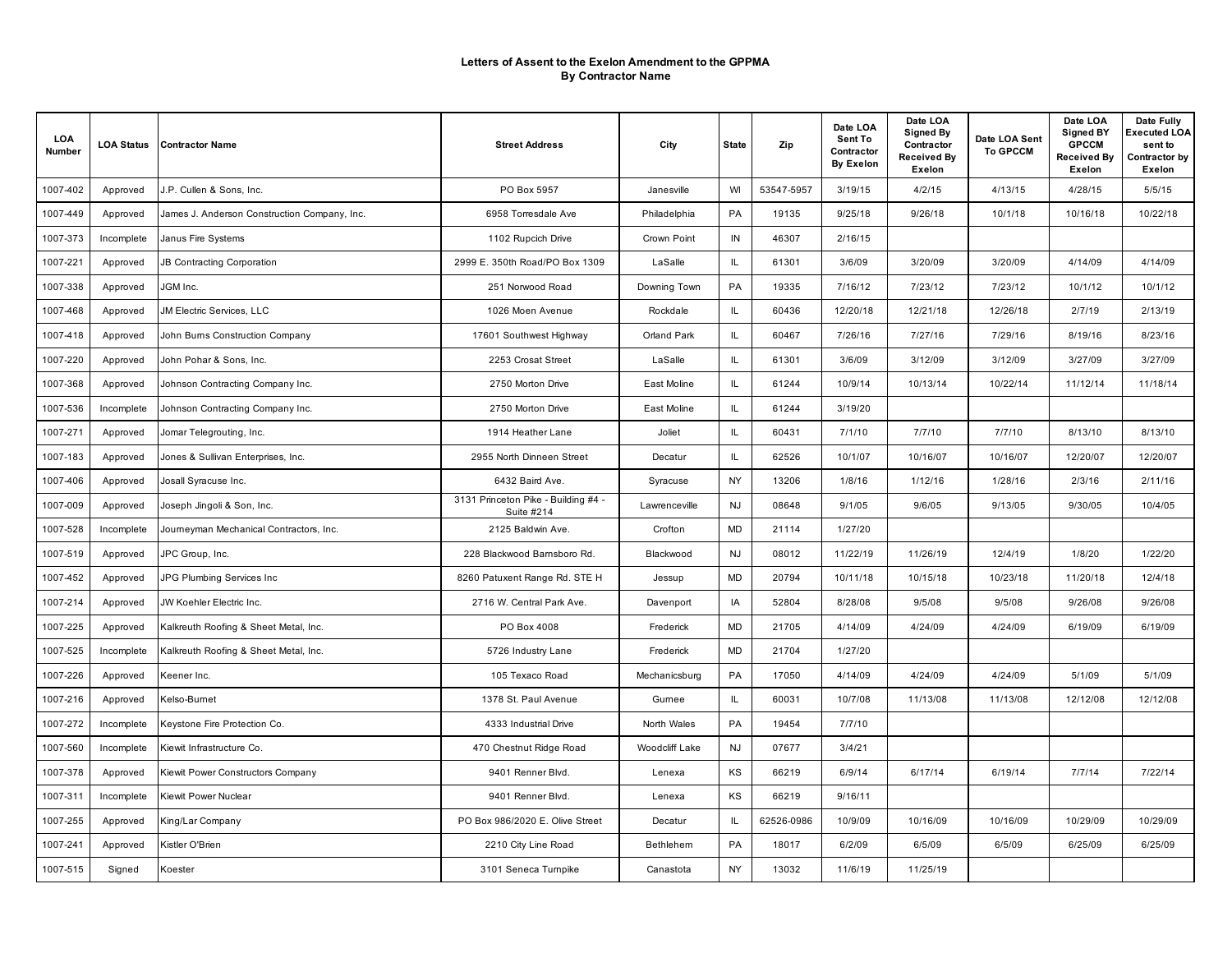| LOA<br>Number | <b>LOA Status</b> | <b>Contractor Name</b>                       | <b>Street Address</b>                             | City           | <b>State</b> | Zip        | Date LOA<br>Sent To<br>Contractor<br><b>By Exelon</b> | Date LOA<br><b>Signed By</b><br>Contractor<br><b>Received By</b><br>Exelon | Date LOA Sent<br><b>To GPCCM</b> | Date LOA<br><b>Signed BY</b><br><b>GPCCM</b><br><b>Received By</b><br>Exelon | Date Fully<br><b>Executed LOA</b><br>sent to<br>Contractor by<br>Exelon |
|---------------|-------------------|----------------------------------------------|---------------------------------------------------|----------------|--------------|------------|-------------------------------------------------------|----------------------------------------------------------------------------|----------------------------------|------------------------------------------------------------------------------|-------------------------------------------------------------------------|
| 1007-402      | Approved          | J.P. Cullen & Sons. Inc.                     | PO Box 5957                                       | Janesville     | WI           | 53547-5957 | 3/19/15                                               | 4/2/15                                                                     | 4/13/15                          | 4/28/15                                                                      | 5/5/15                                                                  |
| 1007-449      | Approved          | James J. Anderson Construction Company, Inc. | 6958 Torresdale Ave                               | Philadelphia   | PA           | 19135      | 9/25/18                                               | 9/26/18                                                                    | 10/1/18                          | 10/16/18                                                                     | 10/22/18                                                                |
| 1007-373      | Incomplete        | Janus Fire Systems                           | 1102 Rupcich Drive                                | Crown Point    | IN           | 46307      | 2/16/15                                               |                                                                            |                                  |                                                                              |                                                                         |
| 1007-221      | Approved          | JB Contracting Corporation                   | 2999 E. 350th Road/PO Box 1309                    | LaSalle        | IL.          | 61301      | 3/6/09                                                | 3/20/09                                                                    | 3/20/09                          | 4/14/09                                                                      | 4/14/09                                                                 |
| 1007-338      | Approved          | JGM Inc.                                     | 251 Norwood Road                                  | Downing Town   | PA           | 19335      | 7/16/12                                               | 7/23/12                                                                    | 7/23/12                          | 10/1/12                                                                      | 10/1/12                                                                 |
| 1007-468      | Approved          | <b>JM Electric Services, LLC</b>             | 1026 Moen Avenue                                  | Rockdale       | IL           | 60436      | 12/20/18                                              | 12/21/18                                                                   | 12/26/18                         | 2/7/19                                                                       | 2/13/19                                                                 |
| 1007-418      | Approved          | John Burns Construction Company              | 17601 Southwest Highway                           | Orland Park    | IL.          | 60467      | 7/26/16                                               | 7/27/16                                                                    | 7/29/16                          | 8/19/16                                                                      | 8/23/16                                                                 |
| 1007-220      | Approved          | John Pohar & Sons, Inc.                      | 2253 Crosat Street                                | LaSalle        | IL           | 61301      | 3/6/09                                                | 3/12/09                                                                    | 3/12/09                          | 3/27/09                                                                      | 3/27/09                                                                 |
| 1007-368      | Approved          | Johnson Contracting Company Inc.             | 2750 Morton Drive                                 | East Moline    | IL.          | 61244      | 10/9/14                                               | 10/13/14                                                                   | 10/22/14                         | 11/12/14                                                                     | 11/18/14                                                                |
| 1007-536      | Incomplete        | Johnson Contracting Company Inc.             | 2750 Morton Drive                                 | East Moline    | IL           | 61244      | 3/19/20                                               |                                                                            |                                  |                                                                              |                                                                         |
| 1007-271      | Approved          | Jomar Telegrouting, Inc.                     | 1914 Heather Lane                                 | Joliet         | IL.          | 60431      | 7/1/10                                                | 7/7/10                                                                     | 7/7/10                           | 8/13/10                                                                      | 8/13/10                                                                 |
| 1007-183      | Approved          | Jones & Sullivan Enterprises, Inc.           | 2955 North Dinneen Street                         | Decatur        | IL           | 62526      | 10/1/07                                               | 10/16/07                                                                   | 10/16/07                         | 12/20/07                                                                     | 12/20/07                                                                |
| 1007-406      | Approved          | Josall Syracuse Inc.                         | 6432 Baird Ave.                                   | Syracuse       | NY           | 13206      | 1/8/16                                                | 1/12/16                                                                    | 1/28/16                          | 2/3/16                                                                       | 2/11/16                                                                 |
| 1007-009      | Approved          | Joseph Jingoli & Son, Inc.                   | 3131 Princeton Pike - Building #4 -<br>Suite #214 | Lawrenceville  | NJ           | 08648      | 9/1/05                                                | 9/6/05                                                                     | 9/13/05                          | 9/30/05                                                                      | 10/4/05                                                                 |
| 1007-528      | Incomplete        | Journeyman Mechanical Contractors, Inc.      | 2125 Baldwin Ave.                                 | Crofton        | MD           | 21114      | 1/27/20                                               |                                                                            |                                  |                                                                              |                                                                         |
| 1007-519      | Approved          | JPC Group, Inc.                              | 228 Blackwood Bamsboro Rd.                        | Blackwood      | <b>NJ</b>    | 08012      | 11/22/19                                              | 11/26/19                                                                   | 12/4/19                          | 1/8/20                                                                       | 1/22/20                                                                 |
| 1007-452      | Approved          | JPG Plumbing Services Inc                    | 8260 Patuxent Range Rd. STE H                     | Jessup         | MD           | 20794      | 10/11/18                                              | 10/15/18                                                                   | 10/23/18                         | 11/20/18                                                                     | 12/4/18                                                                 |
| 1007-214      | Approved          | JW Koehler Electric Inc.                     | 2716 W. Central Park Ave.                         | Davenport      | IA           | 52804      | 8/28/08                                               | 9/5/08                                                                     | 9/5/08                           | 9/26/08                                                                      | 9/26/08                                                                 |
| 1007-225      | Approved          | Kalkreuth Roofing & Sheet Metal, Inc.        | PO Box 4008                                       | Frederick      | MD           | 21705      | 4/14/09                                               | 4/24/09                                                                    | 4/24/09                          | 6/19/09                                                                      | 6/19/09                                                                 |
| 1007-525      | Incomplete        | Kalkreuth Roofing & Sheet Metal, Inc.        | 5726 Industry Lane                                | Frederick      | <b>MD</b>    | 21704      | 1/27/20                                               |                                                                            |                                  |                                                                              |                                                                         |
| 1007-226      | Approved          | Keener Inc.                                  | 105 Texaco Road                                   | Mechanicsburg  | PA           | 17050      | 4/14/09                                               | 4/24/09                                                                    | 4/24/09                          | 5/1/09                                                                       | 5/1/09                                                                  |
| 1007-216      | Approved          | Kelso-Burnet                                 | 1378 St. Paul Avenue                              | Gumee          | IL           | 60031      | 10/7/08                                               | 11/13/08                                                                   | 11/13/08                         | 12/12/08                                                                     | 12/12/08                                                                |
| 1007-272      | Incomplete        | Keystone Fire Protection Co.                 | 4333 Industrial Drive                             | North Wales    | PA           | 19454      | 7/7/10                                                |                                                                            |                                  |                                                                              |                                                                         |
| 1007-560      | Incomplete        | Kiewit Infrastructure Co.                    | 470 Chestnut Ridge Road                           | Woodcliff Lake | <b>NJ</b>    | 07677      | 3/4/21                                                |                                                                            |                                  |                                                                              |                                                                         |
| 1007-378      | Approved          | Kiewit Power Constructors Company            | 9401 Renner Blvd.                                 | Lenexa         | KS           | 66219      | 6/9/14                                                | 6/17/14                                                                    | 6/19/14                          | 7/7/14                                                                       | 7/22/14                                                                 |
| 1007-311      | Incomplete        | Kiewit Power Nuclear                         | 9401 Renner Blvd.                                 | Lenexa         | KS           | 66219      | 9/16/11                                               |                                                                            |                                  |                                                                              |                                                                         |
| 1007-255      | Approved          | King/Lar Company                             | PO Box 986/2020 E. Olive Street                   | Decatur        | IL.          | 62526-0986 | 10/9/09                                               | 10/16/09                                                                   | 10/16/09                         | 10/29/09                                                                     | 10/29/09                                                                |
| 1007-241      | Approved          | Kistler O'Brien                              | 2210 City Line Road                               | Bethlehem      | PA           | 18017      | 6/2/09                                                | 6/5/09                                                                     | 6/5/09                           | 6/25/09                                                                      | 6/25/09                                                                 |
| 1007-515      | Signed            | Koester                                      | 3101 Seneca Tumpike                               | Canastota      | NY           | 13032      | 11/6/19                                               | 11/25/19                                                                   |                                  |                                                                              |                                                                         |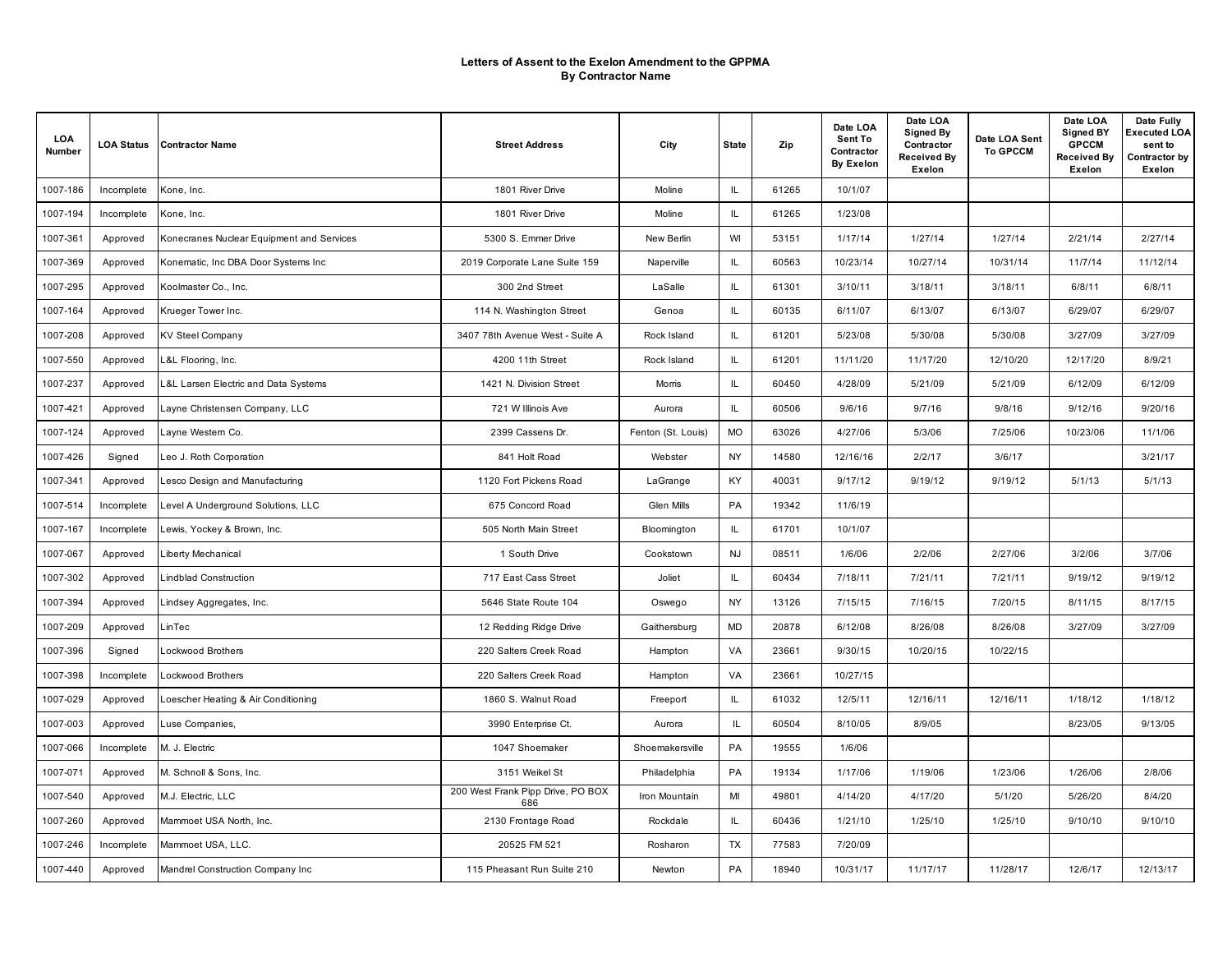| LOA<br>Number | <b>LOA Status</b> | <b>Contractor Name</b>                    | <b>Street Address</b>                    | City               | <b>State</b>  | Zip   | Date LOA<br>Sent To<br>Contractor<br><b>By Exelon</b> | Date LOA<br><b>Signed By</b><br>Contractor<br><b>Received By</b><br>Exelon | Date LOA Sent<br><b>To GPCCM</b> | Date LOA<br><b>Signed BY</b><br><b>GPCCM</b><br><b>Received By</b><br>Exelon | Date Fully<br><b>Executed LOA</b><br>sent to<br>Contractor by<br>Exelon |
|---------------|-------------------|-------------------------------------------|------------------------------------------|--------------------|---------------|-------|-------------------------------------------------------|----------------------------------------------------------------------------|----------------------------------|------------------------------------------------------------------------------|-------------------------------------------------------------------------|
| 1007-186      | Incomplete        | Kone, Inc.                                | 1801 River Drive                         | Moline             | $\mathsf{IL}$ | 61265 | 10/1/07                                               |                                                                            |                                  |                                                                              |                                                                         |
| 1007-194      | Incomplete        | Kone, Inc.                                | 1801 River Drive                         | Moline             | IL            | 61265 | 1/23/08                                               |                                                                            |                                  |                                                                              |                                                                         |
| 1007-361      | Approved          | Konecranes Nuclear Equipment and Services | 5300 S. Emmer Drive                      | New Berlin         | WI            | 53151 | 1/17/14                                               | 1/27/14                                                                    | 1/27/14                          | 2/21/14                                                                      | 2/27/14                                                                 |
| 1007-369      | Approved          | Konematic, Inc DBA Door Systems Inc       | 2019 Corporate Lane Suite 159            | Naperville         | IL            | 60563 | 10/23/14                                              | 10/27/14                                                                   | 10/31/14                         | 11/7/14                                                                      | 11/12/14                                                                |
| 1007-295      | Approved          | Koolmaster Co., Inc.                      | 300 2nd Street                           | LaSalle            | IL            | 61301 | 3/10/11                                               | 3/18/11                                                                    | 3/18/11                          | 6/8/11                                                                       | 6/8/11                                                                  |
| 1007-164      | Approved          | Krueger Tower Inc.                        | 114 N. Washington Street                 | Genoa              | IL            | 60135 | 6/11/07                                               | 6/13/07                                                                    | 6/13/07                          | 6/29/07                                                                      | 6/29/07                                                                 |
| 1007-208      | Approved          | <b>KV Steel Company</b>                   | 3407 78th Avenue West - Suite A          | Rock Island        | IL            | 61201 | 5/23/08                                               | 5/30/08                                                                    | 5/30/08                          | 3/27/09                                                                      | 3/27/09                                                                 |
| 1007-550      | Approved          | L&L Flooring, Inc.                        | 4200 11th Street                         | Rock Island        | IL            | 61201 | 11/11/20                                              | 11/17/20                                                                   | 12/10/20                         | 12/17/20                                                                     | 8/9/21                                                                  |
| 1007-237      | Approved          | L&L Larsen Electric and Data Systems      | 1421 N. Division Street                  | Morris             | IL            | 60450 | 4/28/09                                               | 5/21/09                                                                    | 5/21/09                          | 6/12/09                                                                      | 6/12/09                                                                 |
| 1007-421      | Approved          | Layne Christensen Company, LLC            | 721 W Illinois Ave                       | Aurora             | IL            | 60506 | 9/6/16                                                | 9/7/16                                                                     | 9/8/16                           | 9/12/16                                                                      | 9/20/16                                                                 |
| 1007-124      | Approved          | Layne Westem Co.                          | 2399 Cassens Dr.                         | Fenton (St. Louis) | MO            | 63026 | 4/27/06                                               | 5/3/06                                                                     | 7/25/06                          | 10/23/06                                                                     | 11/1/06                                                                 |
| 1007-426      | Signed            | Leo J. Roth Corporation                   | 841 Holt Road                            | Webster            | NY            | 14580 | 12/16/16                                              | 2/2/17                                                                     | 3/6/17                           |                                                                              | 3/21/17                                                                 |
| 1007-341      | Approved          | Lesco Design and Manufacturing            | 1120 Fort Pickens Road                   | LaGrange           | KY            | 40031 | 9/17/12                                               | 9/19/12                                                                    | 9/19/12                          | 5/1/13                                                                       | 5/1/13                                                                  |
| 1007-514      | Incomplete        | Level A Underground Solutions, LLC        | 675 Concord Road                         | Glen Mills         | PA            | 19342 | 11/6/19                                               |                                                                            |                                  |                                                                              |                                                                         |
| 1007-167      | Incomplete        | Lewis, Yockey & Brown, Inc.               | 505 North Main Street                    | Bloomington        | IL            | 61701 | 10/1/07                                               |                                                                            |                                  |                                                                              |                                                                         |
| 1007-067      | Approved          | Liberty Mechanical                        | 1 South Drive                            | Cookstown          | <b>NJ</b>     | 08511 | 1/6/06                                                | 2/2/06                                                                     | 2/27/06                          | 3/2/06                                                                       | 3/7/06                                                                  |
| 1007-302      | Approved          | Lindblad Construction                     | 717 East Cass Street                     | Joliet             | IL            | 60434 | 7/18/11                                               | 7/21/11                                                                    | 7/21/11                          | 9/19/12                                                                      | 9/19/12                                                                 |
| 1007-394      | Approved          | Lindsey Aggregates, Inc.                  | 5646 State Route 104                     | Oswego             | NY            | 13126 | 7/15/15                                               | 7/16/15                                                                    | 7/20/15                          | 8/11/15                                                                      | 8/17/15                                                                 |
| 1007-209      | Approved          | LinTec                                    | 12 Redding Ridge Drive                   | Gaithersburg       | <b>MD</b>     | 20878 | 6/12/08                                               | 8/26/08                                                                    | 8/26/08                          | 3/27/09                                                                      | 3/27/09                                                                 |
| 1007-396      | Signed            | Lockwood Brothers                         | 220 Salters Creek Road                   | Hampton            | VA            | 23661 | 9/30/15                                               | 10/20/15                                                                   | 10/22/15                         |                                                                              |                                                                         |
| 1007-398      | Incomplete        | Lockwood Brothers                         | 220 Salters Creek Road                   | Hampton            | VA            | 23661 | 10/27/15                                              |                                                                            |                                  |                                                                              |                                                                         |
| 1007-029      | Approved          | Loescher Heating & Air Conditioning       | 1860 S. Walnut Road                      | Freeport           | IL            | 61032 | 12/5/11                                               | 12/16/11                                                                   | 12/16/11                         | 1/18/12                                                                      | 1/18/12                                                                 |
| 1007-003      | Approved          | Luse Companies,                           | 3990 Enterprise Ct.                      | Aurora             | IL            | 60504 | 8/10/05                                               | 8/9/05                                                                     |                                  | 8/23/05                                                                      | 9/13/05                                                                 |
| 1007-066      | Incomplete        | M. J. Electric                            | 1047 Shoemaker                           | Shoemakersville    | PA            | 19555 | 1/6/06                                                |                                                                            |                                  |                                                                              |                                                                         |
| 1007-071      | Approved          | M. Schnoll & Sons, Inc.                   | 3151 Weikel St                           | Philadelphia       | PA            | 19134 | 1/17/06                                               | 1/19/06                                                                    | 1/23/06                          | 1/26/06                                                                      | 2/8/06                                                                  |
| 1007-540      | Approved          | M.J. Electric, LLC                        | 200 West Frank Pipp Drive, PO BOX<br>686 | Iron Mountain      | MI            | 49801 | 4/14/20                                               | 4/17/20                                                                    | 5/1/20                           | 5/26/20                                                                      | 8/4/20                                                                  |
| 1007-260      | Approved          | Mammoet USA North, Inc.                   | 2130 Frontage Road                       | Rockdale           | IL            | 60436 | 1/21/10                                               | 1/25/10                                                                    | 1/25/10                          | 9/10/10                                                                      | 9/10/10                                                                 |
| 1007-246      | Incomplete        | Mammoet USA, LLC.                         | 20525 FM 521                             | Rosharon           | TX            | 77583 | 7/20/09                                               |                                                                            |                                  |                                                                              |                                                                         |
| 1007-440      | Approved          | Mandrel Construction Company Inc          | 115 Pheasant Run Suite 210               | Newton             | PA            | 18940 | 10/31/17                                              | 11/17/17                                                                   | 11/28/17                         | 12/6/17                                                                      | 12/13/17                                                                |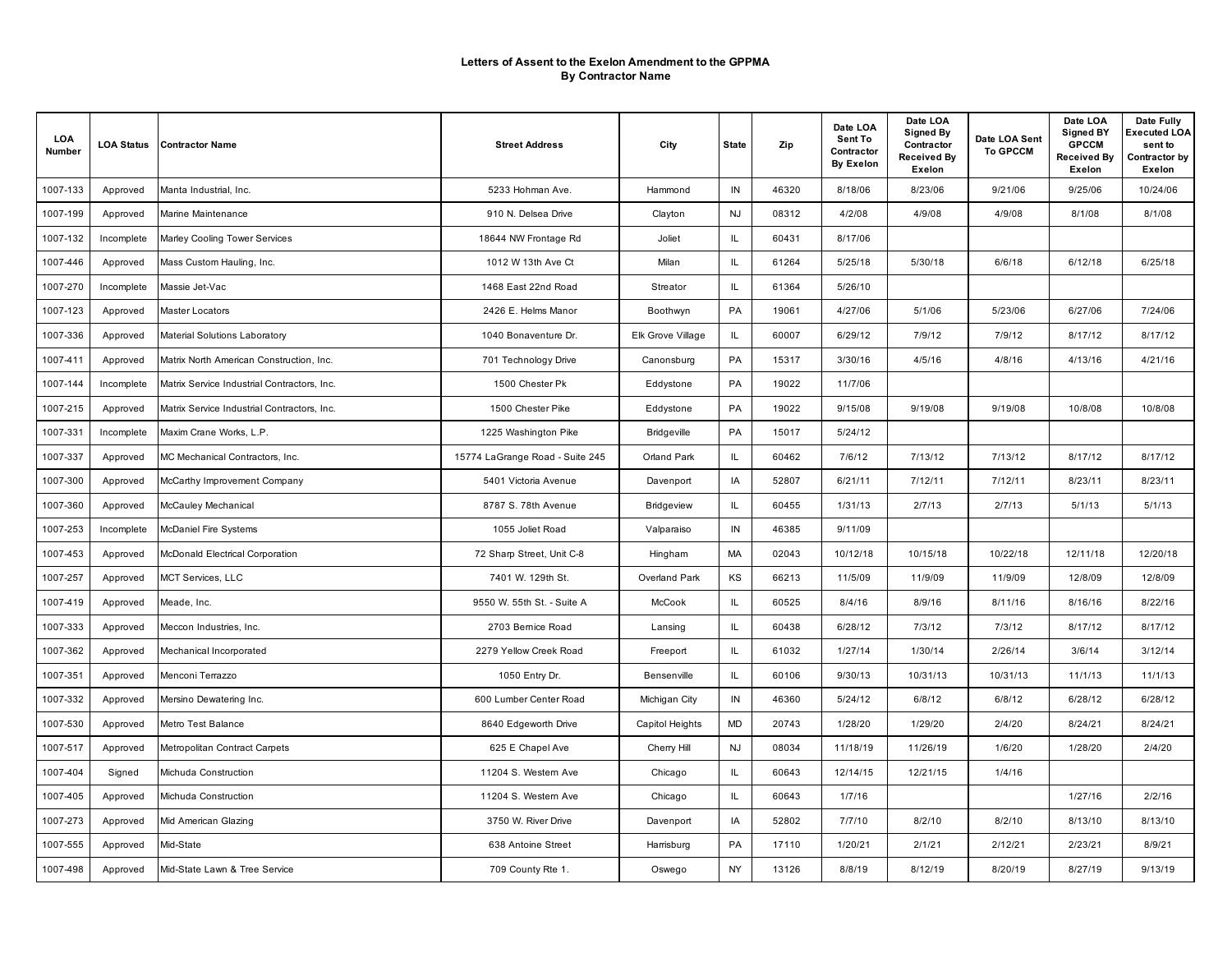| LOA<br>Number | <b>LOA Status</b> | <b>Contractor Name</b>                      | <b>Street Address</b>           | City               | <b>State</b> | Zip   | Date LOA<br>Sent To<br>Contractor<br><b>By Exelon</b> | Date LOA<br><b>Signed By</b><br>Contractor<br><b>Received By</b><br>Exelon | Date LOA Sent<br><b>To GPCCM</b> | Date LOA<br><b>Signed BY</b><br><b>GPCCM</b><br><b>Received By</b><br>Exelon | Date Fully<br>Executed LOA<br>sent to<br>Contractor by<br>Exelon |
|---------------|-------------------|---------------------------------------------|---------------------------------|--------------------|--------------|-------|-------------------------------------------------------|----------------------------------------------------------------------------|----------------------------------|------------------------------------------------------------------------------|------------------------------------------------------------------|
| 1007-133      | Approved          | Manta Industrial, Inc.                      | 5233 Hohman Ave                 | Hammond            | IN           | 46320 | 8/18/06                                               | 8/23/06                                                                    | 9/21/06                          | 9/25/06                                                                      | 10/24/06                                                         |
| 1007-199      | Approved          | Marine Maintenance                          | 910 N. Delsea Drive             | Clayton            | <b>NJ</b>    | 08312 | 4/2/08                                                | 4/9/08                                                                     | 4/9/08                           | 8/1/08                                                                       | 8/1/08                                                           |
| 1007-132      | Incomplete        | Marley Cooling Tower Services               | 18644 NW Frontage Rd            | Joliet             | IL           | 60431 | 8/17/06                                               |                                                                            |                                  |                                                                              |                                                                  |
| 1007-446      | Approved          | Mass Custom Hauling, Inc.                   | 1012 W 13th Ave Ct              | Milan              | IL.          | 61264 | 5/25/18                                               | 5/30/18                                                                    | 6/6/18                           | 6/12/18                                                                      | 6/25/18                                                          |
| 1007-270      | Incomplete        | Massie Jet-Vac                              | 1468 East 22nd Road             | Streator           | IL.          | 61364 | 5/26/10                                               |                                                                            |                                  |                                                                              |                                                                  |
| 1007-123      | Approved          | Master Locators                             | 2426 E. Helms Manor             | Boothwyn           | PA           | 19061 | 4/27/06                                               | 5/1/06                                                                     | 5/23/06                          | 6/27/06                                                                      | 7/24/06                                                          |
| 1007-336      | Approved          | <b>Material Solutions Laboratory</b>        | 1040 Bonaventure Dr.            | Elk Grove Village  | IL.          | 60007 | 6/29/12                                               | 7/9/12                                                                     | 7/9/12                           | 8/17/12                                                                      | 8/17/12                                                          |
| 1007-411      | Approved          | Matrix North American Construction, Inc.    | 701 Technology Drive            | Canonsburg         | PA           | 15317 | 3/30/16                                               | 4/5/16                                                                     | 4/8/16                           | 4/13/16                                                                      | 4/21/16                                                          |
| 1007-144      | Incomplete        | Matrix Service Industrial Contractors, Inc. | 1500 Chester Pk                 | Eddystone          | PA           | 19022 | 11/7/06                                               |                                                                            |                                  |                                                                              |                                                                  |
| 1007-215      | Approved          | Matrix Service Industrial Contractors, Inc. | 1500 Chester Pike               | Eddystone          | PA           | 19022 | 9/15/08                                               | 9/19/08                                                                    | 9/19/08                          | 10/8/08                                                                      | 10/8/08                                                          |
| 1007-331      | Incomplete        | Maxim Crane Works, L.P.                     | 1225 Washington Pike            | <b>Bridgeville</b> | PA           | 15017 | 5/24/12                                               |                                                                            |                                  |                                                                              |                                                                  |
| 1007-337      | Approved          | MC Mechanical Contractors, Inc.             | 15774 LaGrange Road - Suite 245 | Orland Park        | IL           | 60462 | 7/6/12                                                | 7/13/12                                                                    | 7/13/12                          | 8/17/12                                                                      | 8/17/12                                                          |
| 1007-300      | Approved          | McCarthy Improvement Company                | 5401 Victoria Avenue            | Davenport          | IA           | 52807 | 6/21/11                                               | 7/12/11                                                                    | 7/12/11                          | 8/23/11                                                                      | 8/23/11                                                          |
| 1007-360      | Approved          | McCauley Mechanical                         | 8787 S. 78th Avenue             | Bridgeview         | IL.          | 60455 | 1/31/13                                               | 2/7/13                                                                     | 2/7/13                           | 5/1/13                                                                       | 5/1/13                                                           |
| 1007-253      | Incomplete        | McDaniel Fire Systems                       | 1055 Joliet Road                | Valparaiso         | IN           | 46385 | 9/11/09                                               |                                                                            |                                  |                                                                              |                                                                  |
| 1007-453      | Approved          | McDonald Electrical Corporation             | 72 Sharp Street, Unit C-8       | Hingham            | <b>MA</b>    | 02043 | 10/12/18                                              | 10/15/18                                                                   | 10/22/18                         | 12/11/18                                                                     | 12/20/18                                                         |
| 1007-257      | Approved          | MCT Services, LLC                           | 7401 W. 129th St.               | Overland Park      | KS           | 66213 | 11/5/09                                               | 11/9/09                                                                    | 11/9/09                          | 12/8/09                                                                      | 12/8/09                                                          |
| 1007-419      | Approved          | Meade, Inc.                                 | 9550 W. 55th St. - Suite A      | <b>McCook</b>      | IL.          | 60525 | 8/4/16                                                | 8/9/16                                                                     | 8/11/16                          | 8/16/16                                                                      | 8/22/16                                                          |
| 1007-333      | Approved          | Meccon Industries, Inc.                     | 2703 Bemice Road                | Lansing            | IL.          | 60438 | 6/28/12                                               | 7/3/12                                                                     | 7/3/12                           | 8/17/12                                                                      | 8/17/12                                                          |
| 1007-362      | Approved          | Mechanical Incorporated                     | 2279 Yellow Creek Road          | Freeport           | IL.          | 61032 | 1/27/14                                               | 1/30/14                                                                    | 2/26/14                          | 3/6/14                                                                       | 3/12/14                                                          |
| 1007-351      | Approved          | Menconi Terrazzo                            | 1050 Entry Dr.                  | Bensenville        | IL.          | 60106 | 9/30/13                                               | 10/31/13                                                                   | 10/31/13                         | 11/1/13                                                                      | 11/1/13                                                          |
| 1007-332      | Approved          | Mersino Dewatering Inc.                     | 600 Lumber Center Road          | Michigan City      | IN           | 46360 | 5/24/12                                               | 6/8/12                                                                     | 6/8/12                           | 6/28/12                                                                      | 6/28/12                                                          |
| 1007-530      | Approved          | Metro Test Balance                          | 8640 Edgeworth Drive            | Capitol Heights    | MD           | 20743 | 1/28/20                                               | 1/29/20                                                                    | 2/4/20                           | 8/24/21                                                                      | 8/24/21                                                          |
| 1007-517      | Approved          | Metropolitan Contract Carpets               | 625 E Chapel Ave                | Cherry Hill        | <b>NJ</b>    | 08034 | 11/18/19                                              | 11/26/19                                                                   | 1/6/20                           | 1/28/20                                                                      | 2/4/20                                                           |
| 1007-404      | Signed            | Michuda Construction                        | 11204 S. Western Ave            | Chicago            | IL.          | 60643 | 12/14/15                                              | 12/21/15                                                                   | 1/4/16                           |                                                                              |                                                                  |
| 1007-405      | Approved          | Michuda Construction                        | 11204 S. Western Ave            | Chicago            | IL.          | 60643 | 1/7/16                                                |                                                                            |                                  | 1/27/16                                                                      | 2/2/16                                                           |
| 1007-273      | Approved          | Mid American Glazing                        | 3750 W. River Drive             | Davenport          | IA           | 52802 | 7/7/10                                                | 8/2/10                                                                     | 8/2/10                           | 8/13/10                                                                      | 8/13/10                                                          |
| 1007-555      | Approved          | Mid-State                                   | 638 Antoine Street              | Harrisburg         | PA           | 17110 | 1/20/21                                               | 2/1/21                                                                     | 2/12/21                          | 2/23/21                                                                      | 8/9/21                                                           |
| 1007-498      | Approved          | Mid-State Lawn & Tree Service               | 709 County Rte 1.               | Oswego             | NY           | 13126 | 8/8/19                                                | 8/12/19                                                                    | 8/20/19                          | 8/27/19                                                                      | 9/13/19                                                          |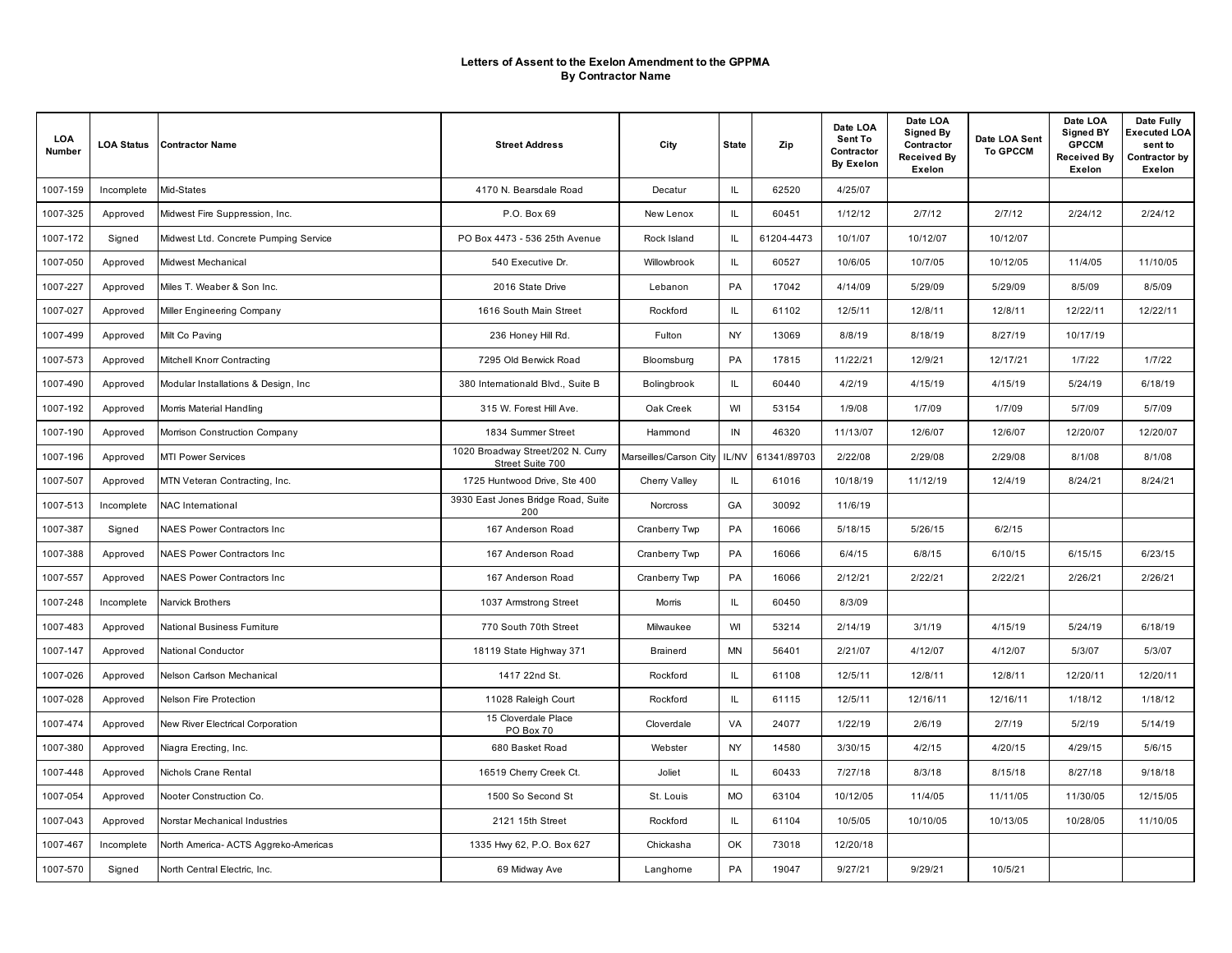| LOA<br>Number | <b>LOA Status</b> | Contractor Name                       | <b>Street Address</b>                                 | City                   | <b>State</b> | Zip         | Date LOA<br>Sent To<br>Contractor<br><b>By Exelon</b> | Date LOA<br><b>Signed By</b><br>Contractor<br><b>Received By</b><br>Exelon | Date LOA Sent<br><b>To GPCCM</b> | Date LOA<br><b>Signed BY</b><br><b>GPCCM</b><br><b>Received By</b><br>Exelon | Date Fully<br>Executed LOA<br>sent to<br>Contractor by<br>Exelon |
|---------------|-------------------|---------------------------------------|-------------------------------------------------------|------------------------|--------------|-------------|-------------------------------------------------------|----------------------------------------------------------------------------|----------------------------------|------------------------------------------------------------------------------|------------------------------------------------------------------|
| 1007-159      | Incomplete        | Mid-States                            | 4170 N. Bearsdale Road                                | Decatur                | IL.          | 62520       | 4/25/07                                               |                                                                            |                                  |                                                                              |                                                                  |
| 1007-325      | Approved          | Midwest Fire Suppression, Inc.        | P.O. Box 69                                           | New Lenox              | IL.          | 60451       | 1/12/12                                               | 2/7/12                                                                     | 2/7/12                           | 2/24/12                                                                      | 2/24/12                                                          |
| 1007-172      | Signed            | Midwest Ltd. Concrete Pumping Service | PO Box 4473 - 536 25th Avenue                         | Rock Island            | IL           | 61204-4473  | 10/1/07                                               | 10/12/07                                                                   | 10/12/07                         |                                                                              |                                                                  |
| 1007-050      | Approved          | Midwest Mechanical                    | 540 Executive Dr.                                     | Willowbrook            | IL.          | 60527       | 10/6/05                                               | 10/7/05                                                                    | 10/12/05                         | 11/4/05                                                                      | 11/10/05                                                         |
| 1007-227      | Approved          | Miles T. Weaber & Son Inc.            | 2016 State Drive                                      | Lebanon                | PA           | 17042       | 4/14/09                                               | 5/29/09                                                                    | 5/29/09                          | 8/5/09                                                                       | 8/5/09                                                           |
| 1007-027      | Approved          | Miller Engineering Company            | 1616 South Main Street                                | Rockford               | IL.          | 61102       | 12/5/11                                               | 12/8/11                                                                    | 12/8/11                          | 12/22/11                                                                     | 12/22/11                                                         |
| 1007-499      | Approved          | Milt Co Paving                        | 236 Honey Hill Rd.                                    | Fulton                 | NY           | 13069       | 8/8/19                                                | 8/18/19                                                                    | 8/27/19                          | 10/17/19                                                                     |                                                                  |
| 1007-573      | Approved          | Mitchell Knorr Contracting            | 7295 Old Berwick Road                                 | Bloomsburg             | PA           | 17815       | 11/22/21                                              | 12/9/21                                                                    | 12/17/21                         | 1/7/22                                                                       | 1/7/22                                                           |
| 1007-490      | Approved          | Modular Installations & Design, Inc.  | 380 Internationald Blvd., Suite B                     | Bolingbrook            | IL.          | 60440       | 4/2/19                                                | 4/15/19                                                                    | 4/15/19                          | 5/24/19                                                                      | 6/18/19                                                          |
| 1007-192      | Approved          | Morris Material Handling              | 315 W. Forest Hill Ave.                               | Oak Creek              | WI           | 53154       | 1/9/08                                                | 1/7/09                                                                     | 1/7/09                           | 5/7/09                                                                       | 5/7/09                                                           |
| 1007-190      | Approved          | Morrison Construction Company         | 1834 Summer Street                                    | Hammond                | IN           | 46320       | 11/13/07                                              | 12/6/07                                                                    | 12/6/07                          | 12/20/07                                                                     | 12/20/07                                                         |
| 1007-196      | Approved          | MTI Power Services                    | 1020 Broadway Street/202 N. Curry<br>Street Suite 700 | Marseilles/Carson City | IL/NV        | 61341/89703 | 2/22/08                                               | 2/29/08                                                                    | 2/29/08                          | 8/1/08                                                                       | 8/1/08                                                           |
| 1007-507      | Approved          | MTN Veteran Contracting, Inc.         | 1725 Huntwood Drive, Ste 400                          | Cherry Valley          | IL           | 61016       | 10/18/19                                              | 11/12/19                                                                   | 12/4/19                          | 8/24/21                                                                      | 8/24/21                                                          |
| 1007-513      | Incomplete        | NAC International                     | 3930 East Jones Bridge Road, Suite<br>200             | Norcross               | GA           | 30092       | 11/6/19                                               |                                                                            |                                  |                                                                              |                                                                  |
| 1007-387      | Signed            | <b>NAES Power Contractors Inc</b>     | 167 Anderson Road                                     | Cranberry Twp          | PA           | 16066       | 5/18/15                                               | 5/26/15                                                                    | 6/2/15                           |                                                                              |                                                                  |
| 1007-388      | Approved          | <b>NAES Power Contractors Inc.</b>    | 167 Anderson Road                                     | Cranberry Twp          | PA           | 16066       | 6/4/15                                                | 6/8/15                                                                     | 6/10/15                          | 6/15/15                                                                      | 6/23/15                                                          |
| 1007-557      | Approved          | NAES Power Contractors Inc            | 167 Anderson Road                                     | Cranberry Twp          | PA           | 16066       | 2/12/21                                               | 2/22/21                                                                    | 2/22/21                          | 2/26/21                                                                      | 2/26/21                                                          |
| 1007-248      | Incomplete        | <b>Narvick Brothers</b>               | 1037 Armstrong Street                                 | Morris                 | IL.          | 60450       | 8/3/09                                                |                                                                            |                                  |                                                                              |                                                                  |
| 1007-483      | Approved          | National Business Furniture           | 770 South 70th Street                                 | Milwaukee              | WI           | 53214       | 2/14/19                                               | 3/1/19                                                                     | 4/15/19                          | 5/24/19                                                                      | 6/18/19                                                          |
| 1007-147      | Approved          | <b>National Conductor</b>             | 18119 State Highway 371                               | <b>Brainerd</b>        | <b>MN</b>    | 56401       | 2/21/07                                               | 4/12/07                                                                    | 4/12/07                          | 5/3/07                                                                       | 5/3/07                                                           |
| 1007-026      | Approved          | Nelson Carlson Mechanical             | 1417 22nd St.                                         | Rockford               | IL.          | 61108       | 12/5/11                                               | 12/8/11                                                                    | 12/8/11                          | 12/20/11                                                                     | 12/20/11                                                         |
| 1007-028      | Approved          | Nelson Fire Protection                | 11028 Raleigh Court                                   | Rockford               | IL.          | 61115       | 12/5/11                                               | 12/16/11                                                                   | 12/16/11                         | 1/18/12                                                                      | 1/18/12                                                          |
| 1007-474      | Approved          | New River Electrical Corporation      | 15 Cloverdale Place<br>PO Box 70                      | Cloverdale             | VA           | 24077       | 1/22/19                                               | 2/6/19                                                                     | 2/7/19                           | 5/2/19                                                                       | 5/14/19                                                          |
| 1007-380      | Approved          | Niagra Erecting, Inc.                 | 680 Basket Road                                       | Webster                | NY           | 14580       | 3/30/15                                               | 4/2/15                                                                     | 4/20/15                          | 4/29/15                                                                      | 5/6/15                                                           |
| 1007-448      | Approved          | Nichols Crane Rental                  | 16519 Cherry Creek Ct.                                | Joliet                 | IL.          | 60433       | 7/27/18                                               | 8/3/18                                                                     | 8/15/18                          | 8/27/18                                                                      | 9/18/18                                                          |
| 1007-054      | Approved          | Nooter Construction Co.               | 1500 So Second St                                     | St. Louis              | <b>MO</b>    | 63104       | 10/12/05                                              | 11/4/05                                                                    | 11/11/05                         | 11/30/05                                                                     | 12/15/05                                                         |
| 1007-043      | Approved          | Norstar Mechanical Industries         | 2121 15th Street                                      | Rockford               | IL.          | 61104       | 10/5/05                                               | 10/10/05                                                                   | 10/13/05                         | 10/28/05                                                                     | 11/10/05                                                         |
| 1007-467      | Incomplete        | North America- ACTS Aggreko-Americas  | 1335 Hwy 62, P.O. Box 627                             | Chickasha              | OK           | 73018       | 12/20/18                                              |                                                                            |                                  |                                                                              |                                                                  |
| 1007-570      | Signed            | North Central Electric, Inc.          | 69 Midway Ave                                         | Langhorne              | PA           | 19047       | 9/27/21                                               | 9/29/21                                                                    | 10/5/21                          |                                                                              |                                                                  |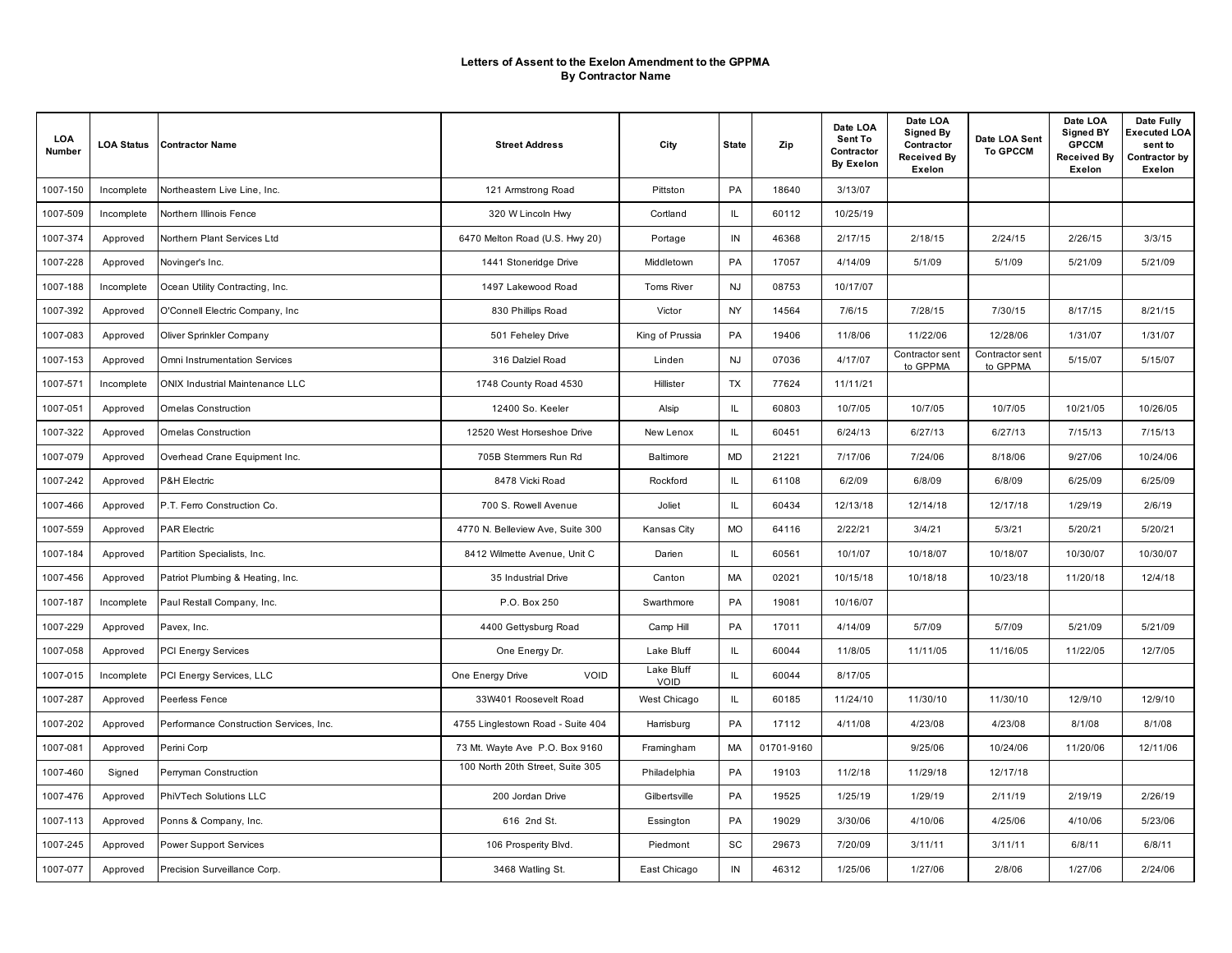| LOA<br>Number | <b>LOA Status</b> | <b>Contractor Name</b>                  | <b>Street Address</b>             | City               | <b>State</b> | Zip        | Date LOA<br>Sent To<br>Contractor<br><b>By Exelon</b> | Date LOA<br><b>Signed By</b><br>Contractor<br><b>Received By</b><br>Exelon | Date LOA Sent<br><b>To GPCCM</b> | Date LOA<br><b>Signed BY</b><br><b>GPCCM</b><br><b>Received By</b><br>Exelon | Date Fully<br>Executed LOA<br>sent to<br>Contractor by<br>Exelon |
|---------------|-------------------|-----------------------------------------|-----------------------------------|--------------------|--------------|------------|-------------------------------------------------------|----------------------------------------------------------------------------|----------------------------------|------------------------------------------------------------------------------|------------------------------------------------------------------|
| 1007-150      | Incomplete        | Northeastern Live Line, Inc.            | 121 Armstrong Road                | Pittston           | PA           | 18640      | 3/13/07                                               |                                                                            |                                  |                                                                              |                                                                  |
| 1007-509      | Incomplete        | Northern Illinois Fence                 | 320 W Lincoln Hwy                 | Cortland           | IL           | 60112      | 10/25/19                                              |                                                                            |                                  |                                                                              |                                                                  |
| 1007-374      | Approved          | Northern Plant Services Ltd             | 6470 Melton Road (U.S. Hwy 20)    | Portage            | IN           | 46368      | 2/17/15                                               | 2/18/15                                                                    | 2/24/15                          | 2/26/15                                                                      | 3/3/15                                                           |
| 1007-228      | Approved          | Novinger's Inc.                         | 1441 Stoneridge Drive             | Middletown         | PA           | 17057      | 4/14/09                                               | 5/1/09                                                                     | 5/1/09                           | 5/21/09                                                                      | 5/21/09                                                          |
| 1007-188      | Incomplete        | Ocean Utility Contracting, Inc.         | 1497 Lakewood Road                | Toms River         | <b>NJ</b>    | 08753      | 10/17/07                                              |                                                                            |                                  |                                                                              |                                                                  |
| 1007-392      | Approved          | O'Connell Electric Company, Inc.        | 830 Phillips Road                 | Victor             | NY.          | 14564      | 7/6/15                                                | 7/28/15                                                                    | 7/30/15                          | 8/17/15                                                                      | 8/21/15                                                          |
| 1007-083      | Approved          | Oliver Sprinkler Company                | 501 Feheley Drive                 | King of Prussia    | PA           | 19406      | 11/8/06                                               | 11/22/06                                                                   | 12/28/06                         | 1/31/07                                                                      | 1/31/07                                                          |
| 1007-153      | Approved          | Omni Instrumentation Services           | 316 Dalziel Road                  | Linden             | <b>NJ</b>    | 07036      | 4/17/07                                               | Contractor sent<br>to GPPMA                                                | Contractor sent<br>to GPPMA      | 5/15/07                                                                      | 5/15/07                                                          |
| 1007-571      | Incomplete        | <b>ONIX Industrial Maintenance LLC</b>  | 1748 County Road 4530             | Hillister          | TX           | 77624      | 11/11/21                                              |                                                                            |                                  |                                                                              |                                                                  |
| 1007-051      | Approved          | <b>Omelas Construction</b>              | 12400 So. Keeler                  | Alsip              | IL           | 60803      | 10/7/05                                               | 10/7/05                                                                    | 10/7/05                          | 10/21/05                                                                     | 10/26/05                                                         |
| 1007-322      | Approved          | Ornelas Construction                    | 12520 West Horseshoe Drive        | New Lenox          | IL.          | 60451      | 6/24/13                                               | 6/27/13                                                                    | 6/27/13                          | 7/15/13                                                                      | 7/15/13                                                          |
| 1007-079      | Approved          | Overhead Crane Equipment Inc.           | 705B Stemmers Run Rd              | Baltimore          | MD           | 21221      | 7/17/06                                               | 7/24/06                                                                    | 8/18/06                          | 9/27/06                                                                      | 10/24/06                                                         |
| 1007-242      | Approved          | P&H Electric                            | 8478 Vicki Road                   | Rockford           | IL           | 61108      | 6/2/09                                                | 6/8/09                                                                     | 6/8/09                           | 6/25/09                                                                      | 6/25/09                                                          |
| 1007-466      | Approved          | P.T. Ferro Construction Co.             | 700 S. Rowell Avenue              | Joliet             | IL.          | 60434      | 12/13/18                                              | 12/14/18                                                                   | 12/17/18                         | 1/29/19                                                                      | 2/6/19                                                           |
| 1007-559      | Approved          | <b>PAR Electric</b>                     | 4770 N. Belleview Ave, Suite 300  | Kansas City        | <b>MO</b>    | 64116      | 2/22/21                                               | 3/4/21                                                                     | 5/3/21                           | 5/20/21                                                                      | 5/20/21                                                          |
| 1007-184      | Approved          | Partition Specialists, Inc.             | 8412 Wilmette Avenue, Unit C      | Darien             | IL           | 60561      | 10/1/07                                               | 10/18/07                                                                   | 10/18/07                         | 10/30/07                                                                     | 10/30/07                                                         |
| 1007-456      | Approved          | Patriot Plumbing & Heating, Inc.        | 35 Industrial Drive               | Canton             | MA           | 02021      | 10/15/18                                              | 10/18/18                                                                   | 10/23/18                         | 11/20/18                                                                     | 12/4/18                                                          |
| 1007-187      | Incomplete        | Paul Restall Company, Inc.              | P.O. Box 250                      | Swarthmore         | PA           | 19081      | 10/16/07                                              |                                                                            |                                  |                                                                              |                                                                  |
| 1007-229      | Approved          | Pavex, Inc.                             | 4400 Gettysburg Road              | Camp Hill          | PA           | 17011      | 4/14/09                                               | 5/7/09                                                                     | 5/7/09                           | 5/21/09                                                                      | 5/21/09                                                          |
| 1007-058      | Approved          | PCI Energy Services                     | One Energy Dr.                    | Lake Bluff         | IL.          | 60044      | 11/8/05                                               | 11/11/05                                                                   | 11/16/05                         | 11/22/05                                                                     | 12/7/05                                                          |
| 1007-015      | Incomplete        | PCI Energy Services, LLC                | VOID<br>One Energy Drive          | Lake Bluff<br>VOID | IL.          | 60044      | 8/17/05                                               |                                                                            |                                  |                                                                              |                                                                  |
| 1007-287      | Approved          | Peerless Fence                          | 33W401 Roosevelt Road             | West Chicago       | IL           | 60185      | 11/24/10                                              | 11/30/10                                                                   | 11/30/10                         | 12/9/10                                                                      | 12/9/10                                                          |
| 1007-202      | Approved          | Performance Construction Services, Inc. | 4755 Linglestown Road - Suite 404 | Harrisburg         | PA           | 17112      | 4/11/08                                               | 4/23/08                                                                    | 4/23/08                          | 8/1/08                                                                       | 8/1/08                                                           |
| 1007-081      | Approved          | Perini Corp                             | 73 Mt. Wayte Ave P.O. Box 9160    | Framingham         | МA           | 01701-9160 |                                                       | 9/25/06                                                                    | 10/24/06                         | 11/20/06                                                                     | 12/11/06                                                         |
| 1007-460      | Signed            | Perryman Construction                   | 100 North 20th Street, Suite 305  | Philadelphia       | PA           | 19103      | 11/2/18                                               | 11/29/18                                                                   | 12/17/18                         |                                                                              |                                                                  |
| 1007-476      | Approved          | PhiVTech Solutions LLC                  | 200 Jordan Drive                  | Gilbertsville      | PA           | 19525      | 1/25/19                                               | 1/29/19                                                                    | 2/11/19                          | 2/19/19                                                                      | 2/26/19                                                          |
| 1007-113      | Approved          | Ponns & Company, Inc.                   | 616 2nd St.                       | Essington          | PA           | 19029      | 3/30/06                                               | 4/10/06                                                                    | 4/25/06                          | 4/10/06                                                                      | 5/23/06                                                          |
| 1007-245      | Approved          | Power Support Services                  | 106 Prosperity Blvd.              | Piedmont           | SC           | 29673      | 7/20/09                                               | 3/11/11                                                                    | 3/11/11                          | 6/8/11                                                                       | 6/8/11                                                           |
| 1007-077      | Approved          | Precision Surveillance Corp.            | 3468 Watling St.                  | East Chicago       | IN           | 46312      | 1/25/06                                               | 1/27/06                                                                    | 2/8/06                           | 1/27/06                                                                      | 2/24/06                                                          |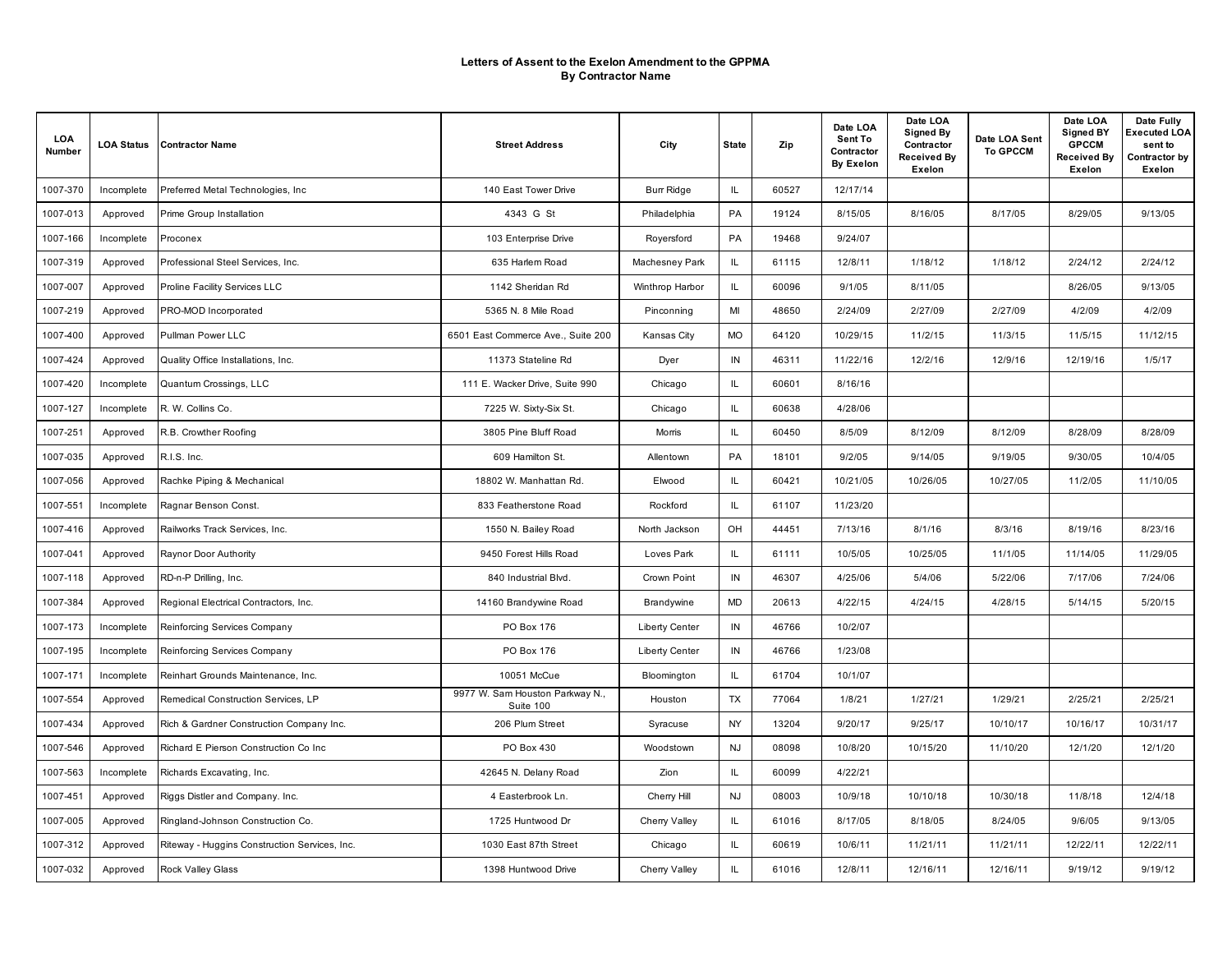| LOA<br>Number | <b>LOA Status</b> | <b>Contractor Name</b>                        | <b>Street Address</b>                        | City                  | <b>State</b> | Zip   | Date LOA<br>Sent To<br>Contractor<br><b>By Exelon</b> | Date LOA<br><b>Signed By</b><br>Contractor<br><b>Received By</b><br>Exelon | Date LOA Sent<br><b>To GPCCM</b> | Date LOA<br><b>Signed BY</b><br><b>GPCCM</b><br><b>Received By</b><br>Exelon | Date Fully<br>Executed LOA<br>sent to<br>Contractor by<br>Exelon |
|---------------|-------------------|-----------------------------------------------|----------------------------------------------|-----------------------|--------------|-------|-------------------------------------------------------|----------------------------------------------------------------------------|----------------------------------|------------------------------------------------------------------------------|------------------------------------------------------------------|
| 1007-370      | Incomplete        | Preferred Metal Technologies, Inc.            | 140 East Tower Drive                         | <b>Burr Ridge</b>     | IL.          | 60527 | 12/17/14                                              |                                                                            |                                  |                                                                              |                                                                  |
| 1007-013      | Approved          | Prime Group Installation                      | 4343 G St                                    | Philadelphia          | PA           | 19124 | 8/15/05                                               | 8/16/05                                                                    | 8/17/05                          | 8/29/05                                                                      | 9/13/05                                                          |
| 1007-166      | Incomplete        | Proconex                                      | 103 Enterprise Drive                         | Roversford            | PA           | 19468 | 9/24/07                                               |                                                                            |                                  |                                                                              |                                                                  |
| 1007-319      | Approved          | Professional Steel Services, Inc.             | 635 Harlem Road                              | Machesney Park        | IL.          | 61115 | 12/8/11                                               | 1/18/12                                                                    | 1/18/12                          | 2/24/12                                                                      | 2/24/12                                                          |
| 1007-007      | Approved          | Proline Facility Services LLC                 | 1142 Sheridan Rd                             | Winthrop Harbor       | IL           | 60096 | 9/1/05                                                | 8/11/05                                                                    |                                  | 8/26/05                                                                      | 9/13/05                                                          |
| 1007-219      | Approved          | PRO-MOD Incorporated                          | 5365 N. 8 Mile Road                          | Pinconning            | MI           | 48650 | 2/24/09                                               | 2/27/09                                                                    | 2/27/09                          | 4/2/09                                                                       | 4/2/09                                                           |
| 1007-400      | Approved          | Pullman Power LLC                             | 6501 East Commerce Ave., Suite 200           | Kansas City           | <b>MO</b>    | 64120 | 10/29/15                                              | 11/2/15                                                                    | 11/3/15                          | 11/5/15                                                                      | 11/12/15                                                         |
| 1007-424      | Approved          | Quality Office Installations, Inc.            | 11373 Stateline Rd                           | Dyer                  | IN           | 46311 | 11/22/16                                              | 12/2/16                                                                    | 12/9/16                          | 12/19/16                                                                     | 1/5/17                                                           |
| 1007-420      | Incomplete        | Quantum Crossings, LLC                        | 111 E. Wacker Drive, Suite 990               | Chicago               | IL.          | 60601 | 8/16/16                                               |                                                                            |                                  |                                                                              |                                                                  |
| 1007-127      | Incomplete        | R. W. Collins Co.                             | 7225 W. Sixty-Six St.                        | Chicago               | IL           | 60638 | 4/28/06                                               |                                                                            |                                  |                                                                              |                                                                  |
| 1007-251      | Approved          | R.B. Crowther Roofing                         | 3805 Pine Bluff Road                         | Morris                | IL.          | 60450 | 8/5/09                                                | 8/12/09                                                                    | 8/12/09                          | 8/28/09                                                                      | 8/28/09                                                          |
| 1007-035      | Approved          | R.I.S. Inc.                                   | 609 Hamilton St.                             | Allentown             | PA           | 18101 | 9/2/05                                                | 9/14/05                                                                    | 9/19/05                          | 9/30/05                                                                      | 10/4/05                                                          |
| 1007-056      | Approved          | Rachke Piping & Mechanical                    | 18802 W. Manhattan Rd.                       | Elwood                | IL           | 60421 | 10/21/05                                              | 10/26/05                                                                   | 10/27/05                         | 11/2/05                                                                      | 11/10/05                                                         |
| 1007-551      | Incomplete        | Ragnar Benson Const.                          | 833 Featherstone Road                        | Rockford              | IL.          | 61107 | 11/23/20                                              |                                                                            |                                  |                                                                              |                                                                  |
| 1007-416      | Approved          | Railworks Track Services, Inc.                | 1550 N. Bailey Road                          | North Jackson         | OH           | 44451 | 7/13/16                                               | 8/1/16                                                                     | 8/3/16                           | 8/19/16                                                                      | 8/23/16                                                          |
| 1007-041      | Approved          | Raynor Door Authority                         | 9450 Forest Hills Road                       | Loves Park            | IL           | 61111 | 10/5/05                                               | 10/25/05                                                                   | 11/1/05                          | 11/14/05                                                                     | 11/29/05                                                         |
| 1007-118      | Approved          | RD-n-P Drilling, Inc.                         | 840 Industrial Blvd.                         | Crown Point           | $\sf IN$     | 46307 | 4/25/06                                               | 5/4/06                                                                     | 5/22/06                          | 7/17/06                                                                      | 7/24/06                                                          |
| 1007-384      | Approved          | Regional Electrical Contractors, Inc.         | 14160 Brandywine Road                        | Brandywine            | MD           | 20613 | 4/22/15                                               | 4/24/15                                                                    | 4/28/15                          | 5/14/15                                                                      | 5/20/15                                                          |
| 1007-173      | Incomplete        | Reinforcing Services Company                  | PO Box 176                                   | <b>Liberty Center</b> | IN           | 46766 | 10/2/07                                               |                                                                            |                                  |                                                                              |                                                                  |
| 1007-195      | Incomplete        | Reinforcing Services Company                  | PO Box 176                                   | <b>Liberty Center</b> | IN           | 46766 | 1/23/08                                               |                                                                            |                                  |                                                                              |                                                                  |
| 1007-171      | Incomplete        | Reinhart Grounds Maintenance, Inc.            | 10051 McCue                                  | Bloomington           | IL.          | 61704 | 10/1/07                                               |                                                                            |                                  |                                                                              |                                                                  |
| 1007-554      | Approved          | Remedical Construction Services, LP           | 9977 W. Sam Houston Parkway N.,<br>Suite 100 | Houston               | TX           | 77064 | 1/8/21                                                | 1/27/21                                                                    | 1/29/21                          | 2/25/21                                                                      | 2/25/21                                                          |
| 1007-434      | Approved          | Rich & Gardner Construction Company Inc.      | 206 Plum Street                              | Syracuse              | NY           | 13204 | 9/20/17                                               | 9/25/17                                                                    | 10/10/17                         | 10/16/17                                                                     | 10/31/17                                                         |
| 1007-546      | Approved          | Richard E Pierson Construction Co Inc.        | PO Box 430                                   | Woodstown             | <b>NJ</b>    | 08098 | 10/8/20                                               | 10/15/20                                                                   | 11/10/20                         | 12/1/20                                                                      | 12/1/20                                                          |
| 1007-563      | Incomplete        | Richards Excavating, Inc.                     | 42645 N. Delany Road                         | Zion                  | IL           | 60099 | 4/22/21                                               |                                                                            |                                  |                                                                              |                                                                  |
| 1007-451      | Approved          | Riggs Distler and Company. Inc.               | 4 Easterbrook Ln.                            | Cherry Hill           | <b>NJ</b>    | 08003 | 10/9/18                                               | 10/10/18                                                                   | 10/30/18                         | 11/8/18                                                                      | 12/4/18                                                          |
| 1007-005      | Approved          | Ringland-Johnson Construction Co.             | 1725 Huntwood Dr                             | Cherry Valley         | IL.          | 61016 | 8/17/05                                               | 8/18/05                                                                    | 8/24/05                          | 9/6/05                                                                       | 9/13/05                                                          |
| 1007-312      | Approved          | Riteway - Huggins Construction Services, Inc. | 1030 East 87th Street                        | Chicago               | IL           | 60619 | 10/6/11                                               | 11/21/11                                                                   | 11/21/11                         | 12/22/11                                                                     | 12/22/11                                                         |
| 1007-032      | Approved          | Rock Valley Glass                             | 1398 Huntwood Drive                          | Cherry Valley         | IL.          | 61016 | 12/8/11                                               | 12/16/11                                                                   | 12/16/11                         | 9/19/12                                                                      | 9/19/12                                                          |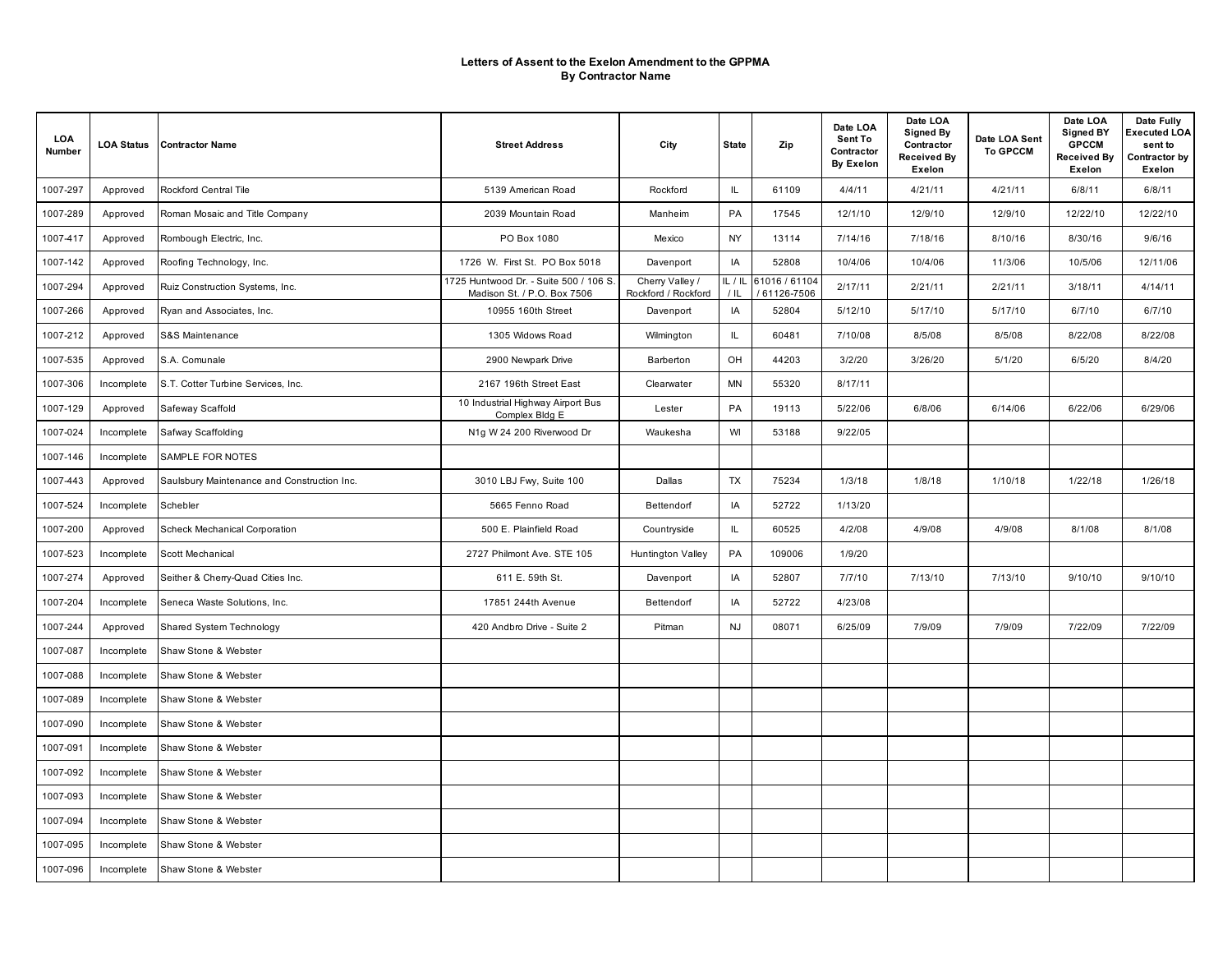| LOA<br>Number | <b>LOA Status</b> | <b>Contractor Name</b>                      | <b>Street Address</b>                                                 | City                                   | <b>State</b>                      | Zip                         | Date LOA<br>Sent To<br>Contractor<br><b>By Exelon</b> | Date LOA<br><b>Signed By</b><br>Contractor<br><b>Received By</b><br>Exelon | Date LOA Sent<br><b>To GPCCM</b> | Date LOA<br><b>Signed BY</b><br><b>GPCCM</b><br>Received By<br>Exelon | Date Fully<br>Executed LOA<br>sent to<br>Contractor by<br>Exelon |
|---------------|-------------------|---------------------------------------------|-----------------------------------------------------------------------|----------------------------------------|-----------------------------------|-----------------------------|-------------------------------------------------------|----------------------------------------------------------------------------|----------------------------------|-----------------------------------------------------------------------|------------------------------------------------------------------|
| 1007-297      | Approved          | Rockford Central Tile                       | 5139 American Road                                                    | Rockford                               | IL.                               | 61109                       | 4/4/11                                                | 4/21/11                                                                    | 4/21/11                          | 6/8/11                                                                | 6/8/11                                                           |
| 1007-289      | Approved          | Roman Mosaic and Title Company              | 2039 Mountain Road                                                    | Manheim                                | PA                                | 17545                       | 12/1/10                                               | 12/9/10                                                                    | 12/9/10                          | 12/22/10                                                              | 12/22/10                                                         |
| 1007-417      | Approved          | Rombough Electric, Inc.                     | PO Box 1080                                                           | Mexico                                 | NY                                | 13114                       | 7/14/16                                               | 7/18/16                                                                    | 8/10/16                          | 8/30/16                                                               | 9/6/16                                                           |
| 1007-142      | Approved          | Roofing Technology, Inc.                    | 1726 W. First St. PO Box 5018                                         | Davenport                              | IA                                | 52808                       | 10/4/06                                               | 10/4/06                                                                    | 11/3/06                          | 10/5/06                                                               | 12/11/06                                                         |
| 1007-294      | Approved          | Ruiz Construction Systems, Inc.             | 1725 Huntwood Dr. - Suite 500 / 106 S.<br>Madison St. / P.O. Box 7506 | Cherry Valley /<br>Rockford / Rockford | IL/IL<br>$/$ IL                   | 61016 / 61104<br>61126-7506 | 2/17/11                                               | 2/21/11                                                                    | 2/21/11                          | 3/18/11                                                               | 4/14/11                                                          |
| 1007-266      | Approved          | Ryan and Associates, Inc.                   | 10955 160th Street                                                    | Davenport                              | IA                                | 52804                       | 5/12/10                                               | 5/17/10                                                                    | 5/17/10                          | 6/7/10                                                                | 6/7/10                                                           |
| 1007-212      | Approved          | <b>S&amp;S Maintenance</b>                  | 1305 Widows Road                                                      | Wilmington                             | IL.                               | 60481                       | 7/10/08                                               | 8/5/08                                                                     | 8/5/08                           | 8/22/08                                                               | 8/22/08                                                          |
| 1007-535      | Approved          | S.A. Comunale                               | 2900 Newpark Drive                                                    | Barberton                              | OH                                | 44203                       | 3/2/20                                                | 3/26/20                                                                    | 5/1/20                           | 6/5/20                                                                | 8/4/20                                                           |
| 1007-306      | Incomplete        | S.T. Cotter Turbine Services, Inc.          | 2167 196th Street East                                                | Clearwater                             | <b>MN</b>                         | 55320                       | 8/17/11                                               |                                                                            |                                  |                                                                       |                                                                  |
| 1007-129      | Approved          | Safeway Scaffold                            | 10 Industrial Highway Airport Bus<br>Complex Bldg E                   | Lester                                 | PA                                | 19113                       | 5/22/06                                               | 6/8/06                                                                     | 6/14/06                          | 6/22/06                                                               | 6/29/06                                                          |
| 1007-024      | Incomplete        | Safway Scaffolding                          | N1g W 24 200 Riverwood Dr                                             | Waukesha                               | WI                                | 53188                       | 9/22/05                                               |                                                                            |                                  |                                                                       |                                                                  |
| 1007-146      | Incomplete        | SAMPLE FOR NOTES                            |                                                                       |                                        |                                   |                             |                                                       |                                                                            |                                  |                                                                       |                                                                  |
| 1007-443      | Approved          | Saulsbury Maintenance and Construction Inc. | 3010 LBJ Fwy, Suite 100                                               | Dallas                                 | TX                                | 75234                       | 1/3/18                                                | 1/8/18                                                                     | 1/10/18                          | 1/22/18                                                               | 1/26/18                                                          |
| 1007-524      | Incomplete        | Schebler                                    | 5665 Fenno Road                                                       | Bettendorf                             | IA                                | 52722                       | 1/13/20                                               |                                                                            |                                  |                                                                       |                                                                  |
| 1007-200      | Approved          | Scheck Mechanical Corporation               | 500 E. Plainfield Road                                                | Countryside                            | $\ensuremath{\mathsf{IL}}\xspace$ | 60525                       | 4/2/08                                                | 4/9/08                                                                     | 4/9/08                           | 8/1/08                                                                | 8/1/08                                                           |
| 1007-523      | Incomplete        | Scott Mechanical                            | 2727 Philmont Ave. STE 105                                            | Huntington Valley                      | PA                                | 109006                      | 1/9/20                                                |                                                                            |                                  |                                                                       |                                                                  |
| 1007-274      | Approved          | Seither & Cherry-Quad Cities Inc.           | 611 E. 59th St.                                                       | Davenport                              | IA                                | 52807                       | 7/7/10                                                | 7/13/10                                                                    | 7/13/10                          | 9/10/10                                                               | 9/10/10                                                          |
| 1007-204      | Incomplete        | Seneca Waste Solutions, Inc.                | 17851 244th Avenue                                                    | Bettendorf                             | IA                                | 52722                       | 4/23/08                                               |                                                                            |                                  |                                                                       |                                                                  |
| 1007-244      | Approved          | Shared System Technology                    | 420 Andbro Drive - Suite 2                                            | Pitman                                 | <b>NJ</b>                         | 08071                       | 6/25/09                                               | 7/9/09                                                                     | 7/9/09                           | 7/22/09                                                               | 7/22/09                                                          |
| 1007-087      | Incomplete        | Shaw Stone & Webster                        |                                                                       |                                        |                                   |                             |                                                       |                                                                            |                                  |                                                                       |                                                                  |
| 1007-088      | Incomplete        | Shaw Stone & Webster                        |                                                                       |                                        |                                   |                             |                                                       |                                                                            |                                  |                                                                       |                                                                  |
| 1007-089      | Incomplete        | Shaw Stone & Webster                        |                                                                       |                                        |                                   |                             |                                                       |                                                                            |                                  |                                                                       |                                                                  |
| 1007-090      | Incomplete        | Shaw Stone & Webster                        |                                                                       |                                        |                                   |                             |                                                       |                                                                            |                                  |                                                                       |                                                                  |
| 1007-091      | Incomplete        | Shaw Stone & Webster                        |                                                                       |                                        |                                   |                             |                                                       |                                                                            |                                  |                                                                       |                                                                  |
| 1007-092      | Incomplete        | Shaw Stone & Webster                        |                                                                       |                                        |                                   |                             |                                                       |                                                                            |                                  |                                                                       |                                                                  |
| 1007-093      | Incomplete        | Shaw Stone & Webster                        |                                                                       |                                        |                                   |                             |                                                       |                                                                            |                                  |                                                                       |                                                                  |
| 1007-094      | Incomplete        | Shaw Stone & Webster                        |                                                                       |                                        |                                   |                             |                                                       |                                                                            |                                  |                                                                       |                                                                  |
| 1007-095      | Incomplete        | Shaw Stone & Webster                        |                                                                       |                                        |                                   |                             |                                                       |                                                                            |                                  |                                                                       |                                                                  |
| 1007-096      | Incomplete        | Shaw Stone & Webster                        |                                                                       |                                        |                                   |                             |                                                       |                                                                            |                                  |                                                                       |                                                                  |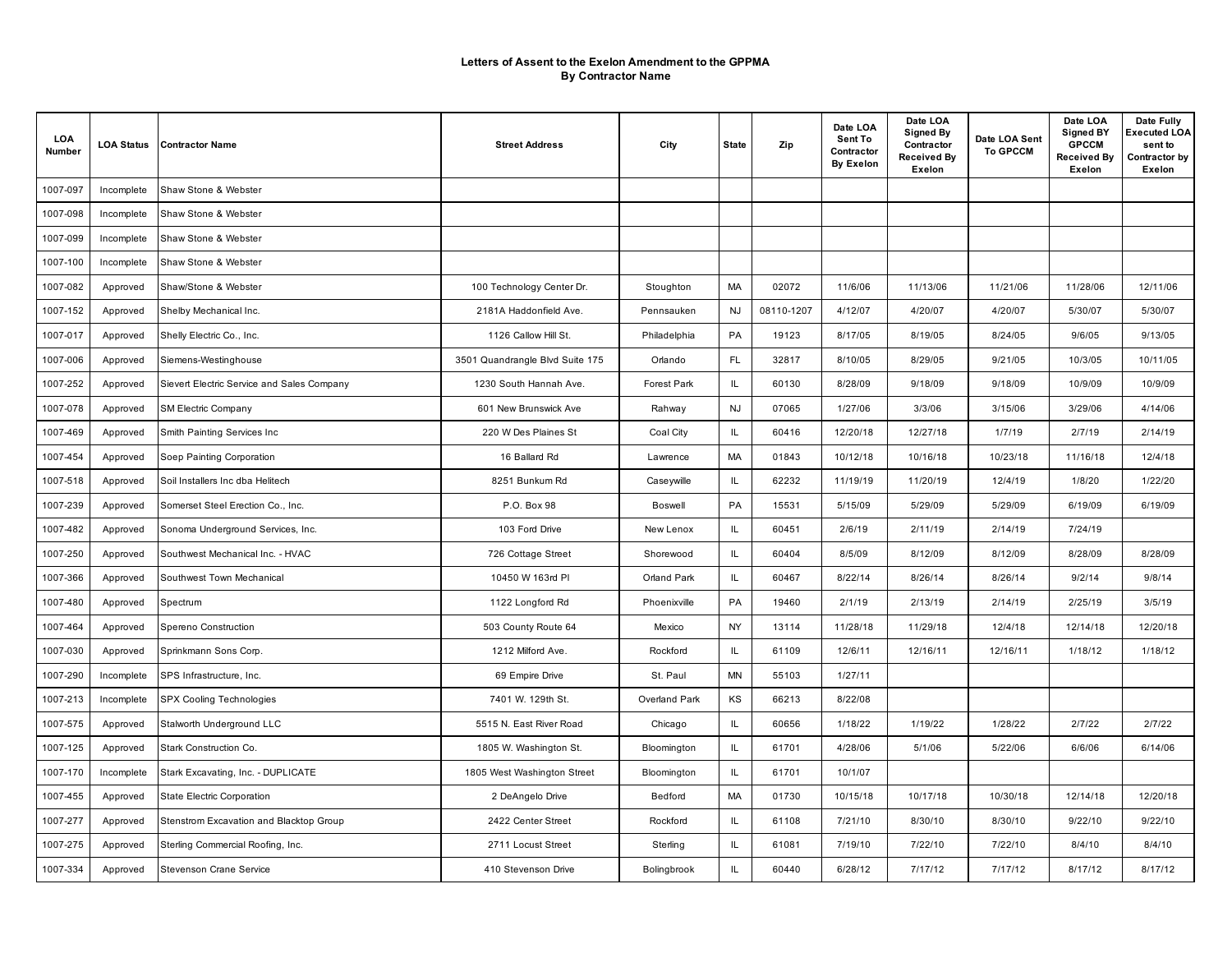| LOA<br>Number | <b>LOA Status</b> | <b>Contractor Name</b>                     | <b>Street Address</b>           | City               | <b>State</b>                      | Zip        | Date LOA<br>Sent To<br>Contractor<br><b>By Exelon</b> | Date LOA<br><b>Signed By</b><br>Contractor<br><b>Received By</b><br>Exelon | Date LOA Sent<br><b>To GPCCM</b> | Date LOA<br><b>Signed BY</b><br><b>GPCCM</b><br><b>Received By</b><br>Exelon | Date Fully<br>Executed LOA<br>sent to<br>Contractor by<br>Exelon |
|---------------|-------------------|--------------------------------------------|---------------------------------|--------------------|-----------------------------------|------------|-------------------------------------------------------|----------------------------------------------------------------------------|----------------------------------|------------------------------------------------------------------------------|------------------------------------------------------------------|
| 1007-097      | Incomplete        | Shaw Stone & Webster                       |                                 |                    |                                   |            |                                                       |                                                                            |                                  |                                                                              |                                                                  |
| 1007-098      | Incomplete        | Shaw Stone & Webster                       |                                 |                    |                                   |            |                                                       |                                                                            |                                  |                                                                              |                                                                  |
| 1007-099      | Incomplete        | Shaw Stone & Webster                       |                                 |                    |                                   |            |                                                       |                                                                            |                                  |                                                                              |                                                                  |
| 1007-100      | Incomplete        | Shaw Stone & Webster                       |                                 |                    |                                   |            |                                                       |                                                                            |                                  |                                                                              |                                                                  |
| 1007-082      | Approved          | Shaw/Stone & Webster                       | 100 Technology Center Dr.       | Stoughton          | MA                                | 02072      | 11/6/06                                               | 11/13/06                                                                   | 11/21/06                         | 11/28/06                                                                     | 12/11/06                                                         |
| 1007-152      | Approved          | Shelby Mechanical Inc.                     | 2181A Haddonfield Ave.          | Pennsauken         | <b>NJ</b>                         | 08110-1207 | 4/12/07                                               | 4/20/07                                                                    | 4/20/07                          | 5/30/07                                                                      | 5/30/07                                                          |
| 1007-017      | Approved          | Shelly Electric Co., Inc.                  | 1126 Callow Hill St.            | Philadelphia       | PA                                | 19123      | 8/17/05                                               | 8/19/05                                                                    | 8/24/05                          | 9/6/05                                                                       | 9/13/05                                                          |
| 1007-006      | Approved          | Siemens-Westinghouse                       | 3501 Quandrangle Blvd Suite 175 | Orlando            | <b>FL</b>                         | 32817      | 8/10/05                                               | 8/29/05                                                                    | 9/21/05                          | 10/3/05                                                                      | 10/11/05                                                         |
| 1007-252      | Approved          | Sievert Electric Service and Sales Company | 1230 South Hannah Ave.          | <b>Forest Park</b> | IL                                | 60130      | 8/28/09                                               | 9/18/09                                                                    | 9/18/09                          | 10/9/09                                                                      | 10/9/09                                                          |
| 1007-078      | Approved          | <b>SM Electric Company</b>                 | 601 New Brunswick Ave           | Rahway             | <b>NJ</b>                         | 07065      | 1/27/06                                               | 3/3/06                                                                     | 3/15/06                          | 3/29/06                                                                      | 4/14/06                                                          |
| 1007-469      | Approved          | Smith Painting Services Inc                | 220 W Des Plaines St            | Coal City          | IL                                | 60416      | 12/20/18                                              | 12/27/18                                                                   | 1/7/19                           | 2/7/19                                                                       | 2/14/19                                                          |
| 1007-454      | Approved          | Soep Painting Corporation                  | 16 Ballard Rd                   | Lawrence           | MA                                | 01843      | 10/12/18                                              | 10/16/18                                                                   | 10/23/18                         | 11/16/18                                                                     | 12/4/18                                                          |
| 1007-518      | Approved          | Soil Installers Inc dba Helitech           | 8251 Bunkum Rd                  | Caseywille         | IL                                | 62232      | 11/19/19                                              | 11/20/19                                                                   | 12/4/19                          | 1/8/20                                                                       | 1/22/20                                                          |
| 1007-239      | Approved          | Somerset Steel Erection Co., Inc.          | P.O. Box 98                     | Boswell            | PA                                | 15531      | 5/15/09                                               | 5/29/09                                                                    | 5/29/09                          | 6/19/09                                                                      | 6/19/09                                                          |
| 1007-482      | Approved          | Sonoma Underground Services, Inc.          | 103 Ford Drive                  | New Lenox          | $\ensuremath{\mathsf{IL}}\xspace$ | 60451      | 2/6/19                                                | 2/11/19                                                                    | 2/14/19                          | 7/24/19                                                                      |                                                                  |
| 1007-250      | Approved          | Southwest Mechanical Inc. - HVAC           | 726 Cottage Street              | Shorewood          | $\mathsf{IL}$                     | 60404      | 8/5/09                                                | 8/12/09                                                                    | 8/12/09                          | 8/28/09                                                                      | 8/28/09                                                          |
| 1007-366      | Approved          | Southwest Town Mechanical                  | 10450 W 163rd PI                | Orland Park        | IL                                | 60467      | 8/22/14                                               | 8/26/14                                                                    | 8/26/14                          | 9/2/14                                                                       | 9/8/14                                                           |
| 1007-480      | Approved          | Spectrum                                   | 1122 Longford Rd                | Phoenixville       | PA                                | 19460      | 2/1/19                                                | 2/13/19                                                                    | 2/14/19                          | 2/25/19                                                                      | 3/5/19                                                           |
| 1007-464      | Approved          | Spereno Construction                       | 503 County Route 64             | Mexico             | NY                                | 13114      | 11/28/18                                              | 11/29/18                                                                   | 12/4/18                          | 12/14/18                                                                     | 12/20/18                                                         |
| 1007-030      | Approved          | Sprinkmann Sons Corp.                      | 1212 Milford Ave.               | Rockford           | IL                                | 61109      | 12/6/11                                               | 12/16/11                                                                   | 12/16/11                         | 1/18/12                                                                      | 1/18/12                                                          |
| 1007-290      | Incomplete        | SPS Infrastructure, Inc.                   | 69 Empire Drive                 | St. Paul           | <b>MN</b>                         | 55103      | 1/27/11                                               |                                                                            |                                  |                                                                              |                                                                  |
| 1007-213      | Incomplete        | SPX Cooling Technologies                   | 7401 W. 129th St.               | Overland Park      | KS                                | 66213      | 8/22/08                                               |                                                                            |                                  |                                                                              |                                                                  |
| 1007-575      | Approved          | Stalworth Underground LLC                  | 5515 N. East River Road         | Chicago            | IL                                | 60656      | 1/18/22                                               | 1/19/22                                                                    | 1/28/22                          | 2/7/22                                                                       | 2/7/22                                                           |
| 1007-125      | Approved          | Stark Construction Co.                     | 1805 W. Washington St.          | Bloomington        | IL                                | 61701      | 4/28/06                                               | 5/1/06                                                                     | 5/22/06                          | 6/6/06                                                                       | 6/14/06                                                          |
| 1007-170      | Incomplete        | Stark Excavating, Inc. - DUPLICATE         | 1805 West Washington Street     | <b>Bloomington</b> | IL                                | 61701      | 10/1/07                                               |                                                                            |                                  |                                                                              |                                                                  |
| 1007-455      | Approved          | State Electric Corporation                 | 2 DeAngelo Drive                | Bedford            | MA                                | 01730      | 10/15/18                                              | 10/17/18                                                                   | 10/30/18                         | 12/14/18                                                                     | 12/20/18                                                         |
| 1007-277      | Approved          | Stenstrom Excavation and Blacktop Group    | 2422 Center Street              | Rockford           | IL                                | 61108      | 7/21/10                                               | 8/30/10                                                                    | 8/30/10                          | 9/22/10                                                                      | 9/22/10                                                          |
| 1007-275      | Approved          | Sterling Commercial Roofing, Inc.          | 2711 Locust Street              | Sterling           | IL                                | 61081      | 7/19/10                                               | 7/22/10                                                                    | 7/22/10                          | 8/4/10                                                                       | 8/4/10                                                           |
| 1007-334      | Approved          | Stevenson Crane Service                    | 410 Stevenson Drive             | Bolingbrook        | IL                                | 60440      | 6/28/12                                               | 7/17/12                                                                    | 7/17/12                          | 8/17/12                                                                      | 8/17/12                                                          |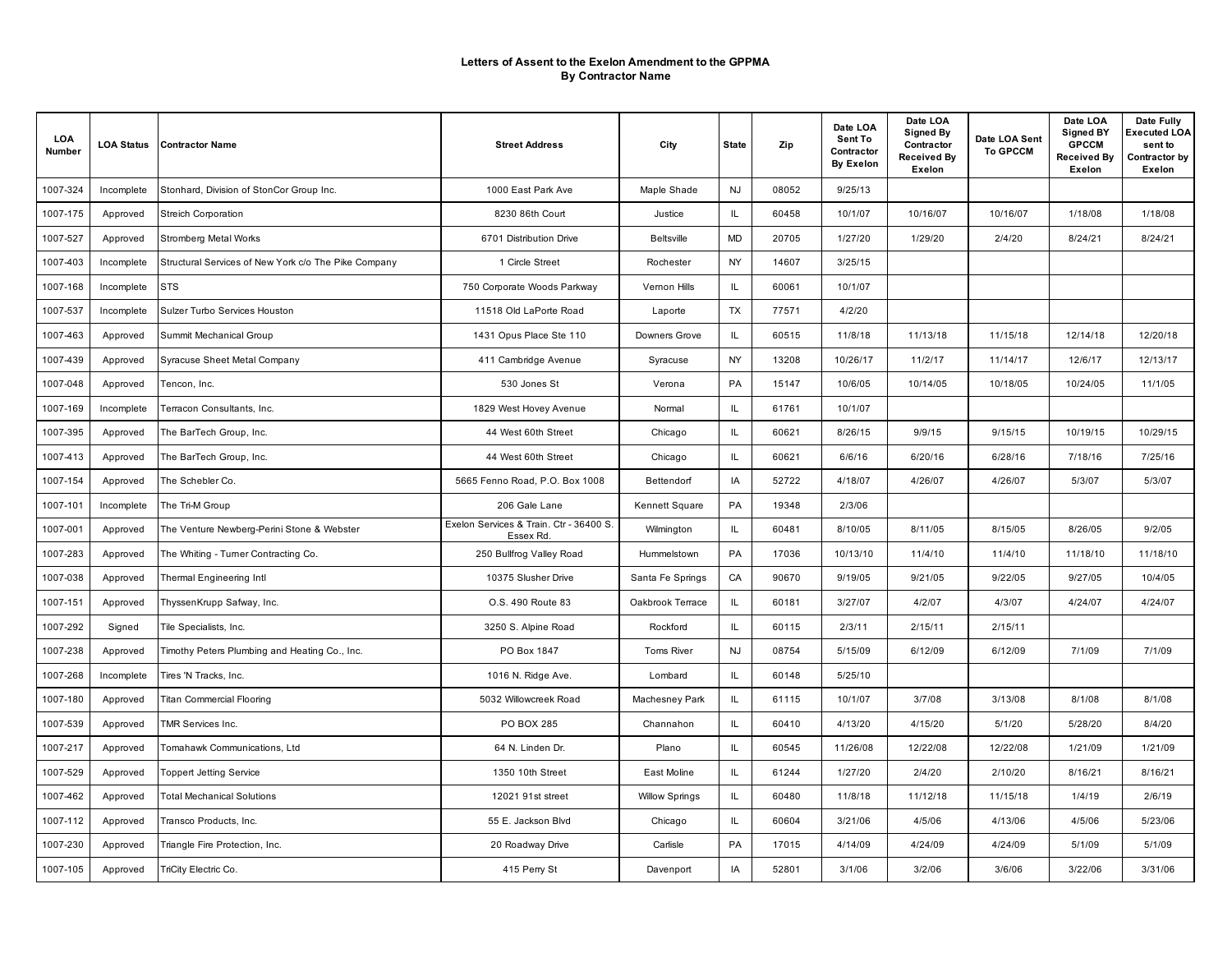| LOA<br>Number | <b>LOA Status</b> | <b>Contractor Name</b>                               | <b>Street Address</b>                                | City                  | <b>State</b> | Zip   | Date LOA<br>Sent To<br>Contractor<br><b>By Exelon</b> | Date LOA<br><b>Signed By</b><br>Contractor<br>Received By<br>Exelon | Date LOA Sent<br><b>To GPCCM</b> | Date LOA<br><b>Signed BY</b><br><b>GPCCM</b><br><b>Received By</b><br>Exelon | Date Fully<br>Executed LOA<br>sent to<br>Contractor by<br>Exelon |
|---------------|-------------------|------------------------------------------------------|------------------------------------------------------|-----------------------|--------------|-------|-------------------------------------------------------|---------------------------------------------------------------------|----------------------------------|------------------------------------------------------------------------------|------------------------------------------------------------------|
| 1007-324      | Incomplete        | Stonhard, Division of StonCor Group Inc.             | 1000 East Park Ave                                   | Maple Shade           | <b>NJ</b>    | 08052 | 9/25/13                                               |                                                                     |                                  |                                                                              |                                                                  |
| 1007-175      | Approved          | <b>Streich Corporation</b>                           | 8230 86th Court                                      | Justice               | IL.          | 60458 | 10/1/07                                               | 10/16/07                                                            | 10/16/07                         | 1/18/08                                                                      | 1/18/08                                                          |
| 1007-527      | Approved          | <b>Stromberg Metal Works</b>                         | 6701 Distribution Drive                              | <b>Beltsville</b>     | <b>MD</b>    | 20705 | 1/27/20                                               | 1/29/20                                                             | 2/4/20                           | 8/24/21                                                                      | 8/24/21                                                          |
| 1007-403      | Incomplete        | Structural Services of New York c/o The Pike Company | 1 Circle Street                                      | Rochester             | <b>NY</b>    | 14607 | 3/25/15                                               |                                                                     |                                  |                                                                              |                                                                  |
| 1007-168      | Incomplete        | <b>STS</b>                                           | 750 Corporate Woods Parkway                          | Vernon Hills          | IL           | 60061 | 10/1/07                                               |                                                                     |                                  |                                                                              |                                                                  |
| 1007-537      | Incomplete        | Sulzer Turbo Services Houston                        | 11518 Old LaPorte Road                               | Laporte               | TX           | 77571 | 4/2/20                                                |                                                                     |                                  |                                                                              |                                                                  |
| 1007-463      | Approved          | Summit Mechanical Group                              | 1431 Opus Place Ste 110                              | Downers Grove         | IL           | 60515 | 11/8/18                                               | 11/13/18                                                            | 11/15/18                         | 12/14/18                                                                     | 12/20/18                                                         |
| 1007-439      | Approved          | Syracuse Sheet Metal Company                         | 411 Cambridge Avenue                                 | Syracuse              | NY           | 13208 | 10/26/17                                              | 11/2/17                                                             | 11/14/17                         | 12/6/17                                                                      | 12/13/17                                                         |
| 1007-048      | Approved          | Tencon, Inc.                                         | 530 Jones St                                         | Verona                | PA           | 15147 | 10/6/05                                               | 10/14/05                                                            | 10/18/05                         | 10/24/05                                                                     | 11/1/05                                                          |
| 1007-169      | Incomplete        | Terracon Consultants, Inc.                           | 1829 West Hovey Avenue                               | Normal                | IL           | 61761 | 10/1/07                                               |                                                                     |                                  |                                                                              |                                                                  |
| 1007-395      | Approved          | The BarTech Group, Inc.                              | 44 West 60th Street                                  | Chicago               | IL.          | 60621 | 8/26/15                                               | 9/9/15                                                              | 9/15/15                          | 10/19/15                                                                     | 10/29/15                                                         |
| 1007-413      | Approved          | The BarTech Group, Inc.                              | 44 West 60th Street                                  | Chicago               | IL           | 60621 | 6/6/16                                                | 6/20/16                                                             | 6/28/16                          | 7/18/16                                                                      | 7/25/16                                                          |
| 1007-154      | Approved          | The Schebler Co.                                     | 5665 Fenno Road, P.O. Box 1008                       | Bettendorf            | IA           | 52722 | 4/18/07                                               | 4/26/07                                                             | 4/26/07                          | 5/3/07                                                                       | 5/3/07                                                           |
| 1007-101      | Incomplete        | The Tri-M Group                                      | 206 Gale Lane                                        | Kennett Square        | PA           | 19348 | 2/3/06                                                |                                                                     |                                  |                                                                              |                                                                  |
| 1007-001      | Approved          | The Venture Newberg-Perini Stone & Webster           | Exelon Services & Train. Ctr - 36400 S.<br>Essex Rd. | Wilmington            | IL           | 60481 | 8/10/05                                               | 8/11/05                                                             | 8/15/05                          | 8/26/05                                                                      | 9/2/05                                                           |
| 1007-283      | Approved          | The Whiting - Tumer Contracting Co.                  | 250 Bullfrog Valley Road                             | Hummelstown           | PA           | 17036 | 10/13/10                                              | 11/4/10                                                             | 11/4/10                          | 11/18/10                                                                     | 11/18/10                                                         |
| 1007-038      | Approved          | Thermal Engineering Intl                             | 10375 Slusher Drive                                  | Santa Fe Springs      | CA           | 90670 | 9/19/05                                               | 9/21/05                                                             | 9/22/05                          | 9/27/05                                                                      | 10/4/05                                                          |
| 1007-151      | Approved          | ThyssenKrupp Safway, Inc.                            | O.S. 490 Route 83                                    | Oakbrook Terrace      | IL           | 60181 | 3/27/07                                               | 4/2/07                                                              | 4/3/07                           | 4/24/07                                                                      | 4/24/07                                                          |
| 1007-292      | Signed            | Tile Specialists, Inc.                               | 3250 S. Alpine Road                                  | Rockford              | IL           | 60115 | 2/3/11                                                | 2/15/11                                                             | 2/15/11                          |                                                                              |                                                                  |
| 1007-238      | Approved          | Timothy Peters Plumbing and Heating Co., Inc.        | PO Box 1847                                          | Toms River            | <b>NJ</b>    | 08754 | 5/15/09                                               | 6/12/09                                                             | 6/12/09                          | 7/1/09                                                                       | 7/1/09                                                           |
| 1007-268      | Incomplete        | Tires 'N Tracks, Inc.                                | 1016 N. Ridge Ave.                                   | Lombard               | IL           | 60148 | 5/25/10                                               |                                                                     |                                  |                                                                              |                                                                  |
| 1007-180      | Approved          | <b>Titan Commercial Flooring</b>                     | 5032 Willowcreek Road                                | Machesney Park        | IL           | 61115 | 10/1/07                                               | 3/7/08                                                              | 3/13/08                          | 8/1/08                                                                       | 8/1/08                                                           |
| 1007-539      | Approved          | TMR Services Inc.                                    | PO BOX 285                                           | Channahon             | IL           | 60410 | 4/13/20                                               | 4/15/20                                                             | 5/1/20                           | 5/28/20                                                                      | 8/4/20                                                           |
| 1007-217      | Approved          | Tomahawk Communications, Ltd                         | 64 N. Linden Dr.                                     | Plano                 | IL           | 60545 | 11/26/08                                              | 12/22/08                                                            | 12/22/08                         | 1/21/09                                                                      | 1/21/09                                                          |
| 1007-529      | Approved          | <b>Toppert Jetting Service</b>                       | 1350 10th Street                                     | East Moline           | IL           | 61244 | 1/27/20                                               | 2/4/20                                                              | 2/10/20                          | 8/16/21                                                                      | 8/16/21                                                          |
| 1007-462      | Approved          | <b>Total Mechanical Solutions</b>                    | 12021 91st street                                    | <b>Willow Springs</b> | IL           | 60480 | 11/8/18                                               | 11/12/18                                                            | 11/15/18                         | 1/4/19                                                                       | 2/6/19                                                           |
| 1007-112      | Approved          | Transco Products, Inc.                               | 55 E. Jackson Blvd                                   | Chicago               | IL           | 60604 | 3/21/06                                               | 4/5/06                                                              | 4/13/06                          | 4/5/06                                                                       | 5/23/06                                                          |
| 1007-230      | Approved          | Triangle Fire Protection, Inc.                       | 20 Roadway Drive                                     | Carlisle              | PA           | 17015 | 4/14/09                                               | 4/24/09                                                             | 4/24/09                          | 5/1/09                                                                       | 5/1/09                                                           |
| 1007-105      | Approved          | TriCity Electric Co.                                 | 415 Perry St                                         | Davenport             | IA           | 52801 | 3/1/06                                                | 3/2/06                                                              | 3/6/06                           | 3/22/06                                                                      | 3/31/06                                                          |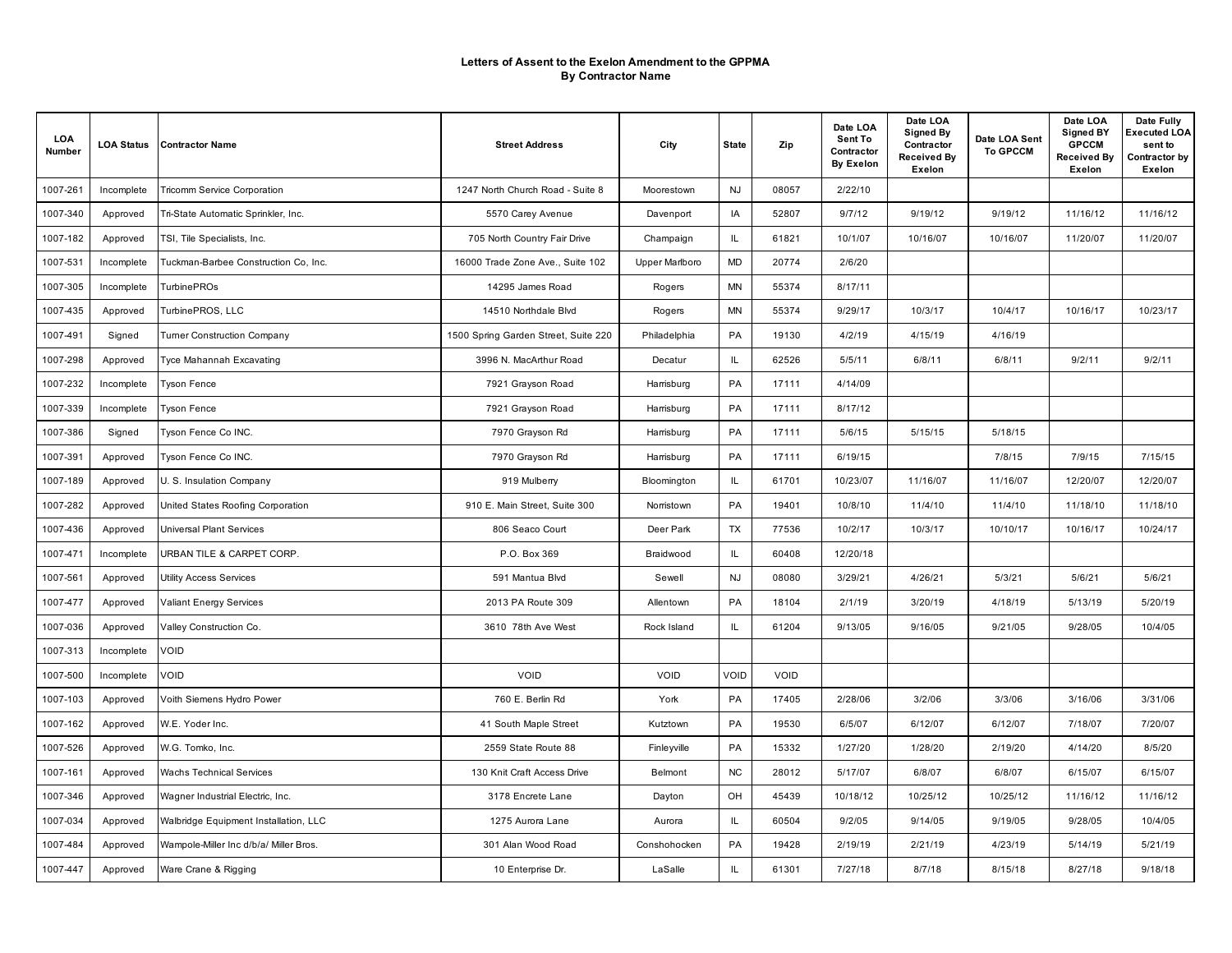| LOA<br>Number | <b>LOA Status</b> | <b>Contractor Name</b>                 | <b>Street Address</b>                | City                  | <b>State</b> | Zip   | Date LOA<br>Sent To<br>Contractor<br><b>By Exelon</b> | Date LOA<br><b>Signed By</b><br>Contractor<br>Received By<br>Exelon | Date LOA Sent<br><b>To GPCCM</b> | Date LOA<br><b>Signed BY</b><br><b>GPCCM</b><br><b>Received By</b><br>Exelon | Date Fully<br><b>Executed LOA</b><br>sent to<br>Contractor by<br>Exelon |
|---------------|-------------------|----------------------------------------|--------------------------------------|-----------------------|--------------|-------|-------------------------------------------------------|---------------------------------------------------------------------|----------------------------------|------------------------------------------------------------------------------|-------------------------------------------------------------------------|
| 1007-261      | Incomplete        | <b>Tricomm Service Corporation</b>     | 1247 North Church Road - Suite 8     | Moorestown            | <b>NJ</b>    | 08057 | 2/22/10                                               |                                                                     |                                  |                                                                              |                                                                         |
| 1007-340      | Approved          | Tri-State Automatic Sprinkler, Inc.    | 5570 Carey Avenue                    | Davenport             | IA           | 52807 | 9/7/12                                                | 9/19/12                                                             | 9/19/12                          | 11/16/12                                                                     | 11/16/12                                                                |
| 1007-182      | Approved          | TSI, Tile Specialists, Inc.            | 705 North Country Fair Drive         | Champaign             | IL.          | 61821 | 10/1/07                                               | 10/16/07                                                            | 10/16/07                         | 11/20/07                                                                     | 11/20/07                                                                |
| 1007-531      | Incomplete        | Tuckman-Barbee Construction Co. Inc.   | 16000 Trade Zone Ave., Suite 102     | <b>Upper Marlboro</b> | MD           | 20774 | 2/6/20                                                |                                                                     |                                  |                                                                              |                                                                         |
| 1007-305      | Incomplete        | <b>TurbinePROs</b>                     | 14295 James Road                     | Rogers                | MN           | 55374 | 8/17/11                                               |                                                                     |                                  |                                                                              |                                                                         |
| 1007-435      | Approved          | TurbinePROS, LLC                       | 14510 Northdale Blvd                 | Rogers                | <b>MN</b>    | 55374 | 9/29/17                                               | 10/3/17                                                             | 10/4/17                          | 10/16/17                                                                     | 10/23/17                                                                |
| 1007-491      | Signed            | <b>Tumer Construction Company</b>      | 1500 Spring Garden Street, Suite 220 | Philadelphia          | PA           | 19130 | 4/2/19                                                | 4/15/19                                                             | 4/16/19                          |                                                                              |                                                                         |
| 1007-298      | Approved          | Tyce Mahannah Excavating               | 3996 N. MacArthur Road               | Decatur               | IL           | 62526 | 5/5/11                                                | 6/8/11                                                              | 6/8/11                           | 9/2/11                                                                       | 9/2/11                                                                  |
| 1007-232      | Incomplete        | <b>Tyson Fence</b>                     | 7921 Grayson Road                    | Harrisburg            | PA           | 17111 | 4/14/09                                               |                                                                     |                                  |                                                                              |                                                                         |
| 1007-339      | Incomplete        | <b>Tyson Fence</b>                     | 7921 Grayson Road                    | Harrisburg            | PA           | 17111 | 8/17/12                                               |                                                                     |                                  |                                                                              |                                                                         |
| 1007-386      | Signed            | Tyson Fence Co INC.                    | 7970 Grayson Rd                      | Harrisburg            | PA           | 17111 | 5/6/15                                                | 5/15/15                                                             | 5/18/15                          |                                                                              |                                                                         |
| 1007-391      | Approved          | Tyson Fence Co INC.                    | 7970 Grayson Rd                      | Harrisburg            | PA           | 17111 | 6/19/15                                               |                                                                     | 7/8/15                           | 7/9/15                                                                       | 7/15/15                                                                 |
| 1007-189      | Approved          | U. S. Insulation Company               | 919 Mulberry                         | Bloomington           | IL           | 61701 | 10/23/07                                              | 11/16/07                                                            | 11/16/07                         | 12/20/07                                                                     | 12/20/07                                                                |
| 1007-282      | Approved          | United States Roofing Corporation      | 910 E. Main Street, Suite 300        | Norristown            | PA           | 19401 | 10/8/10                                               | 11/4/10                                                             | 11/4/10                          | 11/18/10                                                                     | 11/18/10                                                                |
| 1007-436      | Approved          | Universal Plant Services               | 806 Seaco Court                      | Deer Park             | TX           | 77536 | 10/2/17                                               | 10/3/17                                                             | 10/10/17                         | 10/16/17                                                                     | 10/24/17                                                                |
| 1007-471      | Incomplete        | URBAN TILE & CARPET CORP.              | P.O. Box 369                         | Braidwood             | IL           | 60408 | 12/20/18                                              |                                                                     |                                  |                                                                              |                                                                         |
| 1007-561      | Approved          | <b>Utility Access Services</b>         | 591 Mantua Blvd                      | Sewell                | <b>NJ</b>    | 08080 | 3/29/21                                               | 4/26/21                                                             | 5/3/21                           | 5/6/21                                                                       | 5/6/21                                                                  |
| 1007-477      | Approved          | <b>Valiant Energy Services</b>         | 2013 PA Route 309                    | Allentown             | PA           | 18104 | 2/1/19                                                | 3/20/19                                                             | 4/18/19                          | 5/13/19                                                                      | 5/20/19                                                                 |
| 1007-036      | Approved          | Valley Construction Co.                | 3610 78th Ave West                   | Rock Island           | IL.          | 61204 | 9/13/05                                               | 9/16/05                                                             | 9/21/05                          | 9/28/05                                                                      | 10/4/05                                                                 |
| 1007-313      | Incomplete        | VOID                                   |                                      |                       |              |       |                                                       |                                                                     |                                  |                                                                              |                                                                         |
| 1007-500      | Incomplete        | VOID                                   | VOID                                 | VOID                  | VOID         | VOID  |                                                       |                                                                     |                                  |                                                                              |                                                                         |
| 1007-103      | Approved          | Voith Siemens Hydro Power              | 760 E. Berlin Rd                     | York                  | PA           | 17405 | 2/28/06                                               | 3/2/06                                                              | 3/3/06                           | 3/16/06                                                                      | 3/31/06                                                                 |
| 1007-162      | Approved          | W.E. Yoder Inc.                        | 41 South Maple Street                | Kutztown              | PA           | 19530 | 6/5/07                                                | 6/12/07                                                             | 6/12/07                          | 7/18/07                                                                      | 7/20/07                                                                 |
| 1007-526      | Approved          | W.G. Tomko, Inc.                       | 2559 State Route 88                  | Finleyville           | PA           | 15332 | 1/27/20                                               | 1/28/20                                                             | 2/19/20                          | 4/14/20                                                                      | 8/5/20                                                                  |
| 1007-161      | Approved          | <b>Wachs Technical Services</b>        | 130 Knit Craft Access Drive          | Belmont               | NC           | 28012 | 5/17/07                                               | 6/8/07                                                              | 6/8/07                           | 6/15/07                                                                      | 6/15/07                                                                 |
| 1007-346      | Approved          | Wagner Industrial Electric, Inc.       | 3178 Encrete Lane                    | Dayton                | OH           | 45439 | 10/18/12                                              | 10/25/12                                                            | 10/25/12                         | 11/16/12                                                                     | 11/16/12                                                                |
| 1007-034      | Approved          | Walbridge Equipment Installation, LLC  | 1275 Aurora Lane                     | Aurora                | IL           | 60504 | 9/2/05                                                | 9/14/05                                                             | 9/19/05                          | 9/28/05                                                                      | 10/4/05                                                                 |
| 1007-484      | Approved          | Wampole-Miller Inc d/b/a/ Miller Bros. | 301 Alan Wood Road                   | Conshohocken          | PA           | 19428 | 2/19/19                                               | 2/21/19                                                             | 4/23/19                          | 5/14/19                                                                      | 5/21/19                                                                 |
| 1007-447      | Approved          | Ware Crane & Rigging                   | 10 Enterprise Dr.                    | LaSalle               | IL.          | 61301 | 7/27/18                                               | 8/7/18                                                              | 8/15/18                          | 8/27/18                                                                      | 9/18/18                                                                 |